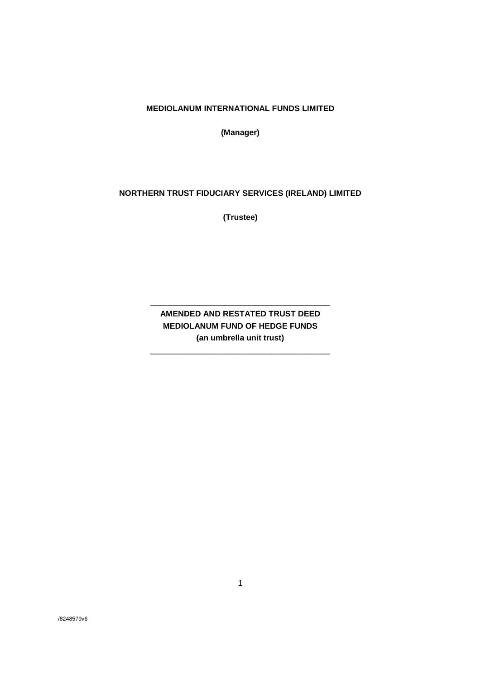**MEDIOLANUM INTERNATIONAL FUNDS LIMITED**

**(Manager)**

# **NORTHERN TRUST FIDUCIARY SERVICES (IRELAND) LIMITED**

**(Trustee)**

# **AMENDED AND RESTATED TRUST DEED MEDIOLANUM FUND OF HEDGE FUNDS (an umbrella unit trust)**

\_\_\_\_\_\_\_\_\_\_\_\_\_\_\_\_\_\_\_\_\_\_\_\_\_\_\_\_\_\_\_\_\_\_\_\_\_\_\_\_

\_\_\_\_\_\_\_\_\_\_\_\_\_\_\_\_\_\_\_\_\_\_\_\_\_\_\_\_\_\_\_\_\_\_\_\_\_\_\_\_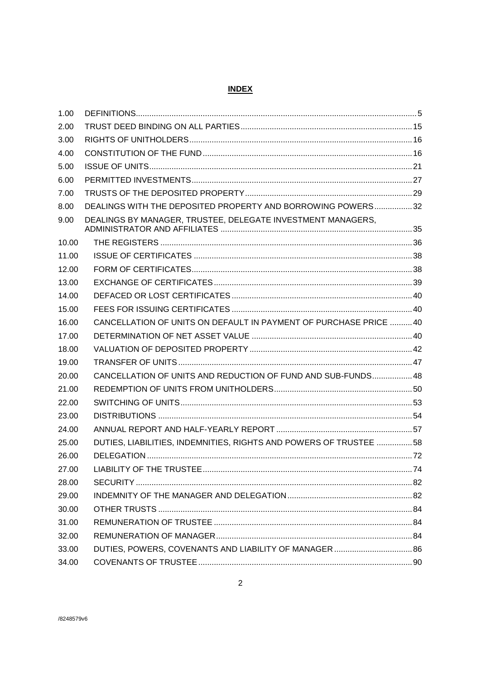## **INDEX**

| 1.00  |                                                                   |  |
|-------|-------------------------------------------------------------------|--|
| 2.00  |                                                                   |  |
| 3.00  |                                                                   |  |
| 4.00  |                                                                   |  |
| 5.00  |                                                                   |  |
| 6.00  |                                                                   |  |
| 7.00  |                                                                   |  |
| 8.00  | DEALINGS WITH THE DEPOSITED PROPERTY AND BORROWING POWERS32       |  |
| 9.00  | DEALINGS BY MANAGER, TRUSTEE, DELEGATE INVESTMENT MANAGERS,       |  |
| 10.00 |                                                                   |  |
| 11.00 |                                                                   |  |
| 12.00 |                                                                   |  |
| 13.00 |                                                                   |  |
| 14.00 |                                                                   |  |
| 15.00 |                                                                   |  |
| 16.00 | CANCELLATION OF UNITS ON DEFAULT IN PAYMENT OF PURCHASE PRICE  40 |  |
| 17.00 |                                                                   |  |
| 18.00 |                                                                   |  |
| 19.00 |                                                                   |  |
| 20.00 | CANCELLATION OF UNITS AND REDUCTION OF FUND AND SUB-FUNDS 48      |  |
| 21.00 |                                                                   |  |
| 22.00 |                                                                   |  |
| 23.00 |                                                                   |  |
| 24.00 |                                                                   |  |
| 25.00 | DUTIES, LIABILITIES, INDEMNITIES, RIGHTS AND POWERS OF TRUSTEE 58 |  |
| 26.00 |                                                                   |  |
| 27.00 |                                                                   |  |
| 28.00 |                                                                   |  |
| 29.00 |                                                                   |  |
| 30.00 |                                                                   |  |
| 31.00 |                                                                   |  |
| 32.00 |                                                                   |  |
| 33.00 |                                                                   |  |
| 34.00 |                                                                   |  |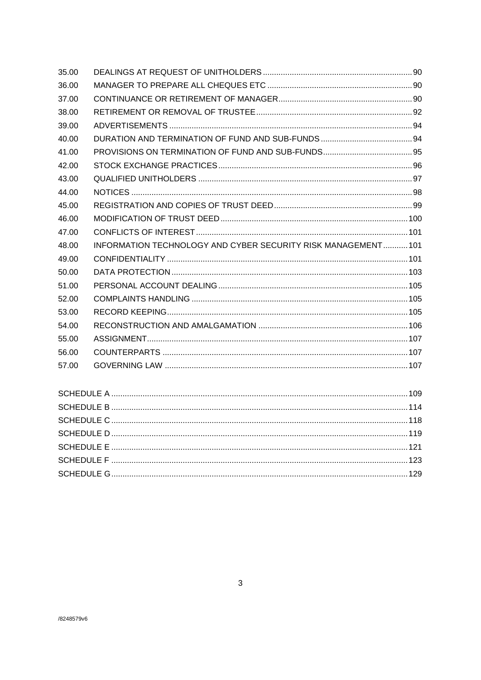| 35.00 |                                                               |  |
|-------|---------------------------------------------------------------|--|
| 36.00 |                                                               |  |
| 37.00 |                                                               |  |
| 38.00 |                                                               |  |
| 39.00 |                                                               |  |
| 40.00 |                                                               |  |
| 41.00 |                                                               |  |
| 42.00 |                                                               |  |
| 43.00 |                                                               |  |
| 44.00 |                                                               |  |
| 45.00 |                                                               |  |
| 46.00 |                                                               |  |
| 47.00 |                                                               |  |
| 48.00 | INFORMATION TECHNOLOGY AND CYBER SECURITY RISK MANAGEMENT 101 |  |
| 49.00 |                                                               |  |
| 50.00 |                                                               |  |
| 51.00 |                                                               |  |
| 52.00 |                                                               |  |
| 53.00 |                                                               |  |
| 54.00 |                                                               |  |
| 55.00 |                                                               |  |
| 56.00 |                                                               |  |
| 57.00 |                                                               |  |
|       |                                                               |  |
|       |                                                               |  |
|       |                                                               |  |
|       |                                                               |  |
|       |                                                               |  |
|       |                                                               |  |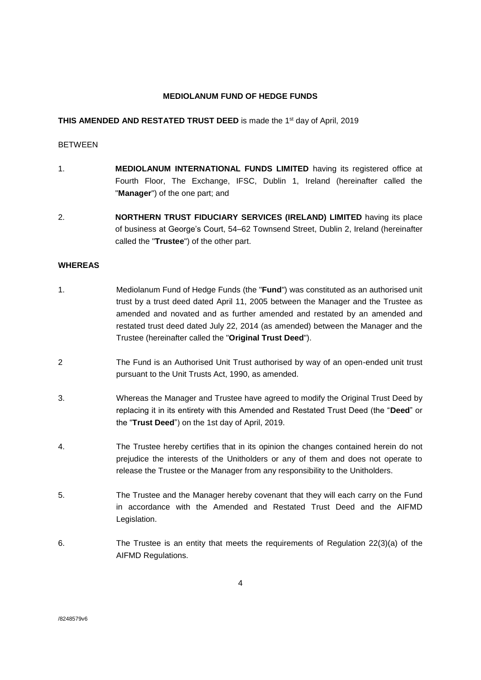## **MEDIOLANUM FUND OF HEDGE FUNDS**

## **THIS AMENDED AND RESTATED TRUST DEED** is made the 1<sup>st</sup> day of April, 2019

#### BETWEEN

- 1. **MEDIOLANUM INTERNATIONAL FUNDS LIMITED** having its registered office at Fourth Floor, The Exchange, IFSC, Dublin 1, Ireland (hereinafter called the "**Manager**") of the one part; and
- 2. **NORTHERN TRUST FIDUCIARY SERVICES (IRELAND) LIMITED** having its place of business at George's Court, 54–62 Townsend Street, Dublin 2, Ireland (hereinafter called the "**Trustee**") of the other part.

### **WHEREAS**

- 1. Mediolanum Fund of Hedge Funds (the "**Fund**") was constituted as an authorised unit trust by a trust deed dated April 11, 2005 between the Manager and the Trustee as amended and novated and as further amended and restated by an amended and restated trust deed dated July 22, 2014 (as amended) between the Manager and the Trustee (hereinafter called the "**Original Trust Deed**").
- 2 The Fund is an Authorised Unit Trust authorised by way of an open-ended unit trust pursuant to the Unit Trusts Act, 1990, as amended.
- 3. Whereas the Manager and Trustee have agreed to modify the Original Trust Deed by replacing it in its entirety with this Amended and Restated Trust Deed (the "**Deed**" or the "**Trust Deed**") on the 1st day of April, 2019.
- 4. The Trustee hereby certifies that in its opinion the changes contained herein do not prejudice the interests of the Unitholders or any of them and does not operate to release the Trustee or the Manager from any responsibility to the Unitholders.
- 5. The Trustee and the Manager hereby covenant that they will each carry on the Fund in accordance with the Amended and Restated Trust Deed and the AIFMD Legislation.
- 6. The Trustee is an entity that meets the requirements of Regulation 22(3)(a) of the AIFMD Regulations.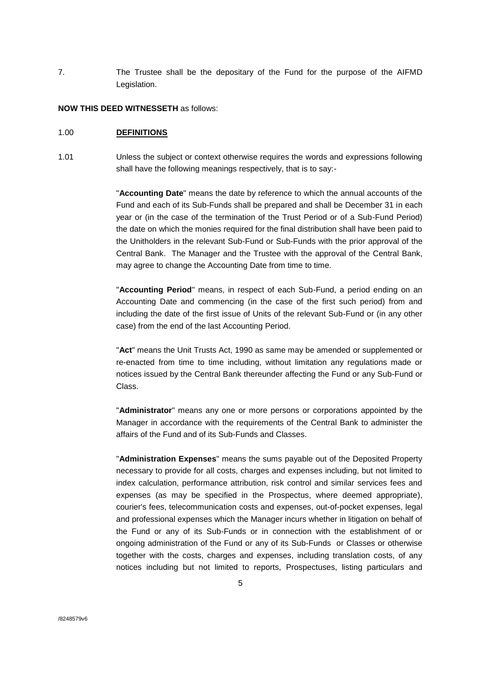7. The Trustee shall be the depositary of the Fund for the purpose of the AIFMD Legislation.

#### **NOW THIS DEED WITNESSETH** as follows:

#### <span id="page-4-0"></span>1.00 **DEFINITIONS**

1.01 Unless the subject or context otherwise requires the words and expressions following shall have the following meanings respectively, that is to say:-

> "**Accounting Date**" means the date by reference to which the annual accounts of the Fund and each of its Sub-Funds shall be prepared and shall be December 31 in each year or (in the case of the termination of the Trust Period or of a Sub-Fund Period) the date on which the monies required for the final distribution shall have been paid to the Unitholders in the relevant Sub-Fund or Sub-Funds with the prior approval of the Central Bank. The Manager and the Trustee with the approval of the Central Bank, may agree to change the Accounting Date from time to time.

> "**Accounting Period**" means, in respect of each Sub-Fund, a period ending on an Accounting Date and commencing (in the case of the first such period) from and including the date of the first issue of Units of the relevant Sub-Fund or (in any other case) from the end of the last Accounting Period.

> "**Act**" means the Unit Trusts Act, 1990 as same may be amended or supplemented or re-enacted from time to time including, without limitation any regulations made or notices issued by the Central Bank thereunder affecting the Fund or any Sub-Fund or Class.

> "**Administrator**" means any one or more persons or corporations appointed by the Manager in accordance with the requirements of the Central Bank to administer the affairs of the Fund and of its Sub-Funds and Classes.

> "**Administration Expenses**" means the sums payable out of the Deposited Property necessary to provide for all costs, charges and expenses including, but not limited to index calculation, performance attribution, risk control and similar services fees and expenses (as may be specified in the Prospectus, where deemed appropriate), courier's fees, telecommunication costs and expenses, out-of-pocket expenses, legal and professional expenses which the Manager incurs whether in litigation on behalf of the Fund or any of its Sub-Funds or in connection with the establishment of or ongoing administration of the Fund or any of its Sub-Funds or Classes or otherwise together with the costs, charges and expenses, including translation costs, of any notices including but not limited to reports, Prospectuses, listing particulars and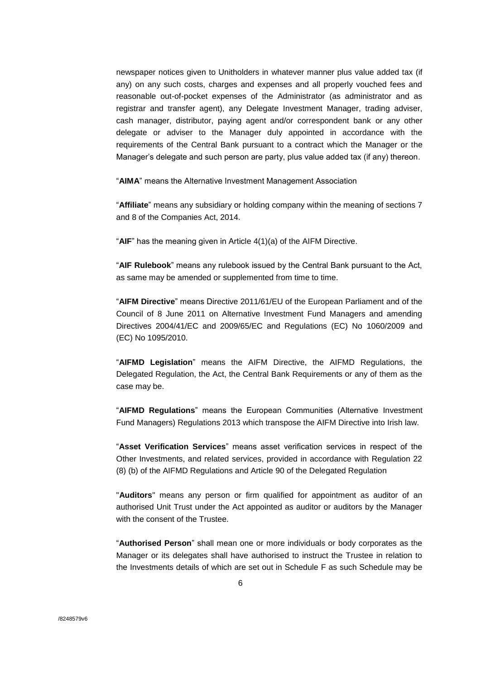newspaper notices given to Unitholders in whatever manner plus value added tax (if any) on any such costs, charges and expenses and all properly vouched fees and reasonable out-of-pocket expenses of the Administrator (as administrator and as registrar and transfer agent), any Delegate Investment Manager, trading adviser, cash manager, distributor, paying agent and/or correspondent bank or any other delegate or adviser to the Manager duly appointed in accordance with the requirements of the Central Bank pursuant to a contract which the Manager or the Manager's delegate and such person are party, plus value added tax (if any) thereon.

"**AIMA**" means the Alternative Investment Management Association

"**Affiliate**" means any subsidiary or holding company within the meaning of sections 7 and 8 of the Companies Act, 2014.

"**AIF**" has the meaning given in Article 4(1)(a) of the AIFM Directive.

"**AIF Rulebook**" means any rulebook issued by the Central Bank pursuant to the Act, as same may be amended or supplemented from time to time.

"**AIFM Directive**" means Directive 2011/61/EU of the European Parliament and of the Council of 8 June 2011 on Alternative Investment Fund Managers and amending Directives 2004/41/EC and 2009/65/EC and Regulations (EC) No 1060/2009 and (EC) No 1095/2010.

"**AIFMD Legislation**" means the AIFM Directive, the AIFMD Regulations, the Delegated Regulation, the Act, the Central Bank Requirements or any of them as the case may be.

"**AIFMD Regulations**" means the European Communities (Alternative Investment Fund Managers) Regulations 2013 which transpose the AIFM Directive into Irish law.

"**Asset Verification Services**" means asset verification services in respect of the Other Investments, and related services, provided in accordance with Regulation 22 (8) (b) of the AIFMD Regulations and Article 90 of the Delegated Regulation

"**Auditors**" means any person or firm qualified for appointment as auditor of an authorised Unit Trust under the Act appointed as auditor or auditors by the Manager with the consent of the Trustee.

"**Authorised Person**" shall mean one or more individuals or body corporates as the Manager or its delegates shall have authorised to instruct the Trustee in relation to the Investments details of which are set out in Schedule F as such Schedule may be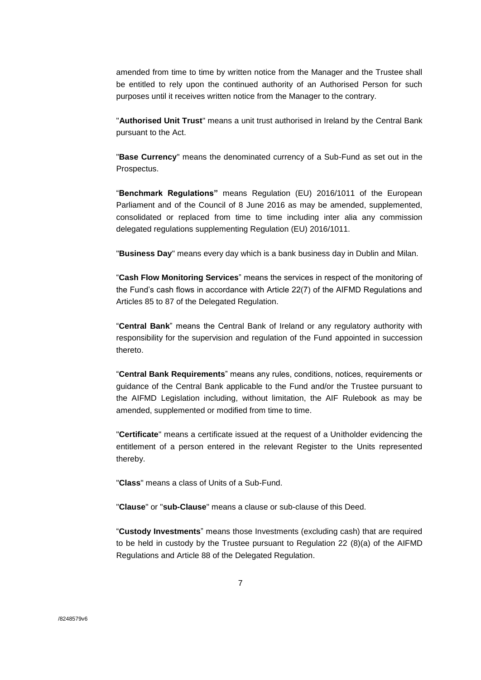amended from time to time by written notice from the Manager and the Trustee shall be entitled to rely upon the continued authority of an Authorised Person for such purposes until it receives written notice from the Manager to the contrary.

"**Authorised Unit Trust**" means a unit trust authorised in Ireland by the Central Bank pursuant to the Act.

"**Base Currency**" means the denominated currency of a Sub-Fund as set out in the Prospectus.

"**Benchmark Regulations"** means Regulation (EU) 2016/1011 of the European Parliament and of the Council of 8 June 2016 as may be amended, supplemented, consolidated or replaced from time to time including inter alia any commission delegated regulations supplementing Regulation (EU) 2016/1011.

"**Business Day**" means every day which is a bank business day in Dublin and Milan.

"**Cash Flow Monitoring Services**" means the services in respect of the monitoring of the Fund's cash flows in accordance with Article 22(7) of the AIFMD Regulations and Articles 85 to 87 of the Delegated Regulation.

"**Central Bank**" means the Central Bank of Ireland or any regulatory authority with responsibility for the supervision and regulation of the Fund appointed in succession thereto.

"**Central Bank Requirements**" means any rules, conditions, notices, requirements or guidance of the Central Bank applicable to the Fund and/or the Trustee pursuant to the AIFMD Legislation including, without limitation, the AIF Rulebook as may be amended, supplemented or modified from time to time.

"**Certificate**" means a certificate issued at the request of a Unitholder evidencing the entitlement of a person entered in the relevant Register to the Units represented thereby.

"**Class**" means a class of Units of a Sub-Fund.

"**Clause**" or "**sub-Clause**" means a clause or sub-clause of this Deed.

"**Custody Investments**" means those Investments (excluding cash) that are required to be held in custody by the Trustee pursuant to Regulation 22 (8)(a) of the AIFMD Regulations and Article 88 of the Delegated Regulation.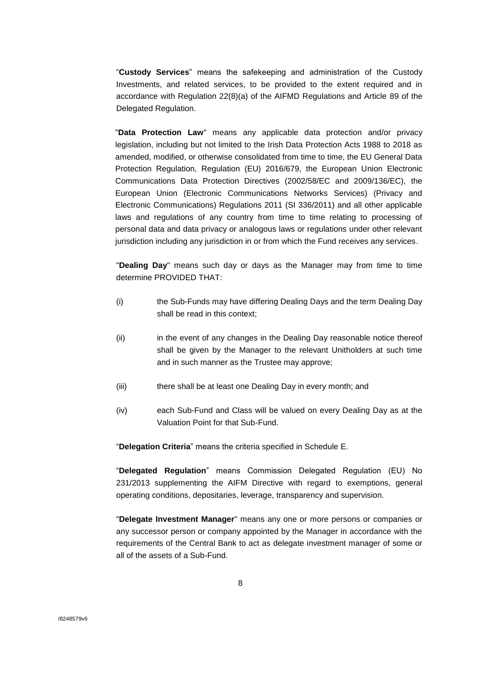"**Custody Services**" means the safekeeping and administration of the Custody Investments, and related services, to be provided to the extent required and in accordance with Regulation 22(8)(a) of the AIFMD Regulations and Article 89 of the Delegated Regulation.

"**Data Protection Law**" means any applicable data protection and/or privacy legislation, including but not limited to the Irish Data Protection Acts 1988 to 2018 as amended, modified, or otherwise consolidated from time to time, the EU General Data Protection Regulation, Regulation (EU) 2016/679, the European Union Electronic Communications Data Protection Directives (2002/58/EC and 2009/136/EC), the European Union (Electronic Communications Networks Services) (Privacy and Electronic Communications) Regulations 2011 (SI 336/2011) and all other applicable laws and regulations of any country from time to time relating to processing of personal data and data privacy or analogous laws or regulations under other relevant jurisdiction including any jurisdiction in or from which the Fund receives any services.

"**Dealing Day**" means such day or days as the Manager may from time to time determine PROVIDED THAT:

- (i) the Sub-Funds may have differing Dealing Days and the term Dealing Day shall be read in this context;
- (ii) in the event of any changes in the Dealing Day reasonable notice thereof shall be given by the Manager to the relevant Unitholders at such time and in such manner as the Trustee may approve;
- (iii) there shall be at least one Dealing Day in every month; and
- (iv) each Sub-Fund and Class will be valued on every Dealing Day as at the Valuation Point for that Sub-Fund.

"**Delegation Criteria**" means the criteria specified in Schedule E.

"**Delegated Regulation**" means Commission Delegated Regulation (EU) No 231/2013 supplementing the AIFM Directive with regard to exemptions, general operating conditions, depositaries, leverage, transparency and supervision.

"**Delegate Investment Manager**" means any one or more persons or companies or any successor person or company appointed by the Manager in accordance with the requirements of the Central Bank to act as delegate investment manager of some or all of the assets of a Sub-Fund.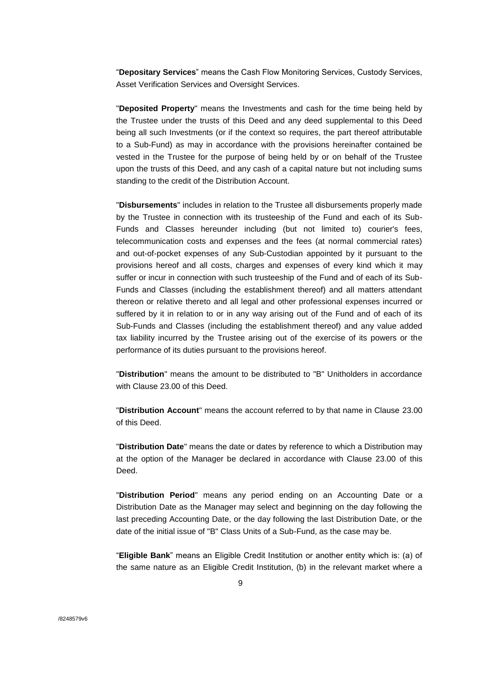"**Depositary Services**" means the Cash Flow Monitoring Services, Custody Services, Asset Verification Services and Oversight Services.

"**Deposited Property**" means the Investments and cash for the time being held by the Trustee under the trusts of this Deed and any deed supplemental to this Deed being all such Investments (or if the context so requires, the part thereof attributable to a Sub-Fund) as may in accordance with the provisions hereinafter contained be vested in the Trustee for the purpose of being held by or on behalf of the Trustee upon the trusts of this Deed, and any cash of a capital nature but not including sums standing to the credit of the Distribution Account.

"**Disbursements**" includes in relation to the Trustee all disbursements properly made by the Trustee in connection with its trusteeship of the Fund and each of its Sub-Funds and Classes hereunder including (but not limited to) courier's fees, telecommunication costs and expenses and the fees (at normal commercial rates) and out-of-pocket expenses of any Sub-Custodian appointed by it pursuant to the provisions hereof and all costs, charges and expenses of every kind which it may suffer or incur in connection with such trusteeship of the Fund and of each of its Sub-Funds and Classes (including the establishment thereof) and all matters attendant thereon or relative thereto and all legal and other professional expenses incurred or suffered by it in relation to or in any way arising out of the Fund and of each of its Sub-Funds and Classes (including the establishment thereof) and any value added tax liability incurred by the Trustee arising out of the exercise of its powers or the performance of its duties pursuant to the provisions hereof.

"**Distribution**" means the amount to be distributed to "B" Unitholders in accordance with Clause 23.00 of this Deed.

"**Distribution Account**" means the account referred to by that name in Clause 23.00 of this Deed.

"**Distribution Date**" means the date or dates by reference to which a Distribution may at the option of the Manager be declared in accordance with Clause 23.00 of this Deed.

"**Distribution Period**" means any period ending on an Accounting Date or a Distribution Date as the Manager may select and beginning on the day following the last preceding Accounting Date, or the day following the last Distribution Date, or the date of the initial issue of "B" Class Units of a Sub-Fund, as the case may be.

"**Eligible Bank**" means an Eligible Credit Institution or another entity which is: (a) of the same nature as an Eligible Credit Institution, (b) in the relevant market where a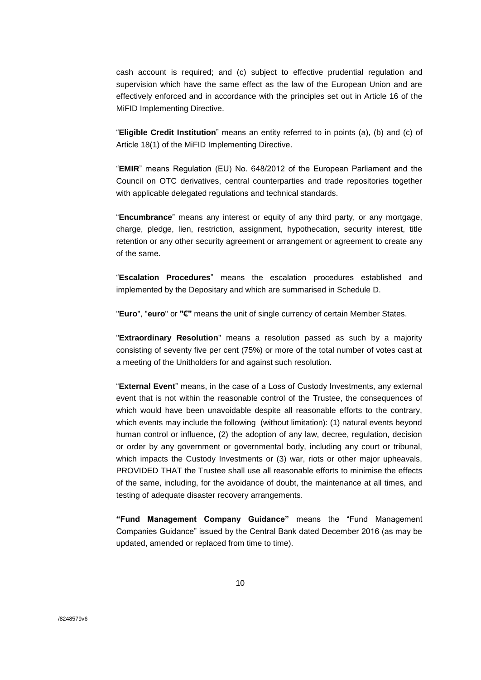cash account is required; and (c) subject to effective prudential regulation and supervision which have the same effect as the law of the European Union and are effectively enforced and in accordance with the principles set out in Article 16 of the MiFID Implementing Directive.

"**Eligible Credit Institution**" means an entity referred to in points (a), (b) and (c) of Article 18(1) of the MiFID Implementing Directive.

"**EMIR**" means Regulation (EU) No. 648/2012 of the European Parliament and the Council on OTC derivatives, central counterparties and trade repositories together with applicable delegated regulations and technical standards.

"**Encumbrance**" means any interest or equity of any third party, or any mortgage, charge, pledge, lien, restriction, assignment, hypothecation, security interest, title retention or any other security agreement or arrangement or agreement to create any of the same.

"**Escalation Procedures**" means the escalation procedures established and implemented by the Depositary and which are summarised in Schedule D.

"**Euro**", "**euro**" or **"€"** means the unit of single currency of certain Member States.

"**Extraordinary Resolution**" means a resolution passed as such by a majority consisting of seventy five per cent (75%) or more of the total number of votes cast at a meeting of the Unitholders for and against such resolution.

"**External Event**" means, in the case of a Loss of Custody Investments, any external event that is not within the reasonable control of the Trustee, the consequences of which would have been unavoidable despite all reasonable efforts to the contrary, which events may include the following (without limitation): (1) natural events beyond human control or influence, (2) the adoption of any law, decree, regulation, decision or order by any government or governmental body, including any court or tribunal, which impacts the Custody Investments or (3) war, riots or other major upheavals, PROVIDED THAT the Trustee shall use all reasonable efforts to minimise the effects of the same, including, for the avoidance of doubt, the maintenance at all times, and testing of adequate disaster recovery arrangements.

**"Fund Management Company Guidance"** means the "Fund Management Companies Guidance" issued by the Central Bank dated December 2016 (as may be updated, amended or replaced from time to time).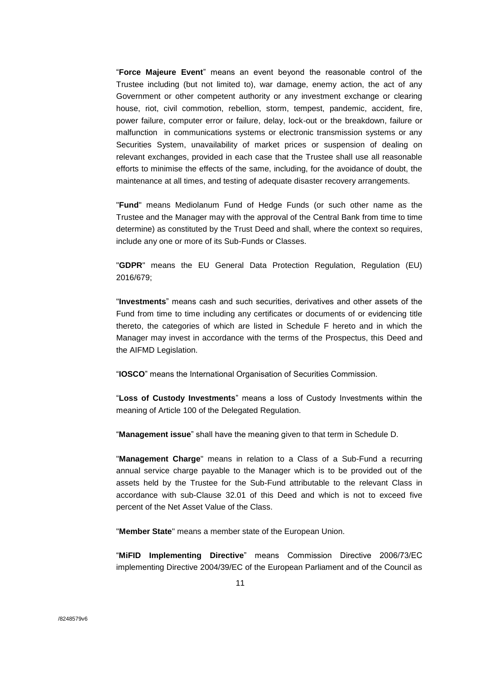"**Force Majeure Event**" means an event beyond the reasonable control of the Trustee including (but not limited to), war damage, enemy action, the act of any Government or other competent authority or any investment exchange or clearing house, riot, civil commotion, rebellion, storm, tempest, pandemic, accident, fire, power failure, computer error or failure, delay, lock-out or the breakdown, failure or malfunction in communications systems or electronic transmission systems or any Securities System, unavailability of market prices or suspension of dealing on relevant exchanges, provided in each case that the Trustee shall use all reasonable efforts to minimise the effects of the same, including, for the avoidance of doubt, the maintenance at all times, and testing of adequate disaster recovery arrangements.

"**Fund**" means Mediolanum Fund of Hedge Funds (or such other name as the Trustee and the Manager may with the approval of the Central Bank from time to time determine) as constituted by the Trust Deed and shall, where the context so requires, include any one or more of its Sub-Funds or Classes.

"**GDPR**" means the EU General Data Protection Regulation, Regulation (EU) 2016/679;

"**Investments**" means cash and such securities, derivatives and other assets of the Fund from time to time including any certificates or documents of or evidencing title thereto, the categories of which are listed in Schedule F hereto and in which the Manager may invest in accordance with the terms of the Prospectus, this Deed and the AIFMD Legislation.

"**IOSCO**" means the International Organisation of Securities Commission.

"**Loss of Custody Investments**" means a loss of Custody Investments within the meaning of Article 100 of the Delegated Regulation.

"**Management issue**" shall have the meaning given to that term in Schedule D.

"**Management Charge**" means in relation to a Class of a Sub-Fund a recurring annual service charge payable to the Manager which is to be provided out of the assets held by the Trustee for the Sub-Fund attributable to the relevant Class in accordance with sub-Clause 32.01 of this Deed and which is not to exceed five percent of the Net Asset Value of the Class.

"**Member State**" means a member state of the European Union.

"**MiFID Implementing Directive**" means Commission Directive 2006/73/EC implementing Directive 2004/39/EC of the European Parliament and of the Council as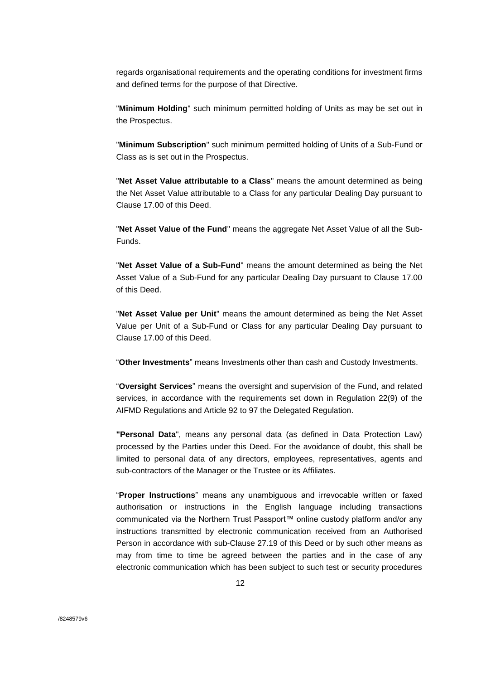regards organisational requirements and the operating conditions for investment firms and defined terms for the purpose of that Directive.

"**Minimum Holding**" such minimum permitted holding of Units as may be set out in the Prospectus.

"**Minimum Subscription**" such minimum permitted holding of Units of a Sub-Fund or Class as is set out in the Prospectus.

"**Net Asset Value attributable to a Class**" means the amount determined as being the Net Asset Value attributable to a Class for any particular Dealing Day pursuant to Clause 17.00 of this Deed.

"**Net Asset Value of the Fund**" means the aggregate Net Asset Value of all the Sub-Funds.

"**Net Asset Value of a Sub-Fund**" means the amount determined as being the Net Asset Value of a Sub-Fund for any particular Dealing Day pursuant to Clause 17.00 of this Deed.

"**Net Asset Value per Unit**" means the amount determined as being the Net Asset Value per Unit of a Sub-Fund or Class for any particular Dealing Day pursuant to Clause 17.00 of this Deed.

"**Other Investments**" means Investments other than cash and Custody Investments.

"**Oversight Services**" means the oversight and supervision of the Fund, and related services, in accordance with the requirements set down in Regulation 22(9) of the AIFMD Regulations and Article 92 to 97 the Delegated Regulation.

**"Personal Data**", means any personal data (as defined in Data Protection Law) processed by the Parties under this Deed. For the avoidance of doubt, this shall be limited to personal data of any directors, employees, representatives, agents and sub-contractors of the Manager or the Trustee or its Affiliates.

"**Proper Instructions**" means any unambiguous and irrevocable written or faxed authorisation or instructions in the English language including transactions communicated via the Northern Trust Passport™ online custody platform and/or any instructions transmitted by electronic communication received from an Authorised Person in accordance with sub-Clause 27.19 of this Deed or by such other means as may from time to time be agreed between the parties and in the case of any electronic communication which has been subject to such test or security procedures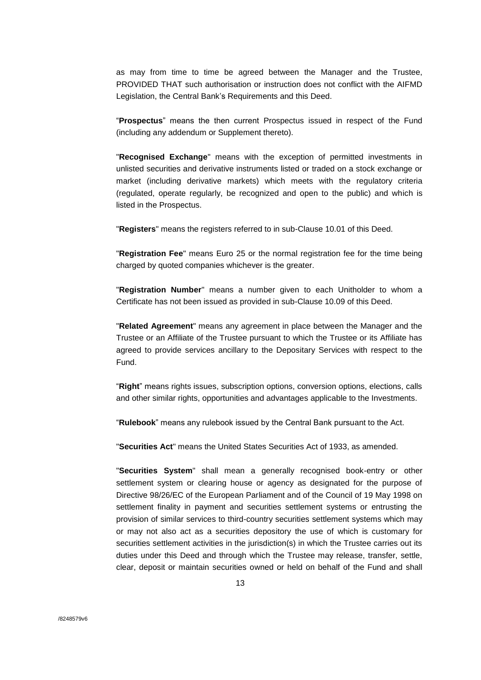as may from time to time be agreed between the Manager and the Trustee, PROVIDED THAT such authorisation or instruction does not conflict with the AIFMD Legislation, the Central Bank's Requirements and this Deed.

"**Prospectus**" means the then current Prospectus issued in respect of the Fund (including any addendum or Supplement thereto).

"**Recognised Exchange**" means with the exception of permitted investments in unlisted securities and derivative instruments listed or traded on a stock exchange or market (including derivative markets) which meets with the regulatory criteria (regulated, operate regularly, be recognized and open to the public) and which is listed in the Prospectus.

"**Registers**" means the registers referred to in sub-Clause 10.01 of this Deed.

"**Registration Fee**" means Euro 25 or the normal registration fee for the time being charged by quoted companies whichever is the greater.

"**Registration Number**" means a number given to each Unitholder to whom a Certificate has not been issued as provided in sub-Clause 10.09 of this Deed.

"**Related Agreement**" means any agreement in place between the Manager and the Trustee or an Affiliate of the Trustee pursuant to which the Trustee or its Affiliate has agreed to provide services ancillary to the Depositary Services with respect to the Fund.

"**Right**" means rights issues, subscription options, conversion options, elections, calls and other similar rights, opportunities and advantages applicable to the Investments.

"**Rulebook**" means any rulebook issued by the Central Bank pursuant to the Act.

"**Securities Act**" means the United States Securities Act of 1933, as amended.

"**Securities System**" shall mean a generally recognised book-entry or other settlement system or clearing house or agency as designated for the purpose of Directive 98/26/EC of the European Parliament and of the Council of 19 May 1998 on settlement finality in payment and securities settlement systems or entrusting the provision of similar services to third-country securities settlement systems which may or may not also act as a securities depository the use of which is customary for securities settlement activities in the jurisdiction(s) in which the Trustee carries out its duties under this Deed and through which the Trustee may release, transfer, settle, clear, deposit or maintain securities owned or held on behalf of the Fund and shall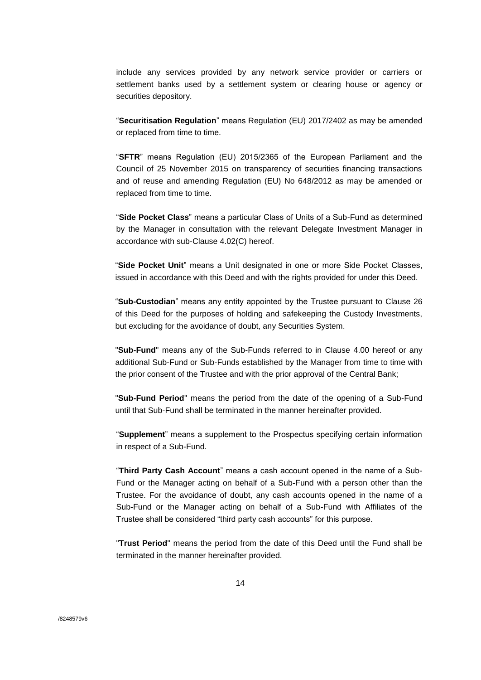include any services provided by any network service provider or carriers or settlement banks used by a settlement system or clearing house or agency or securities depository.

"**Securitisation Regulation**" means Regulation (EU) 2017/2402 as may be amended or replaced from time to time.

"**SFTR**" means Regulation (EU) 2015/2365 of the European Parliament and the Council of 25 November 2015 on transparency of securities financing transactions and of reuse and amending Regulation (EU) No 648/2012 as may be amended or replaced from time to time.

"**Side Pocket Class**" means a particular Class of Units of a Sub-Fund as determined by the Manager in consultation with the relevant Delegate Investment Manager in accordance with sub-Clause 4.02(C) hereof.

"**Side Pocket Unit**" means a Unit designated in one or more Side Pocket Classes, issued in accordance with this Deed and with the rights provided for under this Deed.

"**Sub-Custodian**" means any entity appointed by the Trustee pursuant to Clause 26 of this Deed for the purposes of holding and safekeeping the Custody Investments, but excluding for the avoidance of doubt, any Securities System.

"**Sub-Fund**" means any of the Sub-Funds referred to in Clause 4.00 hereof or any additional Sub-Fund or Sub-Funds established by the Manager from time to time with the prior consent of the Trustee and with the prior approval of the Central Bank;

"**Sub-Fund Period**" means the period from the date of the opening of a Sub-Fund until that Sub-Fund shall be terminated in the manner hereinafter provided.

"**Supplement**" means a supplement to the Prospectus specifying certain information in respect of a Sub-Fund.

"**Third Party Cash Account**" means a cash account opened in the name of a Sub-Fund or the Manager acting on behalf of a Sub-Fund with a person other than the Trustee. For the avoidance of doubt, any cash accounts opened in the name of a Sub-Fund or the Manager acting on behalf of a Sub-Fund with Affiliates of the Trustee shall be considered "third party cash accounts" for this purpose.

"**Trust Period**" means the period from the date of this Deed until the Fund shall be terminated in the manner hereinafter provided.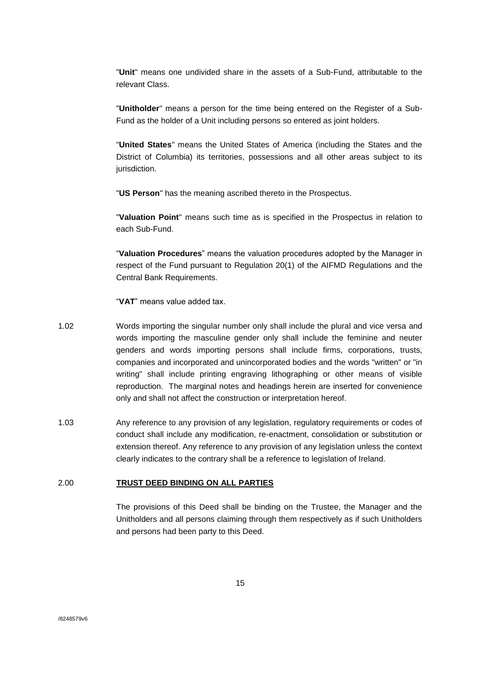"**Unit**" means one undivided share in the assets of a Sub-Fund, attributable to the relevant Class.

"**Unitholder**" means a person for the time being entered on the Register of a Sub-Fund as the holder of a Unit including persons so entered as joint holders.

"**United States**" means the United States of America (including the States and the District of Columbia) its territories, possessions and all other areas subject to its jurisdiction.

"**US Person**" has the meaning ascribed thereto in the Prospectus.

"**Valuation Point**" means such time as is specified in the Prospectus in relation to each Sub-Fund.

"**Valuation Procedures**" means the valuation procedures adopted by the Manager in respect of the Fund pursuant to Regulation 20(1) of the AIFMD Regulations and the Central Bank Requirements.

"**VAT**" means value added tax.

- 1.02 Words importing the singular number only shall include the plural and vice versa and words importing the masculine gender only shall include the feminine and neuter genders and words importing persons shall include firms, corporations, trusts, companies and incorporated and unincorporated bodies and the words "written" or "in writing" shall include printing engraving lithographing or other means of visible reproduction. The marginal notes and headings herein are inserted for convenience only and shall not affect the construction or interpretation hereof.
- 1.03 Any reference to any provision of any legislation, regulatory requirements or codes of conduct shall include any modification, re-enactment, consolidation or substitution or extension thereof. Any reference to any provision of any legislation unless the context clearly indicates to the contrary shall be a reference to legislation of Ireland.

#### <span id="page-14-0"></span>2.00 **TRUST DEED BINDING ON ALL PARTIES**

The provisions of this Deed shall be binding on the Trustee, the Manager and the Unitholders and all persons claiming through them respectively as if such Unitholders and persons had been party to this Deed.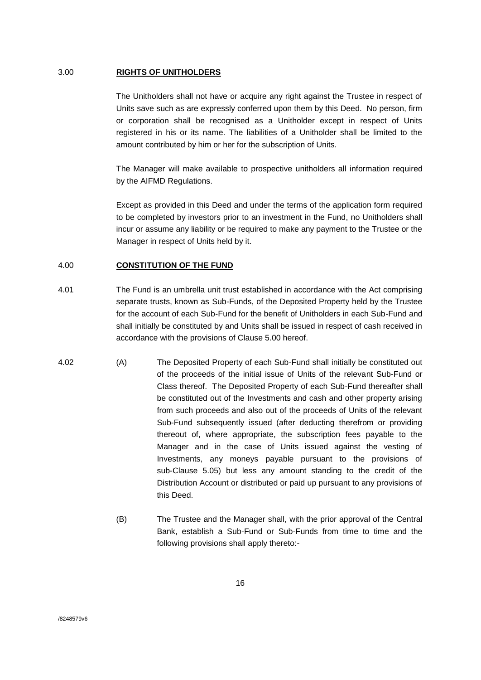#### <span id="page-15-0"></span>3.00 **RIGHTS OF UNITHOLDERS**

The Unitholders shall not have or acquire any right against the Trustee in respect of Units save such as are expressly conferred upon them by this Deed. No person, firm or corporation shall be recognised as a Unitholder except in respect of Units registered in his or its name. The liabilities of a Unitholder shall be limited to the amount contributed by him or her for the subscription of Units.

The Manager will make available to prospective unitholders all information required by the AIFMD Regulations.

Except as provided in this Deed and under the terms of the application form required to be completed by investors prior to an investment in the Fund, no Unitholders shall incur or assume any liability or be required to make any payment to the Trustee or the Manager in respect of Units held by it.

#### <span id="page-15-1"></span>4.00 **CONSTITUTION OF THE FUND**

- 4.01 The Fund is an umbrella unit trust established in accordance with the Act comprising separate trusts, known as Sub-Funds, of the Deposited Property held by the Trustee for the account of each Sub-Fund for the benefit of Unitholders in each Sub-Fund and shall initially be constituted by and Units shall be issued in respect of cash received in accordance with the provisions of Clause 5.00 hereof.
- 4.02 (A) The Deposited Property of each Sub-Fund shall initially be constituted out of the proceeds of the initial issue of Units of the relevant Sub-Fund or Class thereof. The Deposited Property of each Sub-Fund thereafter shall be constituted out of the Investments and cash and other property arising from such proceeds and also out of the proceeds of Units of the relevant Sub-Fund subsequently issued (after deducting therefrom or providing thereout of, where appropriate, the subscription fees payable to the Manager and in the case of Units issued against the vesting of Investments, any moneys payable pursuant to the provisions of sub-Clause 5.05) but less any amount standing to the credit of the Distribution Account or distributed or paid up pursuant to any provisions of this Deed.
	- (B) The Trustee and the Manager shall, with the prior approval of the Central Bank, establish a Sub-Fund or Sub-Funds from time to time and the following provisions shall apply thereto:-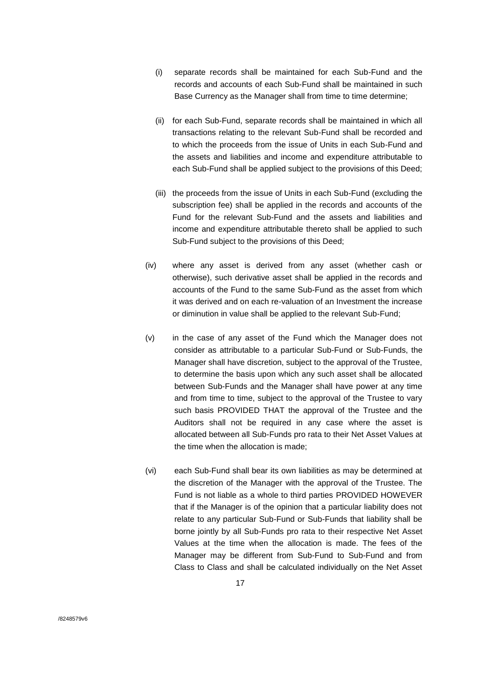- (i) separate records shall be maintained for each Sub-Fund and the records and accounts of each Sub-Fund shall be maintained in such Base Currency as the Manager shall from time to time determine;
- (ii) for each Sub-Fund, separate records shall be maintained in which all transactions relating to the relevant Sub-Fund shall be recorded and to which the proceeds from the issue of Units in each Sub-Fund and the assets and liabilities and income and expenditure attributable to each Sub-Fund shall be applied subject to the provisions of this Deed;
- (iii) the proceeds from the issue of Units in each Sub-Fund (excluding the subscription fee) shall be applied in the records and accounts of the Fund for the relevant Sub-Fund and the assets and liabilities and income and expenditure attributable thereto shall be applied to such Sub-Fund subject to the provisions of this Deed;
- (iv) where any asset is derived from any asset (whether cash or otherwise), such derivative asset shall be applied in the records and accounts of the Fund to the same Sub-Fund as the asset from which it was derived and on each re-valuation of an Investment the increase or diminution in value shall be applied to the relevant Sub-Fund;
- (v) in the case of any asset of the Fund which the Manager does not consider as attributable to a particular Sub-Fund or Sub-Funds, the Manager shall have discretion, subject to the approval of the Trustee, to determine the basis upon which any such asset shall be allocated between Sub-Funds and the Manager shall have power at any time and from time to time, subject to the approval of the Trustee to vary such basis PROVIDED THAT the approval of the Trustee and the Auditors shall not be required in any case where the asset is allocated between all Sub-Funds pro rata to their Net Asset Values at the time when the allocation is made;
- (vi) each Sub-Fund shall bear its own liabilities as may be determined at the discretion of the Manager with the approval of the Trustee. The Fund is not liable as a whole to third parties PROVIDED HOWEVER that if the Manager is of the opinion that a particular liability does not relate to any particular Sub-Fund or Sub-Funds that liability shall be borne jointly by all Sub-Funds pro rata to their respective Net Asset Values at the time when the allocation is made. The fees of the Manager may be different from Sub-Fund to Sub-Fund and from Class to Class and shall be calculated individually on the Net Asset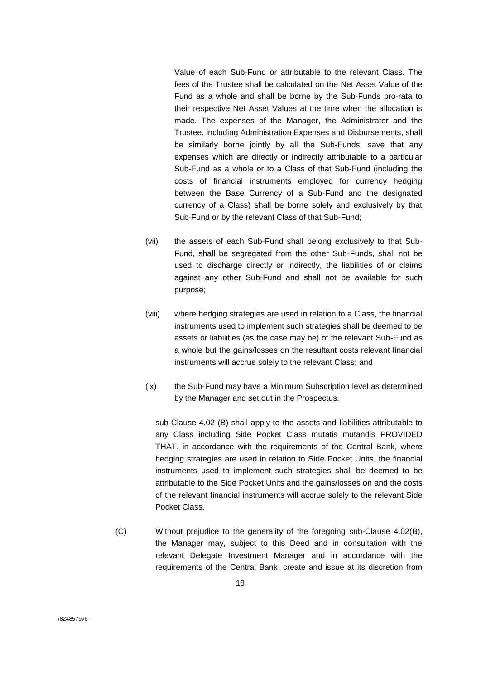Value of each Sub-Fund or attributable to the relevant Class. The fees of the Trustee shall be calculated on the Net Asset Value of the Fund as a whole and shall be borne by the Sub-Funds pro-rata to their respective Net Asset Values at the time when the allocation is made. The expenses of the Manager, the Administrator and the Trustee, including Administration Expenses and Disbursements, shall be similarly borne jointly by all the Sub-Funds, save that any expenses which are directly or indirectly attributable to a particular Sub-Fund as a whole or to a Class of that Sub-Fund (including the costs of financial instruments employed for currency hedging between the Base Currency of a Sub-Fund and the designated currency of a Class) shall be borne solely and exclusively by that Sub-Fund or by the relevant Class of that Sub-Fund;

- (vii) the assets of each Sub-Fund shall belong exclusively to that Sub-Fund, shall be segregated from the other Sub-Funds, shall not be used to discharge directly or indirectly, the liabilities of or claims against any other Sub-Fund and shall not be available for such purpose;
- (viii) where hedging strategies are used in relation to a Class, the financial instruments used to implement such strategies shall be deemed to be assets or liabilities (as the case may be) of the relevant Sub-Fund as a whole but the gains/losses on the resultant costs relevant financial instruments will accrue solely to the relevant Class; and
- (ix) the Sub-Fund may have a Minimum Subscription level as determined by the Manager and set out in the Prospectus.

sub-Clause 4.02 (B) shall apply to the assets and liabilities attributable to any Class including Side Pocket Class mutatis mutandis PROVIDED THAT, in accordance with the requirements of the Central Bank, where hedging strategies are used in relation to Side Pocket Units, the financial instruments used to implement such strategies shall be deemed to be attributable to the Side Pocket Units and the gains/losses on and the costs of the relevant financial instruments will accrue solely to the relevant Side Pocket Class.

(C) Without prejudice to the generality of the foregoing sub-Clause 4.02(B), the Manager may, subject to this Deed and in consultation with the relevant Delegate Investment Manager and in accordance with the requirements of the Central Bank, create and issue at its discretion from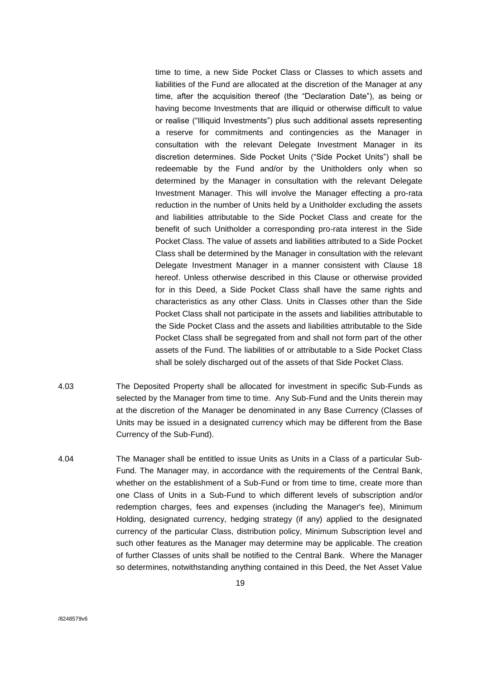time to time, a new Side Pocket Class or Classes to which assets and liabilities of the Fund are allocated at the discretion of the Manager at any time, after the acquisition thereof (the "Declaration Date"), as being or having become Investments that are illiquid or otherwise difficult to value or realise ("Illiquid Investments") plus such additional assets representing a reserve for commitments and contingencies as the Manager in consultation with the relevant Delegate Investment Manager in its discretion determines. Side Pocket Units ("Side Pocket Units") shall be redeemable by the Fund and/or by the Unitholders only when so determined by the Manager in consultation with the relevant Delegate Investment Manager. This will involve the Manager effecting a pro-rata reduction in the number of Units held by a Unitholder excluding the assets and liabilities attributable to the Side Pocket Class and create for the benefit of such Unitholder a corresponding pro-rata interest in the Side Pocket Class. The value of assets and liabilities attributed to a Side Pocket Class shall be determined by the Manager in consultation with the relevant Delegate Investment Manager in a manner consistent with Clause 18 hereof. Unless otherwise described in this Clause or otherwise provided for in this Deed, a Side Pocket Class shall have the same rights and characteristics as any other Class. Units in Classes other than the Side Pocket Class shall not participate in the assets and liabilities attributable to the Side Pocket Class and the assets and liabilities attributable to the Side Pocket Class shall be segregated from and shall not form part of the other assets of the Fund. The liabilities of or attributable to a Side Pocket Class shall be solely discharged out of the assets of that Side Pocket Class.

- 4.03 The Deposited Property shall be allocated for investment in specific Sub-Funds as selected by the Manager from time to time. Any Sub-Fund and the Units therein may at the discretion of the Manager be denominated in any Base Currency (Classes of Units may be issued in a designated currency which may be different from the Base Currency of the Sub-Fund).
- 4.04 The Manager shall be entitled to issue Units as Units in a Class of a particular Sub-Fund. The Manager may, in accordance with the requirements of the Central Bank, whether on the establishment of a Sub-Fund or from time to time, create more than one Class of Units in a Sub-Fund to which different levels of subscription and/or redemption charges, fees and expenses (including the Manager's fee), Minimum Holding, designated currency, hedging strategy (if any) applied to the designated currency of the particular Class, distribution policy, Minimum Subscription level and such other features as the Manager may determine may be applicable. The creation of further Classes of units shall be notified to the Central Bank. Where the Manager so determines, notwithstanding anything contained in this Deed, the Net Asset Value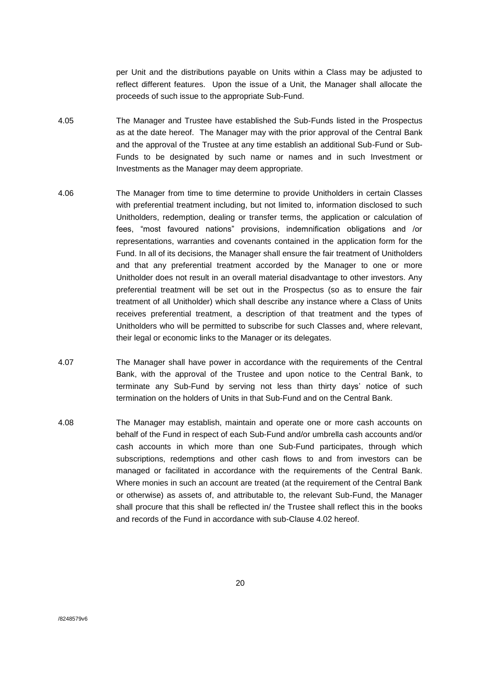per Unit and the distributions payable on Units within a Class may be adjusted to reflect different features. Upon the issue of a Unit, the Manager shall allocate the proceeds of such issue to the appropriate Sub-Fund.

- 4.05 The Manager and Trustee have established the Sub-Funds listed in the Prospectus as at the date hereof. The Manager may with the prior approval of the Central Bank and the approval of the Trustee at any time establish an additional Sub-Fund or Sub-Funds to be designated by such name or names and in such Investment or Investments as the Manager may deem appropriate.
- 4.06 The Manager from time to time determine to provide Unitholders in certain Classes with preferential treatment including, but not limited to, information disclosed to such Unitholders, redemption, dealing or transfer terms, the application or calculation of fees, "most favoured nations" provisions, indemnification obligations and /or representations, warranties and covenants contained in the application form for the Fund. In all of its decisions, the Manager shall ensure the fair treatment of Unitholders and that any preferential treatment accorded by the Manager to one or more Unitholder does not result in an overall material disadvantage to other investors. Any preferential treatment will be set out in the Prospectus (so as to ensure the fair treatment of all Unitholder) which shall describe any instance where a Class of Units receives preferential treatment, a description of that treatment and the types of Unitholders who will be permitted to subscribe for such Classes and, where relevant, their legal or economic links to the Manager or its delegates.
- 4.07 The Manager shall have power in accordance with the requirements of the Central Bank, with the approval of the Trustee and upon notice to the Central Bank, to terminate any Sub-Fund by serving not less than thirty days' notice of such termination on the holders of Units in that Sub-Fund and on the Central Bank.
- 4.08 The Manager may establish, maintain and operate one or more cash accounts on behalf of the Fund in respect of each Sub-Fund and/or umbrella cash accounts and/or cash accounts in which more than one Sub-Fund participates, through which subscriptions, redemptions and other cash flows to and from investors can be managed or facilitated in accordance with the requirements of the Central Bank. Where monies in such an account are treated (at the requirement of the Central Bank or otherwise) as assets of, and attributable to, the relevant Sub-Fund, the Manager shall procure that this shall be reflected in/ the Trustee shall reflect this in the books and records of the Fund in accordance with sub-Clause 4.02 hereof.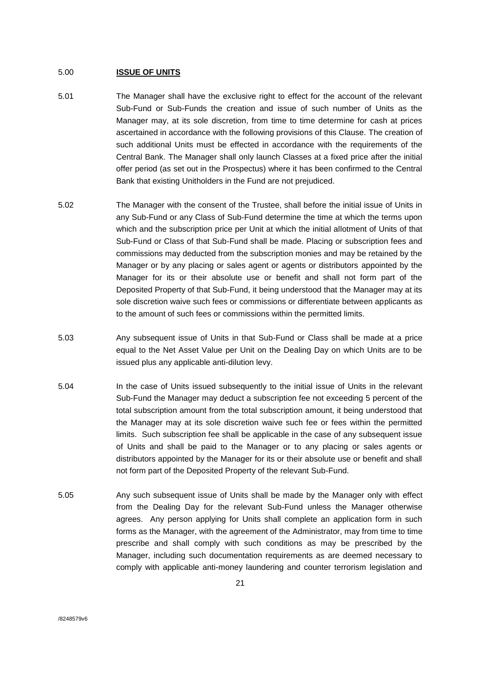#### <span id="page-20-0"></span>5.00 **ISSUE OF UNITS**

- 5.01 The Manager shall have the exclusive right to effect for the account of the relevant Sub-Fund or Sub-Funds the creation and issue of such number of Units as the Manager may, at its sole discretion, from time to time determine for cash at prices ascertained in accordance with the following provisions of this Clause. The creation of such additional Units must be effected in accordance with the requirements of the Central Bank. The Manager shall only launch Classes at a fixed price after the initial offer period (as set out in the Prospectus) where it has been confirmed to the Central Bank that existing Unitholders in the Fund are not prejudiced.
- 5.02 The Manager with the consent of the Trustee, shall before the initial issue of Units in any Sub-Fund or any Class of Sub-Fund determine the time at which the terms upon which and the subscription price per Unit at which the initial allotment of Units of that Sub-Fund or Class of that Sub-Fund shall be made. Placing or subscription fees and commissions may deducted from the subscription monies and may be retained by the Manager or by any placing or sales agent or agents or distributors appointed by the Manager for its or their absolute use or benefit and shall not form part of the Deposited Property of that Sub-Fund, it being understood that the Manager may at its sole discretion waive such fees or commissions or differentiate between applicants as to the amount of such fees or commissions within the permitted limits.
- 5.03 Any subsequent issue of Units in that Sub-Fund or Class shall be made at a price equal to the Net Asset Value per Unit on the Dealing Day on which Units are to be issued plus any applicable anti-dilution levy.
- 5.04 In the case of Units issued subsequently to the initial issue of Units in the relevant Sub-Fund the Manager may deduct a subscription fee not exceeding 5 percent of the total subscription amount from the total subscription amount, it being understood that the Manager may at its sole discretion waive such fee or fees within the permitted limits. Such subscription fee shall be applicable in the case of any subsequent issue of Units and shall be paid to the Manager or to any placing or sales agents or distributors appointed by the Manager for its or their absolute use or benefit and shall not form part of the Deposited Property of the relevant Sub-Fund.
- 5.05 Any such subsequent issue of Units shall be made by the Manager only with effect from the Dealing Day for the relevant Sub-Fund unless the Manager otherwise agrees. Any person applying for Units shall complete an application form in such forms as the Manager, with the agreement of the Administrator, may from time to time prescribe and shall comply with such conditions as may be prescribed by the Manager, including such documentation requirements as are deemed necessary to comply with applicable anti-money laundering and counter terrorism legislation and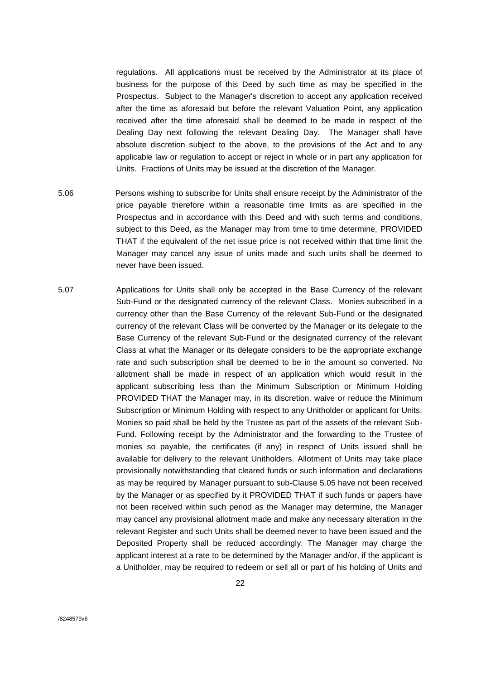regulations. All applications must be received by the Administrator at its place of business for the purpose of this Deed by such time as may be specified in the Prospectus. Subject to the Manager's discretion to accept any application received after the time as aforesaid but before the relevant Valuation Point, any application received after the time aforesaid shall be deemed to be made in respect of the Dealing Day next following the relevant Dealing Day. The Manager shall have absolute discretion subject to the above, to the provisions of the Act and to any applicable law or regulation to accept or reject in whole or in part any application for Units. Fractions of Units may be issued at the discretion of the Manager.

- 5.06 Persons wishing to subscribe for Units shall ensure receipt by the Administrator of the price payable therefore within a reasonable time limits as are specified in the Prospectus and in accordance with this Deed and with such terms and conditions, subject to this Deed, as the Manager may from time to time determine, PROVIDED THAT if the equivalent of the net issue price is not received within that time limit the Manager may cancel any issue of units made and such units shall be deemed to never have been issued.
- 5.07 Applications for Units shall only be accepted in the Base Currency of the relevant Sub-Fund or the designated currency of the relevant Class. Monies subscribed in a currency other than the Base Currency of the relevant Sub-Fund or the designated currency of the relevant Class will be converted by the Manager or its delegate to the Base Currency of the relevant Sub-Fund or the designated currency of the relevant Class at what the Manager or its delegate considers to be the appropriate exchange rate and such subscription shall be deemed to be in the amount so converted. No allotment shall be made in respect of an application which would result in the applicant subscribing less than the Minimum Subscription or Minimum Holding PROVIDED THAT the Manager may, in its discretion, waive or reduce the Minimum Subscription or Minimum Holding with respect to any Unitholder or applicant for Units. Monies so paid shall be held by the Trustee as part of the assets of the relevant Sub-Fund. Following receipt by the Administrator and the forwarding to the Trustee of monies so payable, the certificates (if any) in respect of Units issued shall be available for delivery to the relevant Unitholders. Allotment of Units may take place provisionally notwithstanding that cleared funds or such information and declarations as may be required by Manager pursuant to sub-Clause 5.05 have not been received by the Manager or as specified by it PROVIDED THAT if such funds or papers have not been received within such period as the Manager may determine, the Manager may cancel any provisional allotment made and make any necessary alteration in the relevant Register and such Units shall be deemed never to have been issued and the Deposited Property shall be reduced accordingly. The Manager may charge the applicant interest at a rate to be determined by the Manager and/or, if the applicant is a Unitholder, may be required to redeem or sell all or part of his holding of Units and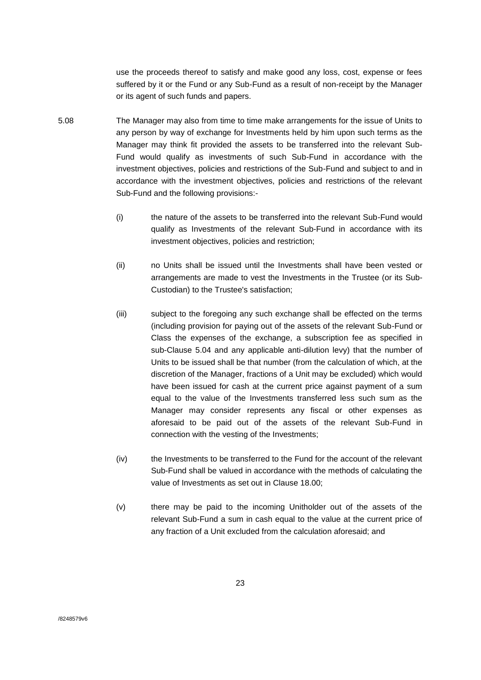use the proceeds thereof to satisfy and make good any loss, cost, expense or fees suffered by it or the Fund or any Sub-Fund as a result of non-receipt by the Manager or its agent of such funds and papers.

- 5.08 The Manager may also from time to time make arrangements for the issue of Units to any person by way of exchange for Investments held by him upon such terms as the Manager may think fit provided the assets to be transferred into the relevant Sub-Fund would qualify as investments of such Sub-Fund in accordance with the investment objectives, policies and restrictions of the Sub-Fund and subject to and in accordance with the investment objectives, policies and restrictions of the relevant Sub-Fund and the following provisions:-
	- (i) the nature of the assets to be transferred into the relevant Sub-Fund would qualify as Investments of the relevant Sub-Fund in accordance with its investment objectives, policies and restriction;
	- (ii) no Units shall be issued until the Investments shall have been vested or arrangements are made to vest the Investments in the Trustee (or its Sub-Custodian) to the Trustee's satisfaction;
	- (iii) subject to the foregoing any such exchange shall be effected on the terms (including provision for paying out of the assets of the relevant Sub-Fund or Class the expenses of the exchange, a subscription fee as specified in sub-Clause 5.04 and any applicable anti-dilution levy) that the number of Units to be issued shall be that number (from the calculation of which, at the discretion of the Manager, fractions of a Unit may be excluded) which would have been issued for cash at the current price against payment of a sum equal to the value of the Investments transferred less such sum as the Manager may consider represents any fiscal or other expenses as aforesaid to be paid out of the assets of the relevant Sub-Fund in connection with the vesting of the Investments;
	- (iv) the Investments to be transferred to the Fund for the account of the relevant Sub-Fund shall be valued in accordance with the methods of calculating the value of Investments as set out in Clause 18.00;
	- (v) there may be paid to the incoming Unitholder out of the assets of the relevant Sub-Fund a sum in cash equal to the value at the current price of any fraction of a Unit excluded from the calculation aforesaid; and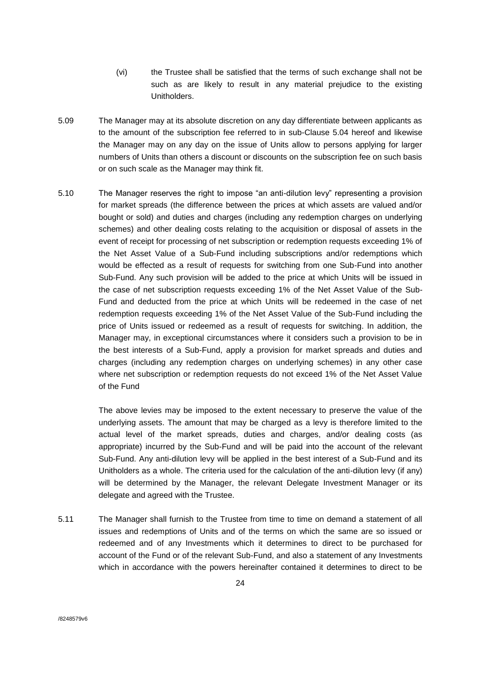- (vi) the Trustee shall be satisfied that the terms of such exchange shall not be such as are likely to result in any material prejudice to the existing Unitholders.
- 5.09 The Manager may at its absolute discretion on any day differentiate between applicants as to the amount of the subscription fee referred to in sub-Clause 5.04 hereof and likewise the Manager may on any day on the issue of Units allow to persons applying for larger numbers of Units than others a discount or discounts on the subscription fee on such basis or on such scale as the Manager may think fit.
- 5.10 The Manager reserves the right to impose "an anti-dilution levy" representing a provision for market spreads (the difference between the prices at which assets are valued and/or bought or sold) and duties and charges (including any redemption charges on underlying schemes) and other dealing costs relating to the acquisition or disposal of assets in the event of receipt for processing of net subscription or redemption requests exceeding 1% of the Net Asset Value of a Sub-Fund including subscriptions and/or redemptions which would be effected as a result of requests for switching from one Sub-Fund into another Sub-Fund. Any such provision will be added to the price at which Units will be issued in the case of net subscription requests exceeding 1% of the Net Asset Value of the Sub-Fund and deducted from the price at which Units will be redeemed in the case of net redemption requests exceeding 1% of the Net Asset Value of the Sub-Fund including the price of Units issued or redeemed as a result of requests for switching. In addition, the Manager may, in exceptional circumstances where it considers such a provision to be in the best interests of a Sub-Fund, apply a provision for market spreads and duties and charges (including any redemption charges on underlying schemes) in any other case where net subscription or redemption requests do not exceed 1% of the Net Asset Value of the Fund

The above levies may be imposed to the extent necessary to preserve the value of the underlying assets. The amount that may be charged as a levy is therefore limited to the actual level of the market spreads, duties and charges, and/or dealing costs (as appropriate) incurred by the Sub-Fund and will be paid into the account of the relevant Sub-Fund. Any anti-dilution levy will be applied in the best interest of a Sub-Fund and its Unitholders as a whole. The criteria used for the calculation of the anti-dilution levy (if any) will be determined by the Manager, the relevant Delegate Investment Manager or its delegate and agreed with the Trustee.

5.11 The Manager shall furnish to the Trustee from time to time on demand a statement of all issues and redemptions of Units and of the terms on which the same are so issued or redeemed and of any Investments which it determines to direct to be purchased for account of the Fund or of the relevant Sub-Fund, and also a statement of any Investments which in accordance with the powers hereinafter contained it determines to direct to be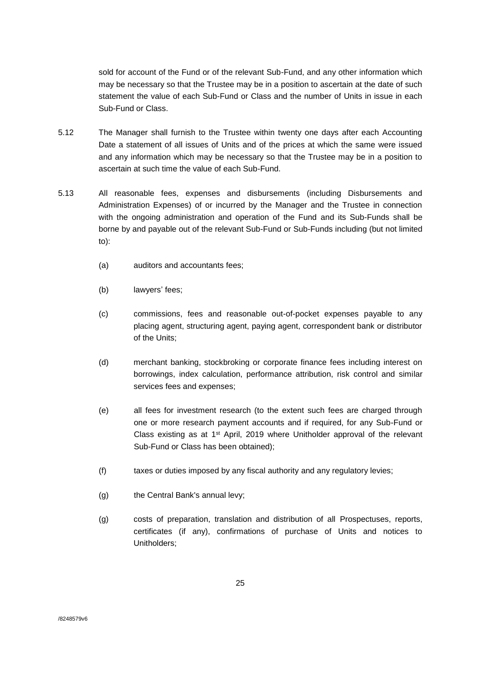sold for account of the Fund or of the relevant Sub-Fund, and any other information which may be necessary so that the Trustee may be in a position to ascertain at the date of such statement the value of each Sub-Fund or Class and the number of Units in issue in each Sub-Fund or Class.

- 5.12 The Manager shall furnish to the Trustee within twenty one days after each Accounting Date a statement of all issues of Units and of the prices at which the same were issued and any information which may be necessary so that the Trustee may be in a position to ascertain at such time the value of each Sub-Fund.
- 5.13 All reasonable fees, expenses and disbursements (including Disbursements and Administration Expenses) of or incurred by the Manager and the Trustee in connection with the ongoing administration and operation of the Fund and its Sub-Funds shall be borne by and payable out of the relevant Sub-Fund or Sub-Funds including (but not limited to):
	- (a) auditors and accountants fees;
	- (b) lawyers' fees;
	- (c) commissions, fees and reasonable out-of-pocket expenses payable to any placing agent, structuring agent, paying agent, correspondent bank or distributor of the Units;
	- (d) merchant banking, stockbroking or corporate finance fees including interest on borrowings, index calculation, performance attribution, risk control and similar services fees and expenses;
	- (e) all fees for investment research (to the extent such fees are charged through one or more research payment accounts and if required, for any Sub-Fund or Class existing as at  $1<sup>st</sup>$  April, 2019 where Unitholder approval of the relevant Sub-Fund or Class has been obtained);
	- (f) taxes or duties imposed by any fiscal authority and any regulatory levies;
	- (g) the Central Bank's annual levy;
	- (g) costs of preparation, translation and distribution of all Prospectuses, reports, certificates (if any), confirmations of purchase of Units and notices to Unitholders;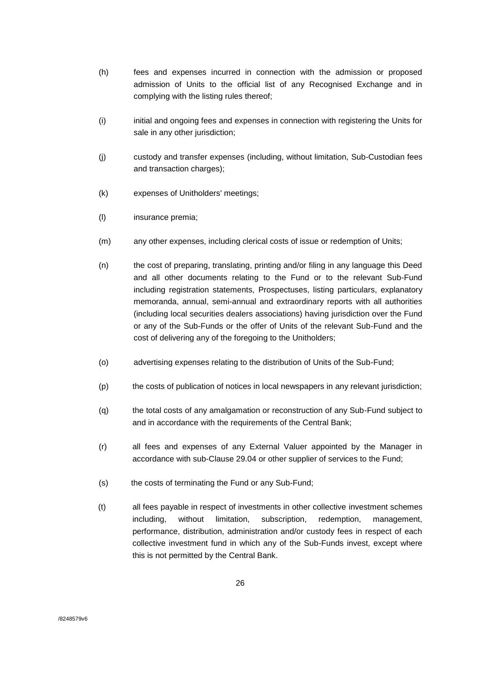- (h) fees and expenses incurred in connection with the admission or proposed admission of Units to the official list of any Recognised Exchange and in complying with the listing rules thereof;
- (i) initial and ongoing fees and expenses in connection with registering the Units for sale in any other jurisdiction;
- (j) custody and transfer expenses (including, without limitation, Sub-Custodian fees and transaction charges);
- (k) expenses of Unitholders' meetings;
- (l) insurance premia;
- (m) any other expenses, including clerical costs of issue or redemption of Units;
- (n) the cost of preparing, translating, printing and/or filing in any language this Deed and all other documents relating to the Fund or to the relevant Sub-Fund including registration statements, Prospectuses, listing particulars, explanatory memoranda, annual, semi-annual and extraordinary reports with all authorities (including local securities dealers associations) having jurisdiction over the Fund or any of the Sub-Funds or the offer of Units of the relevant Sub-Fund and the cost of delivering any of the foregoing to the Unitholders;
- (o) advertising expenses relating to the distribution of Units of the Sub-Fund;
- (p) the costs of publication of notices in local newspapers in any relevant jurisdiction;
- (q) the total costs of any amalgamation or reconstruction of any Sub-Fund subject to and in accordance with the requirements of the Central Bank;
- (r) all fees and expenses of any External Valuer appointed by the Manager in accordance with sub-Clause 29.04 or other supplier of services to the Fund;
- (s) the costs of terminating the Fund or any Sub-Fund;
- (t) all fees payable in respect of investments in other collective investment schemes including, without limitation, subscription, redemption, management, performance, distribution, administration and/or custody fees in respect of each collective investment fund in which any of the Sub-Funds invest, except where this is not permitted by the Central Bank.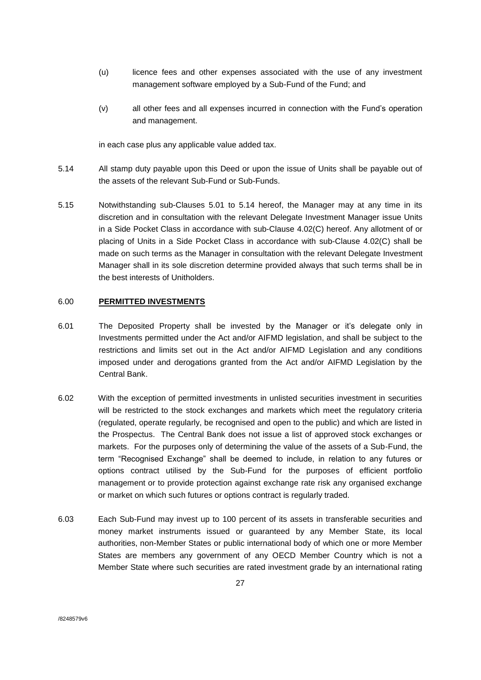- (u) licence fees and other expenses associated with the use of any investment management software employed by a Sub-Fund of the Fund; and
- (v) all other fees and all expenses incurred in connection with the Fund's operation and management.

in each case plus any applicable value added tax.

- 5.14 All stamp duty payable upon this Deed or upon the issue of Units shall be payable out of the assets of the relevant Sub-Fund or Sub-Funds.
- 5.15 Notwithstanding sub-Clauses 5.01 to 5.14 hereof, the Manager may at any time in its discretion and in consultation with the relevant Delegate Investment Manager issue Units in a Side Pocket Class in accordance with sub-Clause 4.02(C) hereof. Any allotment of or placing of Units in a Side Pocket Class in accordance with sub-Clause 4.02(C) shall be made on such terms as the Manager in consultation with the relevant Delegate Investment Manager shall in its sole discretion determine provided always that such terms shall be in the best interests of Unitholders.

### <span id="page-26-0"></span>6.00 **PERMITTED INVESTMENTS**

- 6.01 The Deposited Property shall be invested by the Manager or it's delegate only in Investments permitted under the Act and/or AIFMD legislation, and shall be subject to the restrictions and limits set out in the Act and/or AIFMD Legislation and any conditions imposed under and derogations granted from the Act and/or AIFMD Legislation by the Central Bank.
- 6.02 With the exception of permitted investments in unlisted securities investment in securities will be restricted to the stock exchanges and markets which meet the regulatory criteria (regulated, operate regularly, be recognised and open to the public) and which are listed in the Prospectus. The Central Bank does not issue a list of approved stock exchanges or markets. For the purposes only of determining the value of the assets of a Sub-Fund, the term "Recognised Exchange" shall be deemed to include, in relation to any futures or options contract utilised by the Sub-Fund for the purposes of efficient portfolio management or to provide protection against exchange rate risk any organised exchange or market on which such futures or options contract is regularly traded.
- 6.03 Each Sub-Fund may invest up to 100 percent of its assets in transferable securities and money market instruments issued or guaranteed by any Member State, its local authorities, non-Member States or public international body of which one or more Member States are members any government of any OECD Member Country which is not a Member State where such securities are rated investment grade by an international rating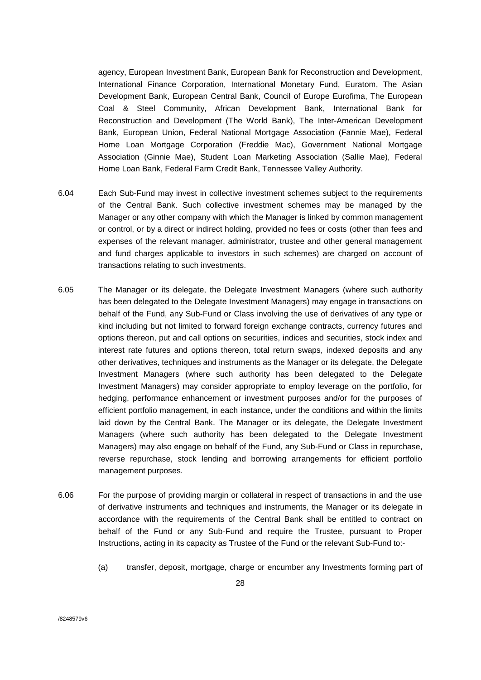agency, European Investment Bank, European Bank for Reconstruction and Development, International Finance Corporation, International Monetary Fund, Euratom, The Asian Development Bank, European Central Bank, Council of Europe Eurofima, The European Coal & Steel Community, African Development Bank, International Bank for Reconstruction and Development (The World Bank), The Inter-American Development Bank, European Union, Federal National Mortgage Association (Fannie Mae), Federal Home Loan Mortgage Corporation (Freddie Mac), Government National Mortgage Association (Ginnie Mae), Student Loan Marketing Association (Sallie Mae), Federal Home Loan Bank, Federal Farm Credit Bank, Tennessee Valley Authority.

- 6.04 Each Sub-Fund may invest in collective investment schemes subject to the requirements of the Central Bank. Such collective investment schemes may be managed by the Manager or any other company with which the Manager is linked by common management or control, or by a direct or indirect holding, provided no fees or costs (other than fees and expenses of the relevant manager, administrator, trustee and other general management and fund charges applicable to investors in such schemes) are charged on account of transactions relating to such investments.
- 6.05 The Manager or its delegate, the Delegate Investment Managers (where such authority has been delegated to the Delegate Investment Managers) may engage in transactions on behalf of the Fund, any Sub-Fund or Class involving the use of derivatives of any type or kind including but not limited to forward foreign exchange contracts, currency futures and options thereon, put and call options on securities, indices and securities, stock index and interest rate futures and options thereon, total return swaps, indexed deposits and any other derivatives, techniques and instruments as the Manager or its delegate, the Delegate Investment Managers (where such authority has been delegated to the Delegate Investment Managers) may consider appropriate to employ leverage on the portfolio, for hedging, performance enhancement or investment purposes and/or for the purposes of efficient portfolio management, in each instance, under the conditions and within the limits laid down by the Central Bank. The Manager or its delegate, the Delegate Investment Managers (where such authority has been delegated to the Delegate Investment Managers) may also engage on behalf of the Fund, any Sub-Fund or Class in repurchase, reverse repurchase, stock lending and borrowing arrangements for efficient portfolio management purposes.
- 6.06 For the purpose of providing margin or collateral in respect of transactions in and the use of derivative instruments and techniques and instruments, the Manager or its delegate in accordance with the requirements of the Central Bank shall be entitled to contract on behalf of the Fund or any Sub-Fund and require the Trustee, pursuant to Proper Instructions, acting in its capacity as Trustee of the Fund or the relevant Sub-Fund to:-
	- (a) transfer, deposit, mortgage, charge or encumber any Investments forming part of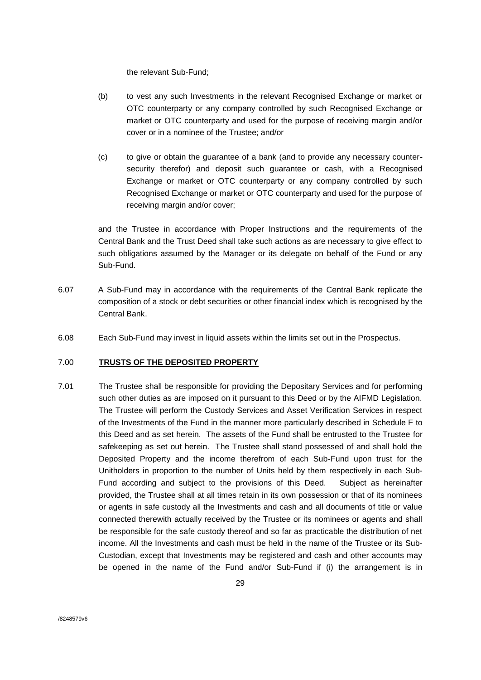the relevant Sub-Fund;

- (b) to vest any such Investments in the relevant Recognised Exchange or market or OTC counterparty or any company controlled by such Recognised Exchange or market or OTC counterparty and used for the purpose of receiving margin and/or cover or in a nominee of the Trustee; and/or
- (c) to give or obtain the guarantee of a bank (and to provide any necessary countersecurity therefor) and deposit such guarantee or cash, with a Recognised Exchange or market or OTC counterparty or any company controlled by such Recognised Exchange or market or OTC counterparty and used for the purpose of receiving margin and/or cover;

and the Trustee in accordance with Proper Instructions and the requirements of the Central Bank and the Trust Deed shall take such actions as are necessary to give effect to such obligations assumed by the Manager or its delegate on behalf of the Fund or any Sub-Fund.

- 6.07 A Sub-Fund may in accordance with the requirements of the Central Bank replicate the composition of a stock or debt securities or other financial index which is recognised by the Central Bank.
- 6.08 Each Sub-Fund may invest in liquid assets within the limits set out in the Prospectus.

#### <span id="page-28-0"></span>7.00 **TRUSTS OF THE DEPOSITED PROPERTY**

7.01 The Trustee shall be responsible for providing the Depositary Services and for performing such other duties as are imposed on it pursuant to this Deed or by the AIFMD Legislation. The Trustee will perform the Custody Services and Asset Verification Services in respect of the Investments of the Fund in the manner more particularly described in Schedule F to this Deed and as set herein. The assets of the Fund shall be entrusted to the Trustee for safekeeping as set out herein. The Trustee shall stand possessed of and shall hold the Deposited Property and the income therefrom of each Sub-Fund upon trust for the Unitholders in proportion to the number of Units held by them respectively in each Sub-Fund according and subject to the provisions of this Deed. Subject as hereinafter provided, the Trustee shall at all times retain in its own possession or that of its nominees or agents in safe custody all the Investments and cash and all documents of title or value connected therewith actually received by the Trustee or its nominees or agents and shall be responsible for the safe custody thereof and so far as practicable the distribution of net income. All the Investments and cash must be held in the name of the Trustee or its Sub-Custodian, except that Investments may be registered and cash and other accounts may be opened in the name of the Fund and/or Sub-Fund if (i) the arrangement is in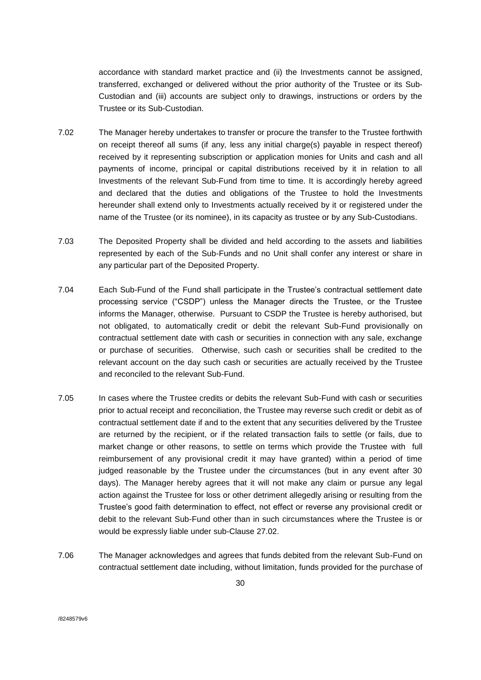accordance with standard market practice and (ii) the Investments cannot be assigned, transferred, exchanged or delivered without the prior authority of the Trustee or its Sub-Custodian and (iii) accounts are subject only to drawings, instructions or orders by the Trustee or its Sub-Custodian.

- 7.02 The Manager hereby undertakes to transfer or procure the transfer to the Trustee forthwith on receipt thereof all sums (if any, less any initial charge(s) payable in respect thereof) received by it representing subscription or application monies for Units and cash and all payments of income, principal or capital distributions received by it in relation to all Investments of the relevant Sub-Fund from time to time. It is accordingly hereby agreed and declared that the duties and obligations of the Trustee to hold the Investments hereunder shall extend only to Investments actually received by it or registered under the name of the Trustee (or its nominee), in its capacity as trustee or by any Sub-Custodians.
- 7.03 The Deposited Property shall be divided and held according to the assets and liabilities represented by each of the Sub-Funds and no Unit shall confer any interest or share in any particular part of the Deposited Property.
- 7.04 Each Sub-Fund of the Fund shall participate in the Trustee's contractual settlement date processing service ("CSDP") unless the Manager directs the Trustee, or the Trustee informs the Manager, otherwise. Pursuant to CSDP the Trustee is hereby authorised, but not obligated, to automatically credit or debit the relevant Sub-Fund provisionally on contractual settlement date with cash or securities in connection with any sale, exchange or purchase of securities. Otherwise, such cash or securities shall be credited to the relevant account on the day such cash or securities are actually received by the Trustee and reconciled to the relevant Sub-Fund.
- 7.05 In cases where the Trustee credits or debits the relevant Sub-Fund with cash or securities prior to actual receipt and reconciliation, the Trustee may reverse such credit or debit as of contractual settlement date if and to the extent that any securities delivered by the Trustee are returned by the recipient, or if the related transaction fails to settle (or fails, due to market change or other reasons, to settle on terms which provide the Trustee with full reimbursement of any provisional credit it may have granted) within a period of time judged reasonable by the Trustee under the circumstances (but in any event after 30 days). The Manager hereby agrees that it will not make any claim or pursue any legal action against the Trustee for loss or other detriment allegedly arising or resulting from the Trustee's good faith determination to effect, not effect or reverse any provisional credit or debit to the relevant Sub-Fund other than in such circumstances where the Trustee is or would be expressly liable under sub-Clause 27.02.
- 7.06 The Manager acknowledges and agrees that funds debited from the relevant Sub-Fund on contractual settlement date including, without limitation, funds provided for the purchase of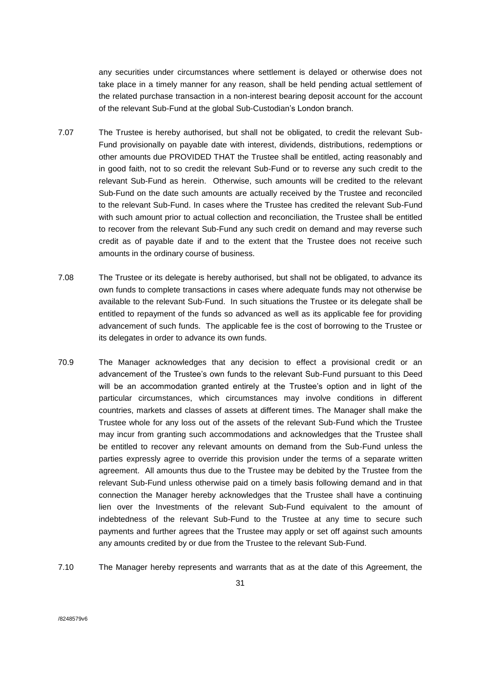any securities under circumstances where settlement is delayed or otherwise does not take place in a timely manner for any reason, shall be held pending actual settlement of the related purchase transaction in a non-interest bearing deposit account for the account of the relevant Sub-Fund at the global Sub-Custodian's London branch.

- 7.07 The Trustee is hereby authorised, but shall not be obligated, to credit the relevant Sub-Fund provisionally on payable date with interest, dividends, distributions, redemptions or other amounts due PROVIDED THAT the Trustee shall be entitled, acting reasonably and in good faith, not to so credit the relevant Sub-Fund or to reverse any such credit to the relevant Sub-Fund as herein. Otherwise, such amounts will be credited to the relevant Sub-Fund on the date such amounts are actually received by the Trustee and reconciled to the relevant Sub-Fund. In cases where the Trustee has credited the relevant Sub-Fund with such amount prior to actual collection and reconciliation, the Trustee shall be entitled to recover from the relevant Sub-Fund any such credit on demand and may reverse such credit as of payable date if and to the extent that the Trustee does not receive such amounts in the ordinary course of business.
- 7.08 The Trustee or its delegate is hereby authorised, but shall not be obligated, to advance its own funds to complete transactions in cases where adequate funds may not otherwise be available to the relevant Sub-Fund. In such situations the Trustee or its delegate shall be entitled to repayment of the funds so advanced as well as its applicable fee for providing advancement of such funds. The applicable fee is the cost of borrowing to the Trustee or its delegates in order to advance its own funds.
- 70.9 The Manager acknowledges that any decision to effect a provisional credit or an advancement of the Trustee's own funds to the relevant Sub-Fund pursuant to this Deed will be an accommodation granted entirely at the Trustee's option and in light of the particular circumstances, which circumstances may involve conditions in different countries, markets and classes of assets at different times. The Manager shall make the Trustee whole for any loss out of the assets of the relevant Sub-Fund which the Trustee may incur from granting such accommodations and acknowledges that the Trustee shall be entitled to recover any relevant amounts on demand from the Sub-Fund unless the parties expressly agree to override this provision under the terms of a separate written agreement. All amounts thus due to the Trustee may be debited by the Trustee from the relevant Sub-Fund unless otherwise paid on a timely basis following demand and in that connection the Manager hereby acknowledges that the Trustee shall have a continuing lien over the Investments of the relevant Sub-Fund equivalent to the amount of indebtedness of the relevant Sub-Fund to the Trustee at any time to secure such payments and further agrees that the Trustee may apply or set off against such amounts any amounts credited by or due from the Trustee to the relevant Sub-Fund.
- 7.10 The Manager hereby represents and warrants that as at the date of this Agreement, the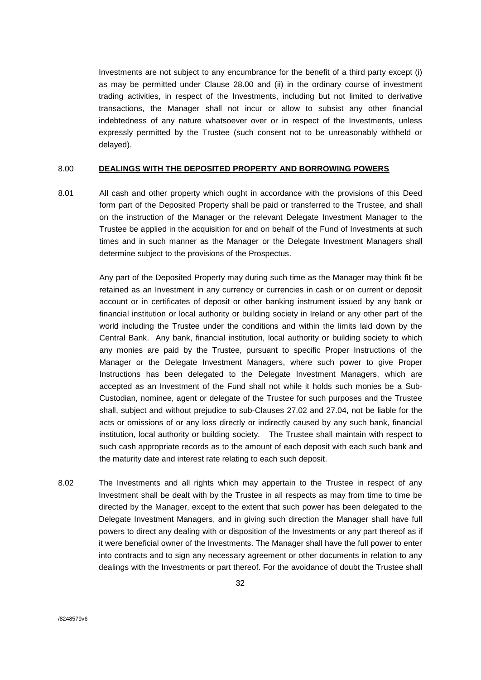Investments are not subject to any encumbrance for the benefit of a third party except (i) as may be permitted under Clause 28.00 and (ii) in the ordinary course of investment trading activities, in respect of the Investments, including but not limited to derivative transactions, the Manager shall not incur or allow to subsist any other financial indebtedness of any nature whatsoever over or in respect of the Investments, unless expressly permitted by the Trustee (such consent not to be unreasonably withheld or delayed).

#### <span id="page-31-0"></span>8.00 **DEALINGS WITH THE DEPOSITED PROPERTY AND BORROWING POWERS**

8.01 All cash and other property which ought in accordance with the provisions of this Deed form part of the Deposited Property shall be paid or transferred to the Trustee, and shall on the instruction of the Manager or the relevant Delegate Investment Manager to the Trustee be applied in the acquisition for and on behalf of the Fund of Investments at such times and in such manner as the Manager or the Delegate Investment Managers shall determine subject to the provisions of the Prospectus.

> Any part of the Deposited Property may during such time as the Manager may think fit be retained as an Investment in any currency or currencies in cash or on current or deposit account or in certificates of deposit or other banking instrument issued by any bank or financial institution or local authority or building society in Ireland or any other part of the world including the Trustee under the conditions and within the limits laid down by the Central Bank. Any bank, financial institution, local authority or building society to which any monies are paid by the Trustee, pursuant to specific Proper Instructions of the Manager or the Delegate Investment Managers, where such power to give Proper Instructions has been delegated to the Delegate Investment Managers, which are accepted as an Investment of the Fund shall not while it holds such monies be a Sub-Custodian, nominee, agent or delegate of the Trustee for such purposes and the Trustee shall, subject and without prejudice to sub-Clauses 27.02 and 27.04, not be liable for the acts or omissions of or any loss directly or indirectly caused by any such bank, financial institution, local authority or building society. The Trustee shall maintain with respect to such cash appropriate records as to the amount of each deposit with each such bank and the maturity date and interest rate relating to each such deposit.

8.02 The Investments and all rights which may appertain to the Trustee in respect of any Investment shall be dealt with by the Trustee in all respects as may from time to time be directed by the Manager, except to the extent that such power has been delegated to the Delegate Investment Managers, and in giving such direction the Manager shall have full powers to direct any dealing with or disposition of the Investments or any part thereof as if it were beneficial owner of the Investments. The Manager shall have the full power to enter into contracts and to sign any necessary agreement or other documents in relation to any dealings with the Investments or part thereof. For the avoidance of doubt the Trustee shall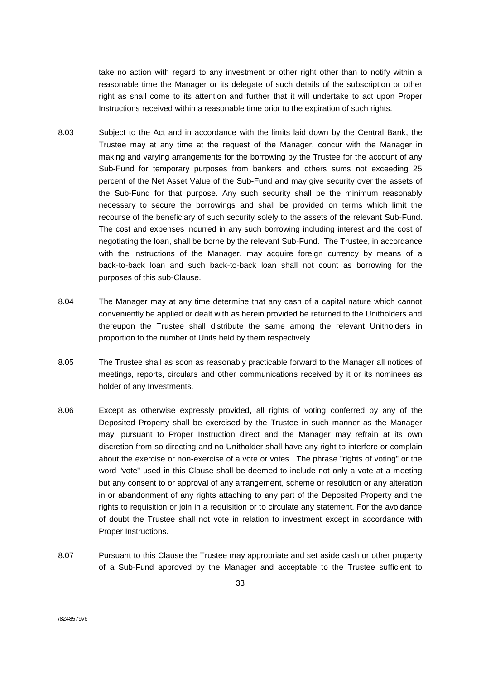take no action with regard to any investment or other right other than to notify within a reasonable time the Manager or its delegate of such details of the subscription or other right as shall come to its attention and further that it will undertake to act upon Proper Instructions received within a reasonable time prior to the expiration of such rights.

- 8.03 Subject to the Act and in accordance with the limits laid down by the Central Bank, the Trustee may at any time at the request of the Manager, concur with the Manager in making and varying arrangements for the borrowing by the Trustee for the account of any Sub-Fund for temporary purposes from bankers and others sums not exceeding 25 percent of the Net Asset Value of the Sub-Fund and may give security over the assets of the Sub-Fund for that purpose. Any such security shall be the minimum reasonably necessary to secure the borrowings and shall be provided on terms which limit the recourse of the beneficiary of such security solely to the assets of the relevant Sub-Fund. The cost and expenses incurred in any such borrowing including interest and the cost of negotiating the loan, shall be borne by the relevant Sub-Fund. The Trustee, in accordance with the instructions of the Manager, may acquire foreign currency by means of a back-to-back loan and such back-to-back loan shall not count as borrowing for the purposes of this sub-Clause.
- 8.04 The Manager may at any time determine that any cash of a capital nature which cannot conveniently be applied or dealt with as herein provided be returned to the Unitholders and thereupon the Trustee shall distribute the same among the relevant Unitholders in proportion to the number of Units held by them respectively.
- 8.05 The Trustee shall as soon as reasonably practicable forward to the Manager all notices of meetings, reports, circulars and other communications received by it or its nominees as holder of any Investments.
- 8.06 Except as otherwise expressly provided, all rights of voting conferred by any of the Deposited Property shall be exercised by the Trustee in such manner as the Manager may, pursuant to Proper Instruction direct and the Manager may refrain at its own discretion from so directing and no Unitholder shall have any right to interfere or complain about the exercise or non-exercise of a vote or votes. The phrase "rights of voting" or the word "vote" used in this Clause shall be deemed to include not only a vote at a meeting but any consent to or approval of any arrangement, scheme or resolution or any alteration in or abandonment of any rights attaching to any part of the Deposited Property and the rights to requisition or join in a requisition or to circulate any statement. For the avoidance of doubt the Trustee shall not vote in relation to investment except in accordance with Proper Instructions.
- 8.07 Pursuant to this Clause the Trustee may appropriate and set aside cash or other property of a Sub-Fund approved by the Manager and acceptable to the Trustee sufficient to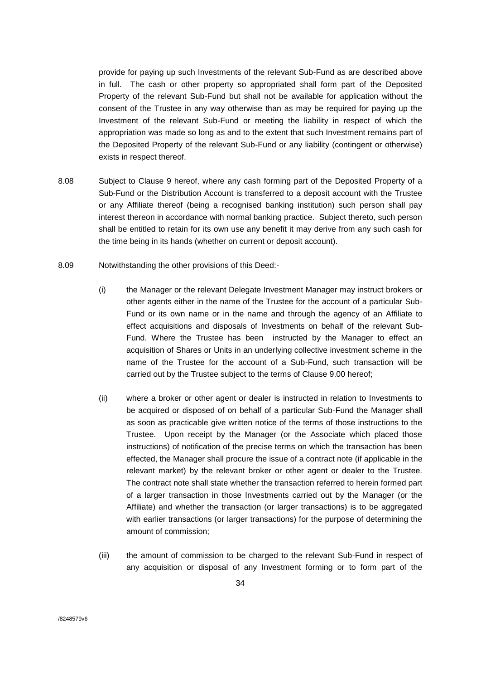provide for paying up such Investments of the relevant Sub-Fund as are described above in full. The cash or other property so appropriated shall form part of the Deposited Property of the relevant Sub-Fund but shall not be available for application without the consent of the Trustee in any way otherwise than as may be required for paying up the Investment of the relevant Sub-Fund or meeting the liability in respect of which the appropriation was made so long as and to the extent that such Investment remains part of the Deposited Property of the relevant Sub-Fund or any liability (contingent or otherwise) exists in respect thereof.

- 8.08 Subject to Clause 9 hereof, where any cash forming part of the Deposited Property of a Sub-Fund or the Distribution Account is transferred to a deposit account with the Trustee or any Affiliate thereof (being a recognised banking institution) such person shall pay interest thereon in accordance with normal banking practice. Subject thereto, such person shall be entitled to retain for its own use any benefit it may derive from any such cash for the time being in its hands (whether on current or deposit account).
- 8.09 Notwithstanding the other provisions of this Deed:-
	- (i) the Manager or the relevant Delegate Investment Manager may instruct brokers or other agents either in the name of the Trustee for the account of a particular Sub-Fund or its own name or in the name and through the agency of an Affiliate to effect acquisitions and disposals of Investments on behalf of the relevant Sub-Fund. Where the Trustee has been instructed by the Manager to effect an acquisition of Shares or Units in an underlying collective investment scheme in the name of the Trustee for the account of a Sub-Fund, such transaction will be carried out by the Trustee subject to the terms of Clause 9.00 hereof;
	- (ii) where a broker or other agent or dealer is instructed in relation to Investments to be acquired or disposed of on behalf of a particular Sub-Fund the Manager shall as soon as practicable give written notice of the terms of those instructions to the Trustee. Upon receipt by the Manager (or the Associate which placed those instructions) of notification of the precise terms on which the transaction has been effected, the Manager shall procure the issue of a contract note (if applicable in the relevant market) by the relevant broker or other agent or dealer to the Trustee. The contract note shall state whether the transaction referred to herein formed part of a larger transaction in those Investments carried out by the Manager (or the Affiliate) and whether the transaction (or larger transactions) is to be aggregated with earlier transactions (or larger transactions) for the purpose of determining the amount of commission;
	- (iii) the amount of commission to be charged to the relevant Sub-Fund in respect of any acquisition or disposal of any Investment forming or to form part of the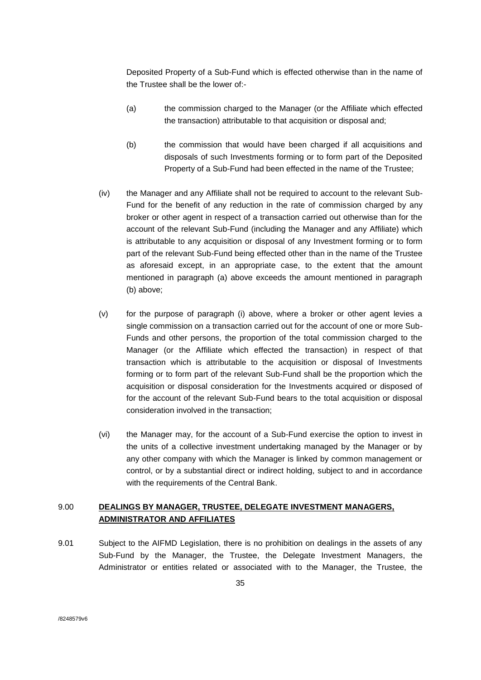Deposited Property of a Sub-Fund which is effected otherwise than in the name of the Trustee shall be the lower of:-

- (a) the commission charged to the Manager (or the Affiliate which effected the transaction) attributable to that acquisition or disposal and;
- (b) the commission that would have been charged if all acquisitions and disposals of such Investments forming or to form part of the Deposited Property of a Sub-Fund had been effected in the name of the Trustee;
- (iv) the Manager and any Affiliate shall not be required to account to the relevant Sub-Fund for the benefit of any reduction in the rate of commission charged by any broker or other agent in respect of a transaction carried out otherwise than for the account of the relevant Sub-Fund (including the Manager and any Affiliate) which is attributable to any acquisition or disposal of any Investment forming or to form part of the relevant Sub-Fund being effected other than in the name of the Trustee as aforesaid except, in an appropriate case, to the extent that the amount mentioned in paragraph (a) above exceeds the amount mentioned in paragraph (b) above;
- (v) for the purpose of paragraph (i) above, where a broker or other agent levies a single commission on a transaction carried out for the account of one or more Sub-Funds and other persons, the proportion of the total commission charged to the Manager (or the Affiliate which effected the transaction) in respect of that transaction which is attributable to the acquisition or disposal of Investments forming or to form part of the relevant Sub-Fund shall be the proportion which the acquisition or disposal consideration for the Investments acquired or disposed of for the account of the relevant Sub-Fund bears to the total acquisition or disposal consideration involved in the transaction;
- (vi) the Manager may, for the account of a Sub-Fund exercise the option to invest in the units of a collective investment undertaking managed by the Manager or by any other company with which the Manager is linked by common management or control, or by a substantial direct or indirect holding, subject to and in accordance with the requirements of the Central Bank.

## <span id="page-34-0"></span>9.00 **DEALINGS BY MANAGER, TRUSTEE, DELEGATE INVESTMENT MANAGERS, ADMINISTRATOR AND AFFILIATES**

9.01 Subject to the AIFMD Legislation, there is no prohibition on dealings in the assets of any Sub-Fund by the Manager, the Trustee, the Delegate Investment Managers, the Administrator or entities related or associated with to the Manager, the Trustee, the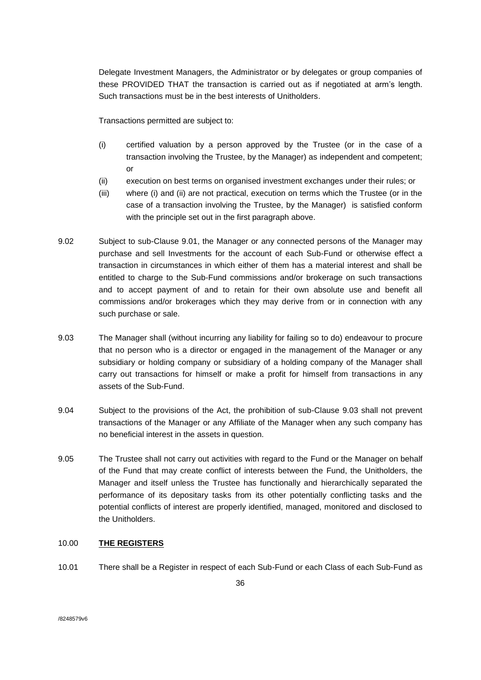Delegate Investment Managers, the Administrator or by delegates or group companies of these PROVIDED THAT the transaction is carried out as if negotiated at arm's length. Such transactions must be in the best interests of Unitholders.

Transactions permitted are subject to:

- (i) certified valuation by a person approved by the Trustee (or in the case of a transaction involving the Trustee, by the Manager) as independent and competent; or
- (ii) execution on best terms on organised investment exchanges under their rules; or
- (iii) where (i) and (ii) are not practical, execution on terms which the Trustee (or in the case of a transaction involving the Trustee, by the Manager) is satisfied conform with the principle set out in the first paragraph above.
- 9.02 Subject to sub-Clause 9.01, the Manager or any connected persons of the Manager may purchase and sell Investments for the account of each Sub-Fund or otherwise effect a transaction in circumstances in which either of them has a material interest and shall be entitled to charge to the Sub-Fund commissions and/or brokerage on such transactions and to accept payment of and to retain for their own absolute use and benefit all commissions and/or brokerages which they may derive from or in connection with any such purchase or sale.
- 9.03 The Manager shall (without incurring any liability for failing so to do) endeavour to procure that no person who is a director or engaged in the management of the Manager or any subsidiary or holding company or subsidiary of a holding company of the Manager shall carry out transactions for himself or make a profit for himself from transactions in any assets of the Sub-Fund.
- 9.04 Subject to the provisions of the Act, the prohibition of sub-Clause 9.03 shall not prevent transactions of the Manager or any Affiliate of the Manager when any such company has no beneficial interest in the assets in question.
- 9.05 The Trustee shall not carry out activities with regard to the Fund or the Manager on behalf of the Fund that may create conflict of interests between the Fund, the Unitholders, the Manager and itself unless the Trustee has functionally and hierarchically separated the performance of its depositary tasks from its other potentially conflicting tasks and the potential conflicts of interest are properly identified, managed, monitored and disclosed to the Unitholders.

## <span id="page-35-0"></span>10.00 **THE REGISTERS**

10.01 There shall be a Register in respect of each Sub-Fund or each Class of each Sub-Fund as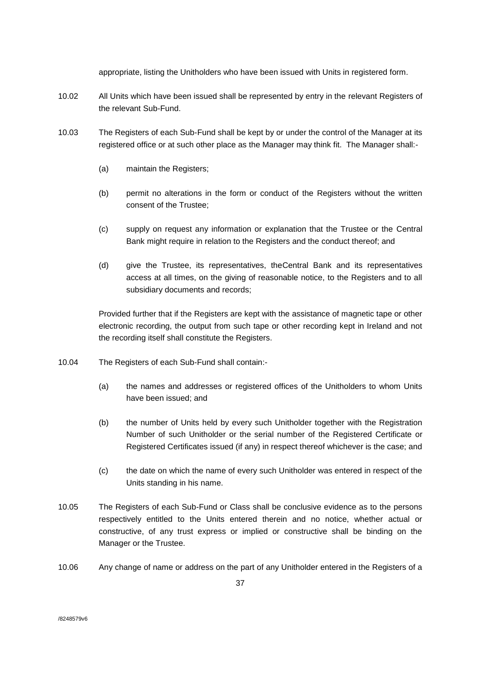appropriate, listing the Unitholders who have been issued with Units in registered form.

- 10.02 All Units which have been issued shall be represented by entry in the relevant Registers of the relevant Sub-Fund.
- 10.03 The Registers of each Sub-Fund shall be kept by or under the control of the Manager at its registered office or at such other place as the Manager may think fit. The Manager shall:-
	- (a) maintain the Registers;
	- (b) permit no alterations in the form or conduct of the Registers without the written consent of the Trustee;
	- (c) supply on request any information or explanation that the Trustee or the Central Bank might require in relation to the Registers and the conduct thereof; and
	- (d) give the Trustee, its representatives, theCentral Bank and its representatives access at all times, on the giving of reasonable notice, to the Registers and to all subsidiary documents and records;

Provided further that if the Registers are kept with the assistance of magnetic tape or other electronic recording, the output from such tape or other recording kept in Ireland and not the recording itself shall constitute the Registers.

- 10.04 The Registers of each Sub-Fund shall contain:-
	- (a) the names and addresses or registered offices of the Unitholders to whom Units have been issued; and
	- (b) the number of Units held by every such Unitholder together with the Registration Number of such Unitholder or the serial number of the Registered Certificate or Registered Certificates issued (if any) in respect thereof whichever is the case; and
	- (c) the date on which the name of every such Unitholder was entered in respect of the Units standing in his name.
- 10.05 The Registers of each Sub-Fund or Class shall be conclusive evidence as to the persons respectively entitled to the Units entered therein and no notice, whether actual or constructive, of any trust express or implied or constructive shall be binding on the Manager or the Trustee.
- 10.06 Any change of name or address on the part of any Unitholder entered in the Registers of a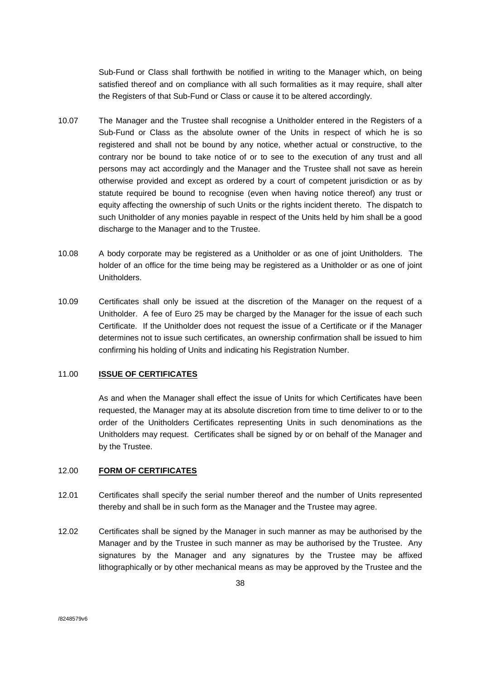Sub-Fund or Class shall forthwith be notified in writing to the Manager which, on being satisfied thereof and on compliance with all such formalities as it may require, shall alter the Registers of that Sub-Fund or Class or cause it to be altered accordingly.

- 10.07 The Manager and the Trustee shall recognise a Unitholder entered in the Registers of a Sub-Fund or Class as the absolute owner of the Units in respect of which he is so registered and shall not be bound by any notice, whether actual or constructive, to the contrary nor be bound to take notice of or to see to the execution of any trust and all persons may act accordingly and the Manager and the Trustee shall not save as herein otherwise provided and except as ordered by a court of competent jurisdiction or as by statute required be bound to recognise (even when having notice thereof) any trust or equity affecting the ownership of such Units or the rights incident thereto. The dispatch to such Unitholder of any monies payable in respect of the Units held by him shall be a good discharge to the Manager and to the Trustee.
- 10.08 A body corporate may be registered as a Unitholder or as one of joint Unitholders. The holder of an office for the time being may be registered as a Unitholder or as one of joint Unitholders.
- 10.09 Certificates shall only be issued at the discretion of the Manager on the request of a Unitholder. A fee of Euro 25 may be charged by the Manager for the issue of each such Certificate. If the Unitholder does not request the issue of a Certificate or if the Manager determines not to issue such certificates, an ownership confirmation shall be issued to him confirming his holding of Units and indicating his Registration Number.

## 11.00 **ISSUE OF CERTIFICATES**

As and when the Manager shall effect the issue of Units for which Certificates have been requested, the Manager may at its absolute discretion from time to time deliver to or to the order of the Unitholders Certificates representing Units in such denominations as the Unitholders may request. Certificates shall be signed by or on behalf of the Manager and by the Trustee.

# 12.00 **FORM OF CERTIFICATES**

- 12.01 Certificates shall specify the serial number thereof and the number of Units represented thereby and shall be in such form as the Manager and the Trustee may agree.
- 12.02 Certificates shall be signed by the Manager in such manner as may be authorised by the Manager and by the Trustee in such manner as may be authorised by the Trustee. Any signatures by the Manager and any signatures by the Trustee may be affixed lithographically or by other mechanical means as may be approved by the Trustee and the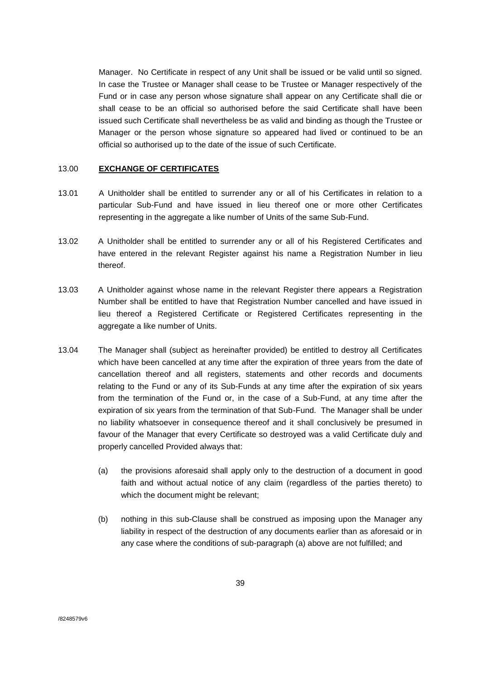Manager. No Certificate in respect of any Unit shall be issued or be valid until so signed. In case the Trustee or Manager shall cease to be Trustee or Manager respectively of the Fund or in case any person whose signature shall appear on any Certificate shall die or shall cease to be an official so authorised before the said Certificate shall have been issued such Certificate shall nevertheless be as valid and binding as though the Trustee or Manager or the person whose signature so appeared had lived or continued to be an official so authorised up to the date of the issue of such Certificate.

### 13.00 **EXCHANGE OF CERTIFICATES**

- 13.01 A Unitholder shall be entitled to surrender any or all of his Certificates in relation to a particular Sub-Fund and have issued in lieu thereof one or more other Certificates representing in the aggregate a like number of Units of the same Sub-Fund.
- 13.02 A Unitholder shall be entitled to surrender any or all of his Registered Certificates and have entered in the relevant Register against his name a Registration Number in lieu thereof.
- 13.03 A Unitholder against whose name in the relevant Register there appears a Registration Number shall be entitled to have that Registration Number cancelled and have issued in lieu thereof a Registered Certificate or Registered Certificates representing in the aggregate a like number of Units.
- 13.04 The Manager shall (subject as hereinafter provided) be entitled to destroy all Certificates which have been cancelled at any time after the expiration of three years from the date of cancellation thereof and all registers, statements and other records and documents relating to the Fund or any of its Sub-Funds at any time after the expiration of six years from the termination of the Fund or, in the case of a Sub-Fund, at any time after the expiration of six years from the termination of that Sub-Fund. The Manager shall be under no liability whatsoever in consequence thereof and it shall conclusively be presumed in favour of the Manager that every Certificate so destroyed was a valid Certificate duly and properly cancelled Provided always that:
	- (a) the provisions aforesaid shall apply only to the destruction of a document in good faith and without actual notice of any claim (regardless of the parties thereto) to which the document might be relevant;
	- (b) nothing in this sub-Clause shall be construed as imposing upon the Manager any liability in respect of the destruction of any documents earlier than as aforesaid or in any case where the conditions of sub-paragraph (a) above are not fulfilled; and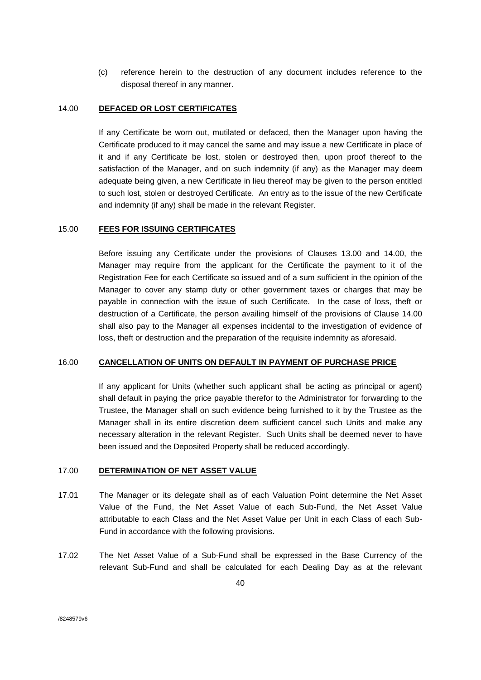(c) reference herein to the destruction of any document includes reference to the disposal thereof in any manner.

# 14.00 **DEFACED OR LOST CERTIFICATES**

If any Certificate be worn out, mutilated or defaced, then the Manager upon having the Certificate produced to it may cancel the same and may issue a new Certificate in place of it and if any Certificate be lost, stolen or destroyed then, upon proof thereof to the satisfaction of the Manager, and on such indemnity (if any) as the Manager may deem adequate being given, a new Certificate in lieu thereof may be given to the person entitled to such lost, stolen or destroyed Certificate. An entry as to the issue of the new Certificate and indemnity (if any) shall be made in the relevant Register.

## 15.00 **FEES FOR ISSUING CERTIFICATES**

Before issuing any Certificate under the provisions of Clauses 13.00 and 14.00, the Manager may require from the applicant for the Certificate the payment to it of the Registration Fee for each Certificate so issued and of a sum sufficient in the opinion of the Manager to cover any stamp duty or other government taxes or charges that may be payable in connection with the issue of such Certificate. In the case of loss, theft or destruction of a Certificate, the person availing himself of the provisions of Clause 14.00 shall also pay to the Manager all expenses incidental to the investigation of evidence of loss, theft or destruction and the preparation of the requisite indemnity as aforesaid.

## 16.00 **CANCELLATION OF UNITS ON DEFAULT IN PAYMENT OF PURCHASE PRICE**

If any applicant for Units (whether such applicant shall be acting as principal or agent) shall default in paying the price payable therefor to the Administrator for forwarding to the Trustee, the Manager shall on such evidence being furnished to it by the Trustee as the Manager shall in its entire discretion deem sufficient cancel such Units and make any necessary alteration in the relevant Register. Such Units shall be deemed never to have been issued and the Deposited Property shall be reduced accordingly.

# 17.00 **DETERMINATION OF NET ASSET VALUE**

- 17.01 The Manager or its delegate shall as of each Valuation Point determine the Net Asset Value of the Fund, the Net Asset Value of each Sub-Fund, the Net Asset Value attributable to each Class and the Net Asset Value per Unit in each Class of each Sub-Fund in accordance with the following provisions.
- 17.02 The Net Asset Value of a Sub-Fund shall be expressed in the Base Currency of the relevant Sub-Fund and shall be calculated for each Dealing Day as at the relevant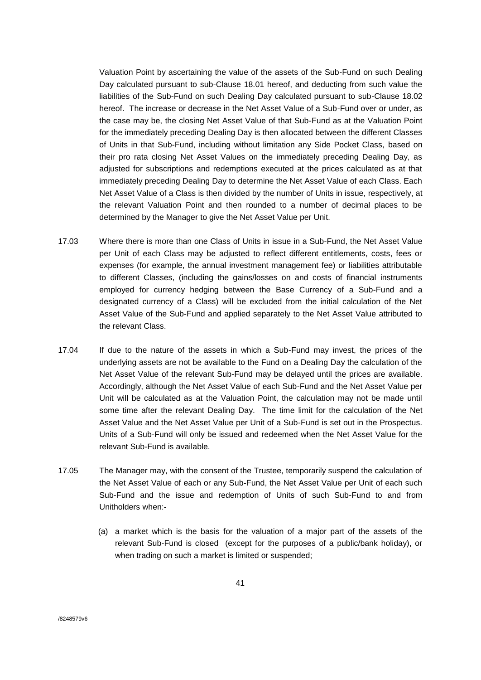Valuation Point by ascertaining the value of the assets of the Sub-Fund on such Dealing Day calculated pursuant to sub-Clause 18.01 hereof, and deducting from such value the liabilities of the Sub-Fund on such Dealing Day calculated pursuant to sub-Clause 18.02 hereof. The increase or decrease in the Net Asset Value of a Sub-Fund over or under, as the case may be, the closing Net Asset Value of that Sub-Fund as at the Valuation Point for the immediately preceding Dealing Day is then allocated between the different Classes of Units in that Sub-Fund, including without limitation any Side Pocket Class, based on their pro rata closing Net Asset Values on the immediately preceding Dealing Day, as adjusted for subscriptions and redemptions executed at the prices calculated as at that immediately preceding Dealing Day to determine the Net Asset Value of each Class. Each Net Asset Value of a Class is then divided by the number of Units in issue, respectively, at the relevant Valuation Point and then rounded to a number of decimal places to be determined by the Manager to give the Net Asset Value per Unit.

- 17.03 Where there is more than one Class of Units in issue in a Sub-Fund, the Net Asset Value per Unit of each Class may be adjusted to reflect different entitlements, costs, fees or expenses (for example, the annual investment management fee) or liabilities attributable to different Classes, (including the gains/losses on and costs of financial instruments employed for currency hedging between the Base Currency of a Sub-Fund and a designated currency of a Class) will be excluded from the initial calculation of the Net Asset Value of the Sub-Fund and applied separately to the Net Asset Value attributed to the relevant Class.
- 17.04 If due to the nature of the assets in which a Sub-Fund may invest, the prices of the underlying assets are not be available to the Fund on a Dealing Day the calculation of the Net Asset Value of the relevant Sub-Fund may be delayed until the prices are available. Accordingly, although the Net Asset Value of each Sub-Fund and the Net Asset Value per Unit will be calculated as at the Valuation Point, the calculation may not be made until some time after the relevant Dealing Day. The time limit for the calculation of the Net Asset Value and the Net Asset Value per Unit of a Sub-Fund is set out in the Prospectus. Units of a Sub-Fund will only be issued and redeemed when the Net Asset Value for the relevant Sub-Fund is available.
- 17.05 The Manager may, with the consent of the Trustee, temporarily suspend the calculation of the Net Asset Value of each or any Sub-Fund, the Net Asset Value per Unit of each such Sub-Fund and the issue and redemption of Units of such Sub-Fund to and from Unitholders when:-
	- (a) a market which is the basis for the valuation of a major part of the assets of the relevant Sub-Fund is closed (except for the purposes of a public/bank holiday), or when trading on such a market is limited or suspended;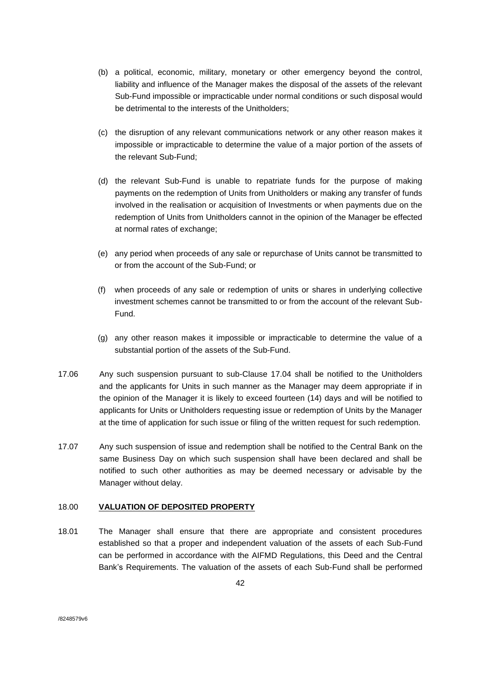- (b) a political, economic, military, monetary or other emergency beyond the control, liability and influence of the Manager makes the disposal of the assets of the relevant Sub-Fund impossible or impracticable under normal conditions or such disposal would be detrimental to the interests of the Unitholders;
- (c) the disruption of any relevant communications network or any other reason makes it impossible or impracticable to determine the value of a major portion of the assets of the relevant Sub-Fund;
- (d) the relevant Sub-Fund is unable to repatriate funds for the purpose of making payments on the redemption of Units from Unitholders or making any transfer of funds involved in the realisation or acquisition of Investments or when payments due on the redemption of Units from Unitholders cannot in the opinion of the Manager be effected at normal rates of exchange;
- (e) any period when proceeds of any sale or repurchase of Units cannot be transmitted to or from the account of the Sub-Fund; or
- (f) when proceeds of any sale or redemption of units or shares in underlying collective investment schemes cannot be transmitted to or from the account of the relevant Sub-Fund.
- (g) any other reason makes it impossible or impracticable to determine the value of a substantial portion of the assets of the Sub-Fund.
- 17.06 Any such suspension pursuant to sub-Clause 17.04 shall be notified to the Unitholders and the applicants for Units in such manner as the Manager may deem appropriate if in the opinion of the Manager it is likely to exceed fourteen (14) days and will be notified to applicants for Units or Unitholders requesting issue or redemption of Units by the Manager at the time of application for such issue or filing of the written request for such redemption.
- 17.07 Any such suspension of issue and redemption shall be notified to the Central Bank on the same Business Day on which such suspension shall have been declared and shall be notified to such other authorities as may be deemed necessary or advisable by the Manager without delay.

# 18.00 **VALUATION OF DEPOSITED PROPERTY**

18.01 The Manager shall ensure that there are appropriate and consistent procedures established so that a proper and independent valuation of the assets of each Sub-Fund can be performed in accordance with the AIFMD Regulations, this Deed and the Central Bank's Requirements. The valuation of the assets of each Sub-Fund shall be performed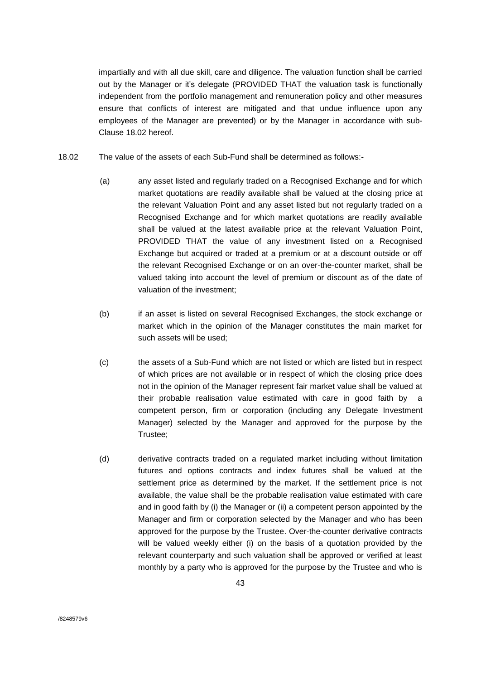impartially and with all due skill, care and diligence. The valuation function shall be carried out by the Manager or it's delegate (PROVIDED THAT the valuation task is functionally independent from the portfolio management and remuneration policy and other measures ensure that conflicts of interest are mitigated and that undue influence upon any employees of the Manager are prevented) or by the Manager in accordance with sub-Clause 18.02 hereof.

- 18.02 The value of the assets of each Sub-Fund shall be determined as follows:-
	- (a) any asset listed and regularly traded on a Recognised Exchange and for which market quotations are readily available shall be valued at the closing price at the relevant Valuation Point and any asset listed but not regularly traded on a Recognised Exchange and for which market quotations are readily available shall be valued at the latest available price at the relevant Valuation Point, PROVIDED THAT the value of any investment listed on a Recognised Exchange but acquired or traded at a premium or at a discount outside or off the relevant Recognised Exchange or on an over-the-counter market, shall be valued taking into account the level of premium or discount as of the date of valuation of the investment;
	- (b) if an asset is listed on several Recognised Exchanges, the stock exchange or market which in the opinion of the Manager constitutes the main market for such assets will be used;
	- (c) the assets of a Sub-Fund which are not listed or which are listed but in respect of which prices are not available or in respect of which the closing price does not in the opinion of the Manager represent fair market value shall be valued at their probable realisation value estimated with care in good faith by competent person, firm or corporation (including any Delegate Investment Manager) selected by the Manager and approved for the purpose by the Trustee;
	- (d) derivative contracts traded on a regulated market including without limitation futures and options contracts and index futures shall be valued at the settlement price as determined by the market. If the settlement price is not available, the value shall be the probable realisation value estimated with care and in good faith by (i) the Manager or (ii) a competent person appointed by the Manager and firm or corporation selected by the Manager and who has been approved for the purpose by the Trustee. Over-the-counter derivative contracts will be valued weekly either (i) on the basis of a quotation provided by the relevant counterparty and such valuation shall be approved or verified at least monthly by a party who is approved for the purpose by the Trustee and who is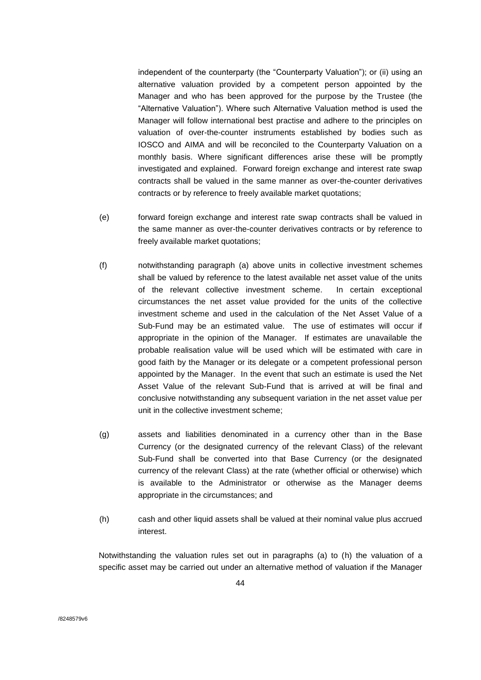independent of the counterparty (the "Counterparty Valuation"); or (ii) using an alternative valuation provided by a competent person appointed by the Manager and who has been approved for the purpose by the Trustee (the "Alternative Valuation"). Where such Alternative Valuation method is used the Manager will follow international best practise and adhere to the principles on valuation of over-the-counter instruments established by bodies such as IOSCO and AIMA and will be reconciled to the Counterparty Valuation on a monthly basis. Where significant differences arise these will be promptly investigated and explained. Forward foreign exchange and interest rate swap contracts shall be valued in the same manner as over-the-counter derivatives contracts or by reference to freely available market quotations;

- (e) forward foreign exchange and interest rate swap contracts shall be valued in the same manner as over-the-counter derivatives contracts or by reference to freely available market quotations;
- (f) notwithstanding paragraph (a) above units in collective investment schemes shall be valued by reference to the latest available net asset value of the units of the relevant collective investment scheme. In certain exceptional circumstances the net asset value provided for the units of the collective investment scheme and used in the calculation of the Net Asset Value of a Sub-Fund may be an estimated value. The use of estimates will occur if appropriate in the opinion of the Manager. If estimates are unavailable the probable realisation value will be used which will be estimated with care in good faith by the Manager or its delegate or a competent professional person appointed by the Manager. In the event that such an estimate is used the Net Asset Value of the relevant Sub-Fund that is arrived at will be final and conclusive notwithstanding any subsequent variation in the net asset value per unit in the collective investment scheme;
- (g) assets and liabilities denominated in a currency other than in the Base Currency (or the designated currency of the relevant Class) of the relevant Sub-Fund shall be converted into that Base Currency (or the designated currency of the relevant Class) at the rate (whether official or otherwise) which is available to the Administrator or otherwise as the Manager deems appropriate in the circumstances; and
- (h) cash and other liquid assets shall be valued at their nominal value plus accrued interest.

Notwithstanding the valuation rules set out in paragraphs (a) to (h) the valuation of a specific asset may be carried out under an alternative method of valuation if the Manager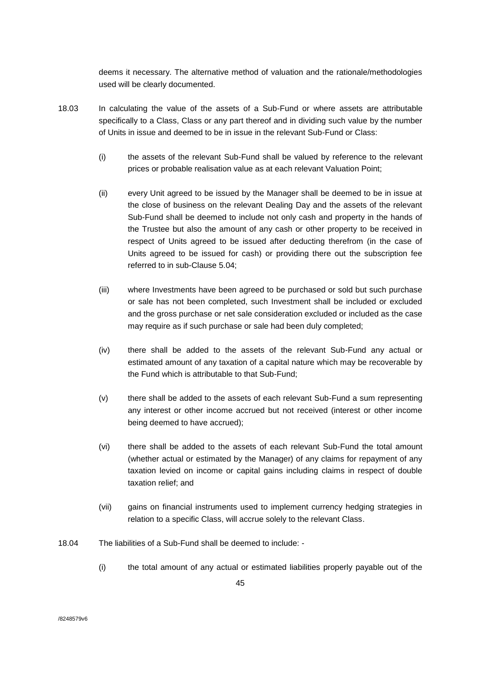deems it necessary. The alternative method of valuation and the rationale/methodologies used will be clearly documented.

- 18.03 In calculating the value of the assets of a Sub-Fund or where assets are attributable specifically to a Class, Class or any part thereof and in dividing such value by the number of Units in issue and deemed to be in issue in the relevant Sub-Fund or Class:
	- (i) the assets of the relevant Sub-Fund shall be valued by reference to the relevant prices or probable realisation value as at each relevant Valuation Point;
	- (ii) every Unit agreed to be issued by the Manager shall be deemed to be in issue at the close of business on the relevant Dealing Day and the assets of the relevant Sub-Fund shall be deemed to include not only cash and property in the hands of the Trustee but also the amount of any cash or other property to be received in respect of Units agreed to be issued after deducting therefrom (in the case of Units agreed to be issued for cash) or providing there out the subscription fee referred to in sub-Clause 5.04;
	- (iii) where Investments have been agreed to be purchased or sold but such purchase or sale has not been completed, such Investment shall be included or excluded and the gross purchase or net sale consideration excluded or included as the case may require as if such purchase or sale had been duly completed;
	- (iv) there shall be added to the assets of the relevant Sub-Fund any actual or estimated amount of any taxation of a capital nature which may be recoverable by the Fund which is attributable to that Sub-Fund;
	- (v) there shall be added to the assets of each relevant Sub-Fund a sum representing any interest or other income accrued but not received (interest or other income being deemed to have accrued);
	- (vi) there shall be added to the assets of each relevant Sub-Fund the total amount (whether actual or estimated by the Manager) of any claims for repayment of any taxation levied on income or capital gains including claims in respect of double taxation relief; and
	- (vii) gains on financial instruments used to implement currency hedging strategies in relation to a specific Class, will accrue solely to the relevant Class.
- 18.04 The liabilities of a Sub-Fund shall be deemed to include:
	- (i) the total amount of any actual or estimated liabilities properly payable out of the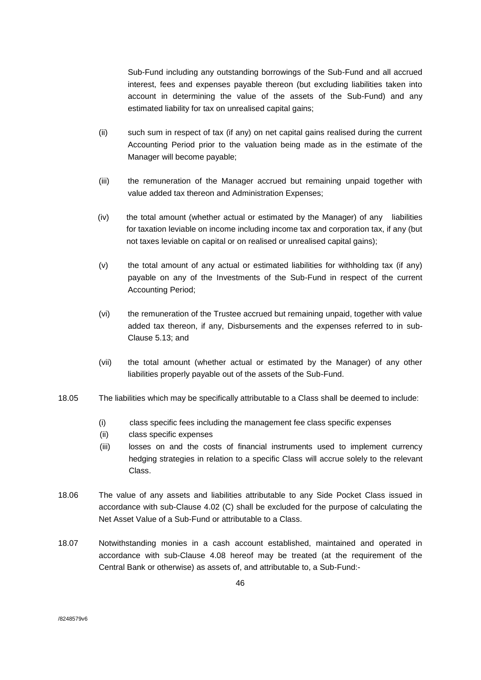Sub-Fund including any outstanding borrowings of the Sub-Fund and all accrued interest, fees and expenses payable thereon (but excluding liabilities taken into account in determining the value of the assets of the Sub-Fund) and any estimated liability for tax on unrealised capital gains;

- (ii) such sum in respect of tax (if any) on net capital gains realised during the current Accounting Period prior to the valuation being made as in the estimate of the Manager will become payable;
- (iii) the remuneration of the Manager accrued but remaining unpaid together with value added tax thereon and Administration Expenses;
- (iv) the total amount (whether actual or estimated by the Manager) of any liabilities for taxation leviable on income including income tax and corporation tax, if any (but not taxes leviable on capital or on realised or unrealised capital gains);
- (v) the total amount of any actual or estimated liabilities for withholding tax (if any) payable on any of the Investments of the Sub-Fund in respect of the current Accounting Period;
- (vi) the remuneration of the Trustee accrued but remaining unpaid, together with value added tax thereon, if any, Disbursements and the expenses referred to in sub-Clause 5.13; and
- (vii) the total amount (whether actual or estimated by the Manager) of any other liabilities properly payable out of the assets of the Sub-Fund.
- 18.05 The liabilities which may be specifically attributable to a Class shall be deemed to include:
	- (i) class specific fees including the management fee class specific expenses
	- (ii) class specific expenses
	- (iii) losses on and the costs of financial instruments used to implement currency hedging strategies in relation to a specific Class will accrue solely to the relevant Class.
- 18.06 The value of any assets and liabilities attributable to any Side Pocket Class issued in accordance with sub-Clause 4.02 (C) shall be excluded for the purpose of calculating the Net Asset Value of a Sub-Fund or attributable to a Class.
- 18.07 Notwithstanding monies in a cash account established, maintained and operated in accordance with sub-Clause 4.08 hereof may be treated (at the requirement of the Central Bank or otherwise) as assets of, and attributable to, a Sub-Fund:-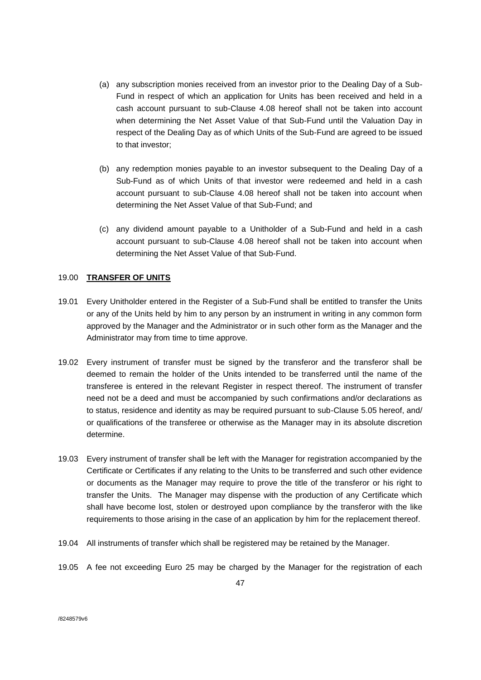- (a) any subscription monies received from an investor prior to the Dealing Day of a Sub-Fund in respect of which an application for Units has been received and held in a cash account pursuant to sub-Clause 4.08 hereof shall not be taken into account when determining the Net Asset Value of that Sub-Fund until the Valuation Day in respect of the Dealing Day as of which Units of the Sub-Fund are agreed to be issued to that investor;
- (b) any redemption monies payable to an investor subsequent to the Dealing Day of a Sub-Fund as of which Units of that investor were redeemed and held in a cash account pursuant to sub-Clause 4.08 hereof shall not be taken into account when determining the Net Asset Value of that Sub-Fund; and
- (c) any dividend amount payable to a Unitholder of a Sub-Fund and held in a cash account pursuant to sub-Clause 4.08 hereof shall not be taken into account when determining the Net Asset Value of that Sub-Fund.

# 19.00 **TRANSFER OF UNITS**

- 19.01 Every Unitholder entered in the Register of a Sub-Fund shall be entitled to transfer the Units or any of the Units held by him to any person by an instrument in writing in any common form approved by the Manager and the Administrator or in such other form as the Manager and the Administrator may from time to time approve.
- 19.02 Every instrument of transfer must be signed by the transferor and the transferor shall be deemed to remain the holder of the Units intended to be transferred until the name of the transferee is entered in the relevant Register in respect thereof. The instrument of transfer need not be a deed and must be accompanied by such confirmations and/or declarations as to status, residence and identity as may be required pursuant to sub-Clause 5.05 hereof, and/ or qualifications of the transferee or otherwise as the Manager may in its absolute discretion determine.
- 19.03 Every instrument of transfer shall be left with the Manager for registration accompanied by the Certificate or Certificates if any relating to the Units to be transferred and such other evidence or documents as the Manager may require to prove the title of the transferor or his right to transfer the Units. The Manager may dispense with the production of any Certificate which shall have become lost, stolen or destroyed upon compliance by the transferor with the like requirements to those arising in the case of an application by him for the replacement thereof.
- 19.04 All instruments of transfer which shall be registered may be retained by the Manager.
- 19.05 A fee not exceeding Euro 25 may be charged by the Manager for the registration of each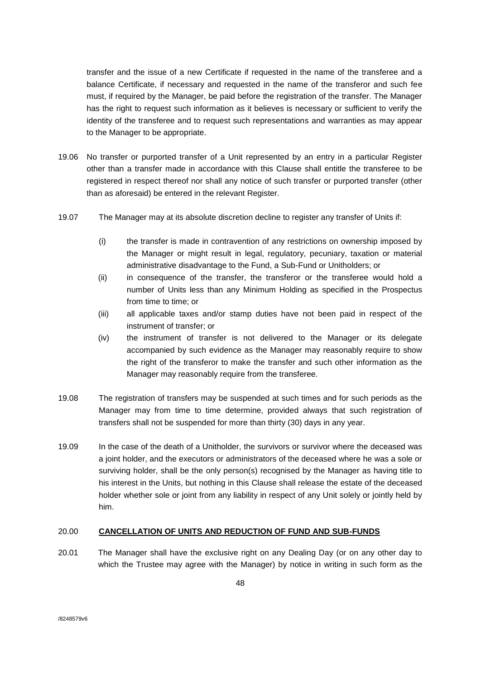transfer and the issue of a new Certificate if requested in the name of the transferee and a balance Certificate, if necessary and requested in the name of the transferor and such fee must, if required by the Manager, be paid before the registration of the transfer. The Manager has the right to request such information as it believes is necessary or sufficient to verify the identity of the transferee and to request such representations and warranties as may appear to the Manager to be appropriate.

- 19.06 No transfer or purported transfer of a Unit represented by an entry in a particular Register other than a transfer made in accordance with this Clause shall entitle the transferee to be registered in respect thereof nor shall any notice of such transfer or purported transfer (other than as aforesaid) be entered in the relevant Register.
- 19.07 The Manager may at its absolute discretion decline to register any transfer of Units if:
	- (i) the transfer is made in contravention of any restrictions on ownership imposed by the Manager or might result in legal, regulatory, pecuniary, taxation or material administrative disadvantage to the Fund, a Sub-Fund or Unitholders; or
	- (ii) in consequence of the transfer, the transferor or the transferee would hold a number of Units less than any Minimum Holding as specified in the Prospectus from time to time; or
	- (iii) all applicable taxes and/or stamp duties have not been paid in respect of the instrument of transfer; or
	- (iv) the instrument of transfer is not delivered to the Manager or its delegate accompanied by such evidence as the Manager may reasonably require to show the right of the transferor to make the transfer and such other information as the Manager may reasonably require from the transferee.
- 19.08 The registration of transfers may be suspended at such times and for such periods as the Manager may from time to time determine, provided always that such registration of transfers shall not be suspended for more than thirty (30) days in any year.
- 19.09 In the case of the death of a Unitholder, the survivors or survivor where the deceased was a joint holder, and the executors or administrators of the deceased where he was a sole or surviving holder, shall be the only person(s) recognised by the Manager as having title to his interest in the Units, but nothing in this Clause shall release the estate of the deceased holder whether sole or joint from any liability in respect of any Unit solely or jointly held by him.

# 20.00 **CANCELLATION OF UNITS AND REDUCTION OF FUND AND SUB-FUNDS**

20.01 The Manager shall have the exclusive right on any Dealing Day (or on any other day to which the Trustee may agree with the Manager) by notice in writing in such form as the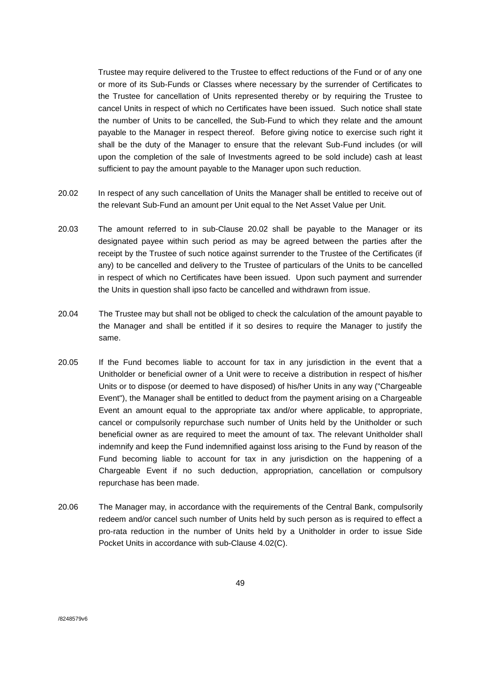Trustee may require delivered to the Trustee to effect reductions of the Fund or of any one or more of its Sub-Funds or Classes where necessary by the surrender of Certificates to the Trustee for cancellation of Units represented thereby or by requiring the Trustee to cancel Units in respect of which no Certificates have been issued. Such notice shall state the number of Units to be cancelled, the Sub-Fund to which they relate and the amount payable to the Manager in respect thereof. Before giving notice to exercise such right it shall be the duty of the Manager to ensure that the relevant Sub-Fund includes (or will upon the completion of the sale of Investments agreed to be sold include) cash at least sufficient to pay the amount payable to the Manager upon such reduction.

- 20.02 In respect of any such cancellation of Units the Manager shall be entitled to receive out of the relevant Sub-Fund an amount per Unit equal to the Net Asset Value per Unit.
- 20.03 The amount referred to in sub-Clause 20.02 shall be payable to the Manager or its designated payee within such period as may be agreed between the parties after the receipt by the Trustee of such notice against surrender to the Trustee of the Certificates (if any) to be cancelled and delivery to the Trustee of particulars of the Units to be cancelled in respect of which no Certificates have been issued. Upon such payment and surrender the Units in question shall ipso facto be cancelled and withdrawn from issue.
- 20.04 The Trustee may but shall not be obliged to check the calculation of the amount payable to the Manager and shall be entitled if it so desires to require the Manager to justify the same.
- 20.05 If the Fund becomes liable to account for tax in any jurisdiction in the event that a Unitholder or beneficial owner of a Unit were to receive a distribution in respect of his/her Units or to dispose (or deemed to have disposed) of his/her Units in any way ("Chargeable Event"), the Manager shall be entitled to deduct from the payment arising on a Chargeable Event an amount equal to the appropriate tax and/or where applicable, to appropriate, cancel or compulsorily repurchase such number of Units held by the Unitholder or such beneficial owner as are required to meet the amount of tax. The relevant Unitholder shall indemnify and keep the Fund indemnified against loss arising to the Fund by reason of the Fund becoming liable to account for tax in any jurisdiction on the happening of a Chargeable Event if no such deduction, appropriation, cancellation or compulsory repurchase has been made.
- 20.06 The Manager may, in accordance with the requirements of the Central Bank, compulsorily redeem and/or cancel such number of Units held by such person as is required to effect a pro-rata reduction in the number of Units held by a Unitholder in order to issue Side Pocket Units in accordance with sub-Clause 4.02(C).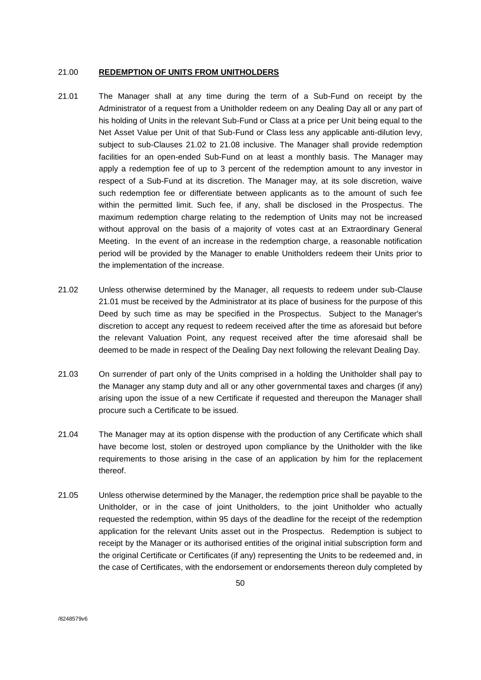### 21.00 **REDEMPTION OF UNITS FROM UNITHOLDERS**

- 21.01 The Manager shall at any time during the term of a Sub-Fund on receipt by the Administrator of a request from a Unitholder redeem on any Dealing Day all or any part of his holding of Units in the relevant Sub-Fund or Class at a price per Unit being equal to the Net Asset Value per Unit of that Sub-Fund or Class less any applicable anti-dilution levy, subject to sub-Clauses 21.02 to 21.08 inclusive. The Manager shall provide redemption facilities for an open-ended Sub-Fund on at least a monthly basis. The Manager may apply a redemption fee of up to 3 percent of the redemption amount to any investor in respect of a Sub-Fund at its discretion. The Manager may, at its sole discretion, waive such redemption fee or differentiate between applicants as to the amount of such fee within the permitted limit. Such fee, if any, shall be disclosed in the Prospectus. The maximum redemption charge relating to the redemption of Units may not be increased without approval on the basis of a majority of votes cast at an Extraordinary General Meeting. In the event of an increase in the redemption charge, a reasonable notification period will be provided by the Manager to enable Unitholders redeem their Units prior to the implementation of the increase.
- 21.02 Unless otherwise determined by the Manager, all requests to redeem under sub-Clause 21.01 must be received by the Administrator at its place of business for the purpose of this Deed by such time as may be specified in the Prospectus. Subject to the Manager's discretion to accept any request to redeem received after the time as aforesaid but before the relevant Valuation Point, any request received after the time aforesaid shall be deemed to be made in respect of the Dealing Day next following the relevant Dealing Day.
- 21.03 On surrender of part only of the Units comprised in a holding the Unitholder shall pay to the Manager any stamp duty and all or any other governmental taxes and charges (if any) arising upon the issue of a new Certificate if requested and thereupon the Manager shall procure such a Certificate to be issued.
- 21.04 The Manager may at its option dispense with the production of any Certificate which shall have become lost, stolen or destroyed upon compliance by the Unitholder with the like requirements to those arising in the case of an application by him for the replacement thereof.
- 21.05 Unless otherwise determined by the Manager, the redemption price shall be payable to the Unitholder, or in the case of joint Unitholders, to the joint Unitholder who actually requested the redemption, within 95 days of the deadline for the receipt of the redemption application for the relevant Units asset out in the Prospectus. Redemption is subject to receipt by the Manager or its authorised entities of the original initial subscription form and the original Certificate or Certificates (if any) representing the Units to be redeemed and, in the case of Certificates, with the endorsement or endorsements thereon duly completed by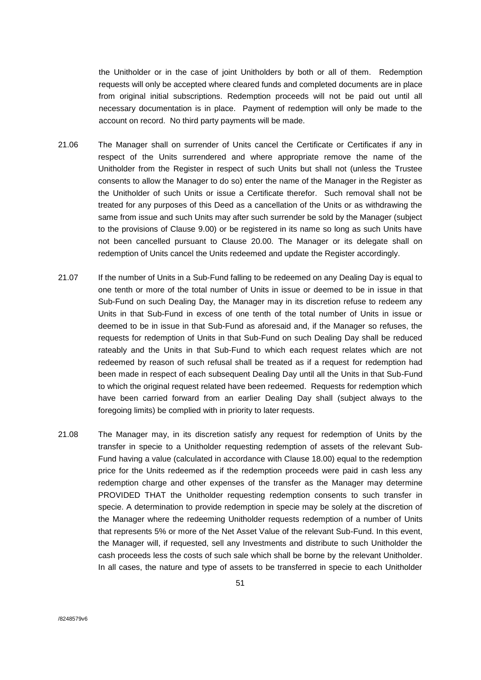the Unitholder or in the case of joint Unitholders by both or all of them. Redemption requests will only be accepted where cleared funds and completed documents are in place from original initial subscriptions. Redemption proceeds will not be paid out until all necessary documentation is in place. Payment of redemption will only be made to the account on record. No third party payments will be made.

- 21.06 The Manager shall on surrender of Units cancel the Certificate or Certificates if any in respect of the Units surrendered and where appropriate remove the name of the Unitholder from the Register in respect of such Units but shall not (unless the Trustee consents to allow the Manager to do so) enter the name of the Manager in the Register as the Unitholder of such Units or issue a Certificate therefor. Such removal shall not be treated for any purposes of this Deed as a cancellation of the Units or as withdrawing the same from issue and such Units may after such surrender be sold by the Manager (subject to the provisions of Clause 9.00) or be registered in its name so long as such Units have not been cancelled pursuant to Clause 20.00. The Manager or its delegate shall on redemption of Units cancel the Units redeemed and update the Register accordingly.
- 21.07 If the number of Units in a Sub-Fund falling to be redeemed on any Dealing Day is equal to one tenth or more of the total number of Units in issue or deemed to be in issue in that Sub-Fund on such Dealing Day, the Manager may in its discretion refuse to redeem any Units in that Sub-Fund in excess of one tenth of the total number of Units in issue or deemed to be in issue in that Sub-Fund as aforesaid and, if the Manager so refuses, the requests for redemption of Units in that Sub-Fund on such Dealing Day shall be reduced rateably and the Units in that Sub-Fund to which each request relates which are not redeemed by reason of such refusal shall be treated as if a request for redemption had been made in respect of each subsequent Dealing Day until all the Units in that Sub-Fund to which the original request related have been redeemed. Requests for redemption which have been carried forward from an earlier Dealing Day shall (subject always to the foregoing limits) be complied with in priority to later requests.
- 21.08 The Manager may, in its discretion satisfy any request for redemption of Units by the transfer in specie to a Unitholder requesting redemption of assets of the relevant Sub-Fund having a value (calculated in accordance with Clause 18.00) equal to the redemption price for the Units redeemed as if the redemption proceeds were paid in cash less any redemption charge and other expenses of the transfer as the Manager may determine PROVIDED THAT the Unitholder requesting redemption consents to such transfer in specie. A determination to provide redemption in specie may be solely at the discretion of the Manager where the redeeming Unitholder requests redemption of a number of Units that represents 5% or more of the Net Asset Value of the relevant Sub-Fund. In this event, the Manager will, if requested, sell any Investments and distribute to such Unitholder the cash proceeds less the costs of such sale which shall be borne by the relevant Unitholder. In all cases, the nature and type of assets to be transferred in specie to each Unitholder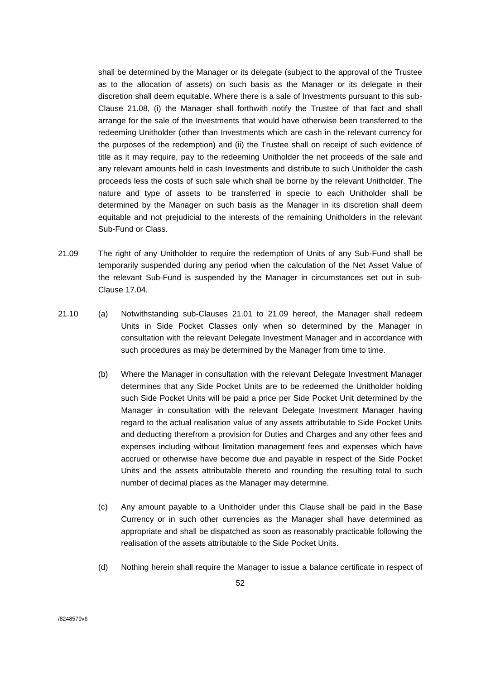shall be determined by the Manager or its delegate (subject to the approval of the Trustee as to the allocation of assets) on such basis as the Manager or its delegate in their discretion shall deem equitable. Where there is a sale of Investments pursuant to this sub-Clause 21.08, (i) the Manager shall forthwith notify the Trustee of that fact and shall arrange for the sale of the Investments that would have otherwise been transferred to the redeeming Unitholder (other than Investments which are cash in the relevant currency for the purposes of the redemption) and (ii) the Trustee shall on receipt of such evidence of title as it may require, pay to the redeeming Unitholder the net proceeds of the sale and any relevant amounts held in cash Investments and distribute to such Unitholder the cash proceeds less the costs of such sale which shall be borne by the relevant Unitholder. The nature and type of assets to be transferred in specie to each Unitholder shall be determined by the Manager on such basis as the Manager in its discretion shall deem equitable and not prejudicial to the interests of the remaining Unitholders in the relevant Sub-Fund or Class.

- 21.09 The right of any Unitholder to require the redemption of Units of any Sub-Fund shall be temporarily suspended during any period when the calculation of the Net Asset Value of the relevant Sub-Fund is suspended by the Manager in circumstances set out in sub-Clause 17.04.
- 21.10 (a) Notwithstanding sub-Clauses 21.01 to 21.09 hereof, the Manager shall redeem Units in Side Pocket Classes only when so determined by the Manager in consultation with the relevant Delegate Investment Manager and in accordance with such procedures as may be determined by the Manager from time to time.
	- (b) Where the Manager in consultation with the relevant Delegate Investment Manager determines that any Side Pocket Units are to be redeemed the Unitholder holding such Side Pocket Units will be paid a price per Side Pocket Unit determined by the Manager in consultation with the relevant Delegate Investment Manager having regard to the actual realisation value of any assets attributable to Side Pocket Units and deducting therefrom a provision for Duties and Charges and any other fees and expenses including without limitation management fees and expenses which have accrued or otherwise have become due and payable in respect of the Side Pocket Units and the assets attributable thereto and rounding the resulting total to such number of decimal places as the Manager may determine.
	- (c) Any amount payable to a Unitholder under this Clause shall be paid in the Base Currency or in such other currencies as the Manager shall have determined as appropriate and shall be dispatched as soon as reasonably practicable following the realisation of the assets attributable to the Side Pocket Units.
	- (d) Nothing herein shall require the Manager to issue a balance certificate in respect of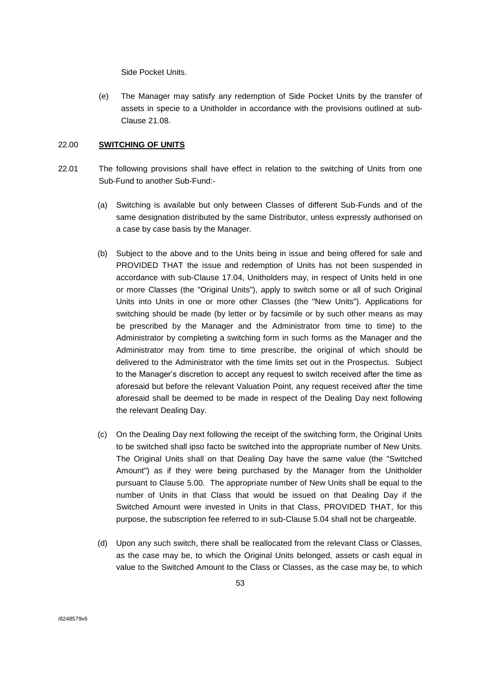Side Pocket Units.

(e) The Manager may satisfy any redemption of Side Pocket Units by the transfer of assets in specie to a Unitholder in accordance with the provisions outlined at sub-Clause 21.08.

## 22.00 **SWITCHING OF UNITS**

- 22.01 The following provisions shall have effect in relation to the switching of Units from one Sub-Fund to another Sub-Fund:-
	- (a) Switching is available but only between Classes of different Sub-Funds and of the same designation distributed by the same Distributor, unless expressly authorised on a case by case basis by the Manager.
	- (b) Subject to the above and to the Units being in issue and being offered for sale and PROVIDED THAT the issue and redemption of Units has not been suspended in accordance with sub-Clause 17.04, Unitholders may, in respect of Units held in one or more Classes (the "Original Units"), apply to switch some or all of such Original Units into Units in one or more other Classes (the "New Units"). Applications for switching should be made (by letter or by facsimile or by such other means as may be prescribed by the Manager and the Administrator from time to time) to the Administrator by completing a switching form in such forms as the Manager and the Administrator may from time to time prescribe, the original of which should be delivered to the Administrator with the time limits set out in the Prospectus. Subject to the Manager's discretion to accept any request to switch received after the time as aforesaid but before the relevant Valuation Point, any request received after the time aforesaid shall be deemed to be made in respect of the Dealing Day next following the relevant Dealing Day.
	- (c) On the Dealing Day next following the receipt of the switching form, the Original Units to be switched shall ipso facto be switched into the appropriate number of New Units. The Original Units shall on that Dealing Day have the same value (the "Switched Amount") as if they were being purchased by the Manager from the Unitholder pursuant to Clause 5.00. The appropriate number of New Units shall be equal to the number of Units in that Class that would be issued on that Dealing Day if the Switched Amount were invested in Units in that Class, PROVIDED THAT, for this purpose, the subscription fee referred to in sub-Clause 5.04 shall not be chargeable.
	- (d) Upon any such switch, there shall be reallocated from the relevant Class or Classes, as the case may be, to which the Original Units belonged, assets or cash equal in value to the Switched Amount to the Class or Classes, as the case may be, to which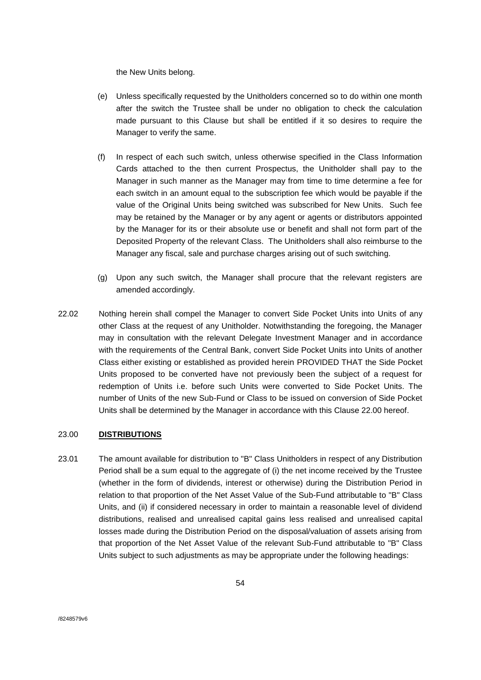the New Units belong.

- (e) Unless specifically requested by the Unitholders concerned so to do within one month after the switch the Trustee shall be under no obligation to check the calculation made pursuant to this Clause but shall be entitled if it so desires to require the Manager to verify the same.
- (f) In respect of each such switch, unless otherwise specified in the Class Information Cards attached to the then current Prospectus, the Unitholder shall pay to the Manager in such manner as the Manager may from time to time determine a fee for each switch in an amount equal to the subscription fee which would be payable if the value of the Original Units being switched was subscribed for New Units. Such fee may be retained by the Manager or by any agent or agents or distributors appointed by the Manager for its or their absolute use or benefit and shall not form part of the Deposited Property of the relevant Class. The Unitholders shall also reimburse to the Manager any fiscal, sale and purchase charges arising out of such switching.
- (g) Upon any such switch, the Manager shall procure that the relevant registers are amended accordingly.
- 22.02 Nothing herein shall compel the Manager to convert Side Pocket Units into Units of any other Class at the request of any Unitholder. Notwithstanding the foregoing, the Manager may in consultation with the relevant Delegate Investment Manager and in accordance with the requirements of the Central Bank, convert Side Pocket Units into Units of another Class either existing or established as provided herein PROVIDED THAT the Side Pocket Units proposed to be converted have not previously been the subject of a request for redemption of Units i.e. before such Units were converted to Side Pocket Units. The number of Units of the new Sub-Fund or Class to be issued on conversion of Side Pocket Units shall be determined by the Manager in accordance with this Clause 22.00 hereof.

# 23.00 **DISTRIBUTIONS**

23.01 The amount available for distribution to "B" Class Unitholders in respect of any Distribution Period shall be a sum equal to the aggregate of (i) the net income received by the Trustee (whether in the form of dividends, interest or otherwise) during the Distribution Period in relation to that proportion of the Net Asset Value of the Sub-Fund attributable to "B" Class Units, and (ii) if considered necessary in order to maintain a reasonable level of dividend distributions, realised and unrealised capital gains less realised and unrealised capital losses made during the Distribution Period on the disposal/valuation of assets arising from that proportion of the Net Asset Value of the relevant Sub-Fund attributable to "B" Class Units subject to such adjustments as may be appropriate under the following headings: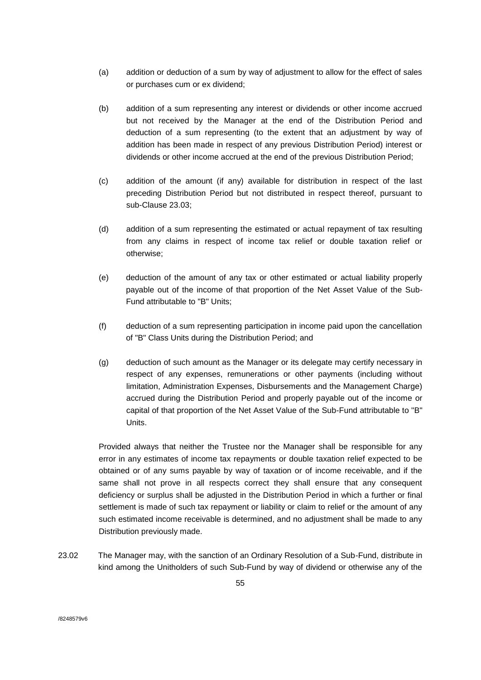- (a) addition or deduction of a sum by way of adjustment to allow for the effect of sales or purchases cum or ex dividend;
- (b) addition of a sum representing any interest or dividends or other income accrued but not received by the Manager at the end of the Distribution Period and deduction of a sum representing (to the extent that an adjustment by way of addition has been made in respect of any previous Distribution Period) interest or dividends or other income accrued at the end of the previous Distribution Period;
- (c) addition of the amount (if any) available for distribution in respect of the last preceding Distribution Period but not distributed in respect thereof, pursuant to sub-Clause 23.03;
- (d) addition of a sum representing the estimated or actual repayment of tax resulting from any claims in respect of income tax relief or double taxation relief or otherwise;
- (e) deduction of the amount of any tax or other estimated or actual liability properly payable out of the income of that proportion of the Net Asset Value of the Sub-Fund attributable to "B" Units;
- (f) deduction of a sum representing participation in income paid upon the cancellation of "B" Class Units during the Distribution Period; and
- (g) deduction of such amount as the Manager or its delegate may certify necessary in respect of any expenses, remunerations or other payments (including without limitation, Administration Expenses, Disbursements and the Management Charge) accrued during the Distribution Period and properly payable out of the income or capital of that proportion of the Net Asset Value of the Sub-Fund attributable to "B" Units.

Provided always that neither the Trustee nor the Manager shall be responsible for any error in any estimates of income tax repayments or double taxation relief expected to be obtained or of any sums payable by way of taxation or of income receivable, and if the same shall not prove in all respects correct they shall ensure that any consequent deficiency or surplus shall be adjusted in the Distribution Period in which a further or final settlement is made of such tax repayment or liability or claim to relief or the amount of any such estimated income receivable is determined, and no adjustment shall be made to any Distribution previously made.

23.02 The Manager may, with the sanction of an Ordinary Resolution of a Sub-Fund, distribute in kind among the Unitholders of such Sub-Fund by way of dividend or otherwise any of the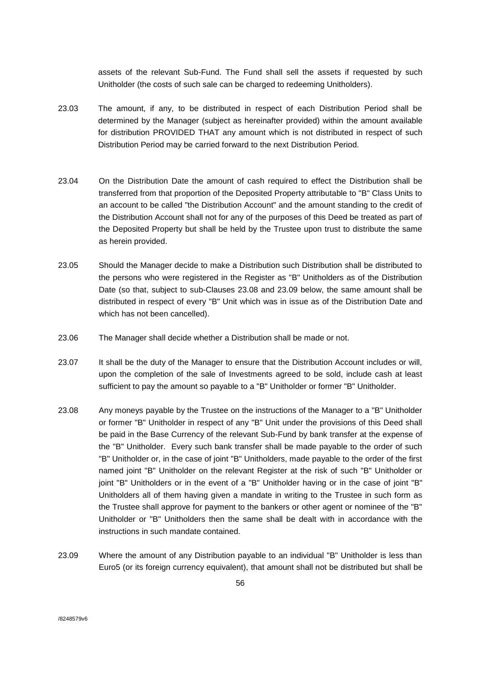assets of the relevant Sub-Fund. The Fund shall sell the assets if requested by such Unitholder (the costs of such sale can be charged to redeeming Unitholders).

- 23.03 The amount, if any, to be distributed in respect of each Distribution Period shall be determined by the Manager (subject as hereinafter provided) within the amount available for distribution PROVIDED THAT any amount which is not distributed in respect of such Distribution Period may be carried forward to the next Distribution Period.
- 23.04 On the Distribution Date the amount of cash required to effect the Distribution shall be transferred from that proportion of the Deposited Property attributable to "B" Class Units to an account to be called "the Distribution Account" and the amount standing to the credit of the Distribution Account shall not for any of the purposes of this Deed be treated as part of the Deposited Property but shall be held by the Trustee upon trust to distribute the same as herein provided.
- 23.05 Should the Manager decide to make a Distribution such Distribution shall be distributed to the persons who were registered in the Register as "B" Unitholders as of the Distribution Date (so that, subject to sub-Clauses 23.08 and 23.09 below, the same amount shall be distributed in respect of every "B" Unit which was in issue as of the Distribution Date and which has not been cancelled).
- 23.06 The Manager shall decide whether a Distribution shall be made or not.
- 23.07 It shall be the duty of the Manager to ensure that the Distribution Account includes or will, upon the completion of the sale of Investments agreed to be sold, include cash at least sufficient to pay the amount so payable to a "B" Unitholder or former "B" Unitholder.
- 23.08 Any moneys payable by the Trustee on the instructions of the Manager to a "B" Unitholder or former "B" Unitholder in respect of any "B" Unit under the provisions of this Deed shall be paid in the Base Currency of the relevant Sub-Fund by bank transfer at the expense of the "B" Unitholder. Every such bank transfer shall be made payable to the order of such "B" Unitholder or, in the case of joint "B" Unitholders, made payable to the order of the first named joint "B" Unitholder on the relevant Register at the risk of such "B" Unitholder or joint "B" Unitholders or in the event of a "B" Unitholder having or in the case of joint "B" Unitholders all of them having given a mandate in writing to the Trustee in such form as the Trustee shall approve for payment to the bankers or other agent or nominee of the "B" Unitholder or "B" Unitholders then the same shall be dealt with in accordance with the instructions in such mandate contained.
- 23.09 Where the amount of any Distribution payable to an individual "B" Unitholder is less than Euro5 (or its foreign currency equivalent), that amount shall not be distributed but shall be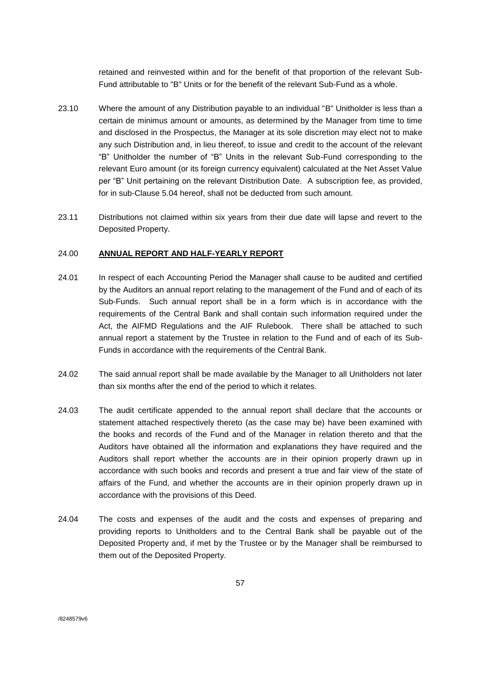retained and reinvested within and for the benefit of that proportion of the relevant Sub-Fund attributable to "B" Units or for the benefit of the relevant Sub-Fund as a whole.

- 23.10 Where the amount of any Distribution payable to an individual "B" Unitholder is less than a certain de minimus amount or amounts, as determined by the Manager from time to time and disclosed in the Prospectus, the Manager at its sole discretion may elect not to make any such Distribution and, in lieu thereof, to issue and credit to the account of the relevant "B" Unitholder the number of "B" Units in the relevant Sub-Fund corresponding to the relevant Euro amount (or its foreign currency equivalent) calculated at the Net Asset Value per "B" Unit pertaining on the relevant Distribution Date. A subscription fee, as provided, for in sub-Clause 5.04 hereof, shall not be deducted from such amount.
- 23.11 Distributions not claimed within six years from their due date will lapse and revert to the Deposited Property.

# 24.00 **ANNUAL REPORT AND HALF-YEARLY REPORT**

- 24.01 In respect of each Accounting Period the Manager shall cause to be audited and certified by the Auditors an annual report relating to the management of the Fund and of each of its Sub-Funds. Such annual report shall be in a form which is in accordance with the requirements of the Central Bank and shall contain such information required under the Act, the AIFMD Regulations and the AIF Rulebook. There shall be attached to such annual report a statement by the Trustee in relation to the Fund and of each of its Sub-Funds in accordance with the requirements of the Central Bank.
- 24.02 The said annual report shall be made available by the Manager to all Unitholders not later than six months after the end of the period to which it relates.
- 24.03 The audit certificate appended to the annual report shall declare that the accounts or statement attached respectively thereto (as the case may be) have been examined with the books and records of the Fund and of the Manager in relation thereto and that the Auditors have obtained all the information and explanations they have required and the Auditors shall report whether the accounts are in their opinion properly drawn up in accordance with such books and records and present a true and fair view of the state of affairs of the Fund, and whether the accounts are in their opinion properly drawn up in accordance with the provisions of this Deed.
- 24.04 The costs and expenses of the audit and the costs and expenses of preparing and providing reports to Unitholders and to the Central Bank shall be payable out of the Deposited Property and, if met by the Trustee or by the Manager shall be reimbursed to them out of the Deposited Property.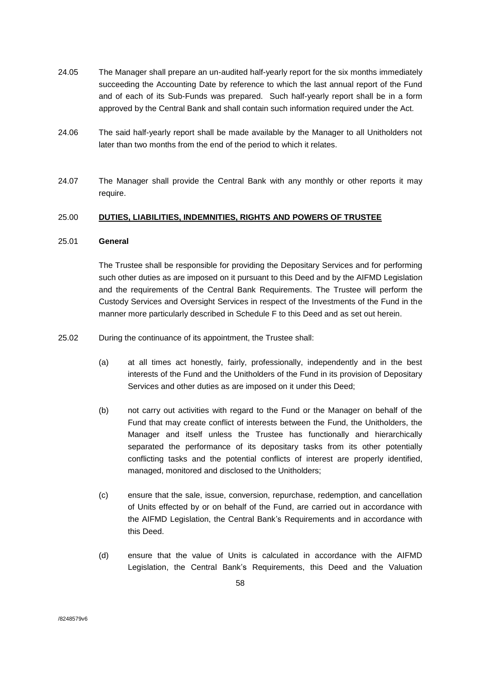- 24.05 The Manager shall prepare an un-audited half-yearly report for the six months immediately succeeding the Accounting Date by reference to which the last annual report of the Fund and of each of its Sub-Funds was prepared. Such half-yearly report shall be in a form approved by the Central Bank and shall contain such information required under the Act.
- 24.06 The said half-yearly report shall be made available by the Manager to all Unitholders not later than two months from the end of the period to which it relates.
- 24.07 The Manager shall provide the Central Bank with any monthly or other reports it may require.

# 25.00 **DUTIES, LIABILITIES, INDEMNITIES, RIGHTS AND POWERS OF TRUSTEE**

## 25.01 **General**

The Trustee shall be responsible for providing the Depositary Services and for performing such other duties as are imposed on it pursuant to this Deed and by the AIFMD Legislation and the requirements of the Central Bank Requirements. The Trustee will perform the Custody Services and Oversight Services in respect of the Investments of the Fund in the manner more particularly described in Schedule F to this Deed and as set out herein.

- 25.02 During the continuance of its appointment, the Trustee shall:
	- (a) at all times act honestly, fairly, professionally, independently and in the best interests of the Fund and the Unitholders of the Fund in its provision of Depositary Services and other duties as are imposed on it under this Deed;
	- (b) not carry out activities with regard to the Fund or the Manager on behalf of the Fund that may create conflict of interests between the Fund, the Unitholders, the Manager and itself unless the Trustee has functionally and hierarchically separated the performance of its depositary tasks from its other potentially conflicting tasks and the potential conflicts of interest are properly identified, managed, monitored and disclosed to the Unitholders;
	- (c) ensure that the sale, issue, conversion, repurchase, redemption, and cancellation of Units effected by or on behalf of the Fund, are carried out in accordance with the AIFMD Legislation, the Central Bank's Requirements and in accordance with this Deed.
	- (d) ensure that the value of Units is calculated in accordance with the AIFMD Legislation, the Central Bank's Requirements, this Deed and the Valuation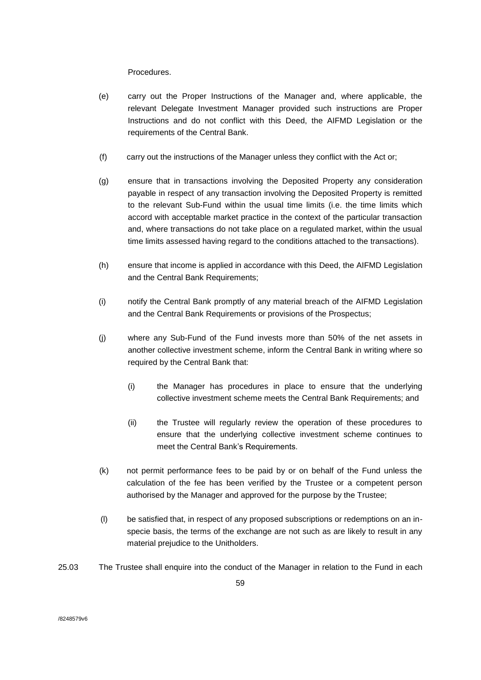Procedures.

- (e) carry out the Proper Instructions of the Manager and, where applicable, the relevant Delegate Investment Manager provided such instructions are Proper Instructions and do not conflict with this Deed, the AIFMD Legislation or the requirements of the Central Bank.
- (f) carry out the instructions of the Manager unless they conflict with the Act or;
- (g) ensure that in transactions involving the Deposited Property any consideration payable in respect of any transaction involving the Deposited Property is remitted to the relevant Sub-Fund within the usual time limits (i.e. the time limits which accord with acceptable market practice in the context of the particular transaction and, where transactions do not take place on a regulated market, within the usual time limits assessed having regard to the conditions attached to the transactions).
- (h) ensure that income is applied in accordance with this Deed, the AIFMD Legislation and the Central Bank Requirements;
- (i) notify the Central Bank promptly of any material breach of the AIFMD Legislation and the Central Bank Requirements or provisions of the Prospectus;
- (j) where any Sub-Fund of the Fund invests more than 50% of the net assets in another collective investment scheme, inform the Central Bank in writing where so required by the Central Bank that:
	- (i) the Manager has procedures in place to ensure that the underlying collective investment scheme meets the Central Bank Requirements; and
	- (ii) the Trustee will regularly review the operation of these procedures to ensure that the underlying collective investment scheme continues to meet the Central Bank's Requirements.
- (k) not permit performance fees to be paid by or on behalf of the Fund unless the calculation of the fee has been verified by the Trustee or a competent person authorised by the Manager and approved for the purpose by the Trustee;
- (l) be satisfied that, in respect of any proposed subscriptions or redemptions on an inspecie basis, the terms of the exchange are not such as are likely to result in any material prejudice to the Unitholders.
- 25.03 The Trustee shall enquire into the conduct of the Manager in relation to the Fund in each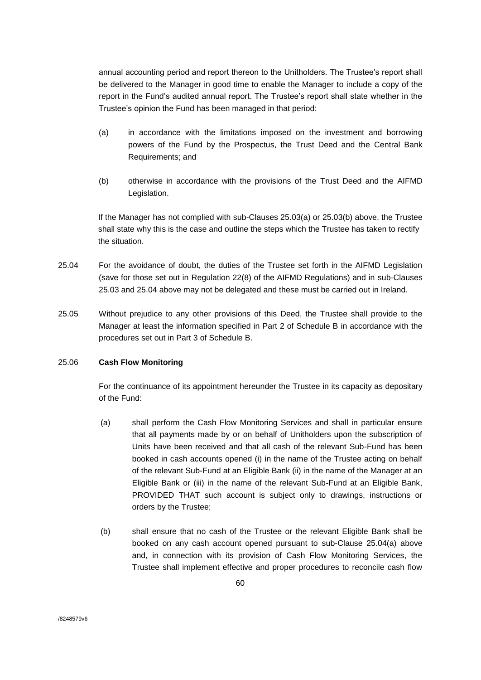annual accounting period and report thereon to the Unitholders. The Trustee's report shall be delivered to the Manager in good time to enable the Manager to include a copy of the report in the Fund's audited annual report. The Trustee's report shall state whether in the Trustee's opinion the Fund has been managed in that period:

- (a) in accordance with the limitations imposed on the investment and borrowing powers of the Fund by the Prospectus, the Trust Deed and the Central Bank Requirements; and
- (b) otherwise in accordance with the provisions of the Trust Deed and the AIFMD Legislation.

If the Manager has not complied with sub-Clauses 25.03(a) or 25.03(b) above, the Trustee shall state why this is the case and outline the steps which the Trustee has taken to rectify the situation.

- 25.04 For the avoidance of doubt, the duties of the Trustee set forth in the AIFMD Legislation (save for those set out in Regulation 22(8) of the AIFMD Regulations) and in sub-Clauses 25.03 and 25.04 above may not be delegated and these must be carried out in Ireland.
- 25.05 Without prejudice to any other provisions of this Deed, the Trustee shall provide to the Manager at least the information specified in Part 2 of Schedule B in accordance with the procedures set out in Part 3 of Schedule B.

### 25.06 **Cash Flow Monitoring**

For the continuance of its appointment hereunder the Trustee in its capacity as depositary of the Fund:

- (a) shall perform the Cash Flow Monitoring Services and shall in particular ensure that all payments made by or on behalf of Unitholders upon the subscription of Units have been received and that all cash of the relevant Sub-Fund has been booked in cash accounts opened (i) in the name of the Trustee acting on behalf of the relevant Sub-Fund at an Eligible Bank (ii) in the name of the Manager at an Eligible Bank or (iii) in the name of the relevant Sub-Fund at an Eligible Bank, PROVIDED THAT such account is subject only to drawings, instructions or orders by the Trustee;
- (b) shall ensure that no cash of the Trustee or the relevant Eligible Bank shall be booked on any cash account opened pursuant to sub-Clause 25.04(a) above and, in connection with its provision of Cash Flow Monitoring Services, the Trustee shall implement effective and proper procedures to reconcile cash flow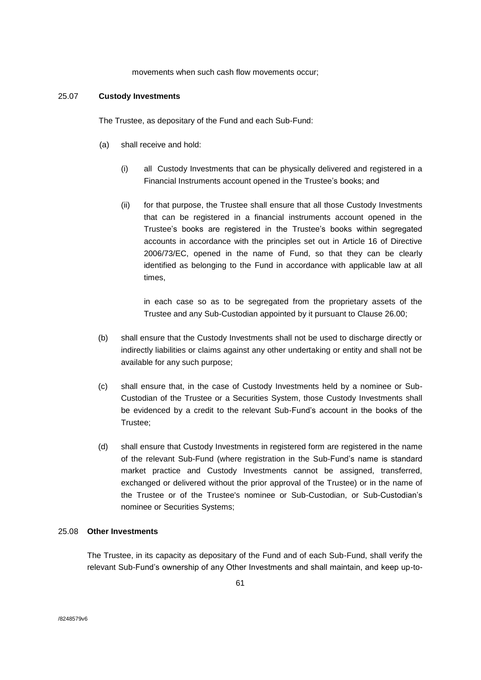movements when such cash flow movements occur;

### 25.07 **Custody Investments**

The Trustee, as depositary of the Fund and each Sub-Fund:

- (a) shall receive and hold:
	- (i) all Custody Investments that can be physically delivered and registered in a Financial Instruments account opened in the Trustee's books; and
	- (ii) for that purpose, the Trustee shall ensure that all those Custody Investments that can be registered in a financial instruments account opened in the Trustee's books are registered in the Trustee's books within segregated accounts in accordance with the principles set out in Article 16 of Directive 2006/73/EC, opened in the name of Fund, so that they can be clearly identified as belonging to the Fund in accordance with applicable law at all times,

in each case so as to be segregated from the proprietary assets of the Trustee and any Sub-Custodian appointed by it pursuant to Clause 26.00;

- (b) shall ensure that the Custody Investments shall not be used to discharge directly or indirectly liabilities or claims against any other undertaking or entity and shall not be available for any such purpose;
- (c) shall ensure that, in the case of Custody Investments held by a nominee or Sub-Custodian of the Trustee or a Securities System, those Custody Investments shall be evidenced by a credit to the relevant Sub-Fund's account in the books of the Trustee;
- (d) shall ensure that Custody Investments in registered form are registered in the name of the relevant Sub-Fund (where registration in the Sub-Fund's name is standard market practice and Custody Investments cannot be assigned, transferred, exchanged or delivered without the prior approval of the Trustee) or in the name of the Trustee or of the Trustee's nominee or Sub-Custodian, or Sub-Custodian's nominee or Securities Systems;

### 25.08 **Other Investments**

The Trustee, in its capacity as depositary of the Fund and of each Sub-Fund, shall verify the relevant Sub-Fund's ownership of any Other Investments and shall maintain, and keep up-to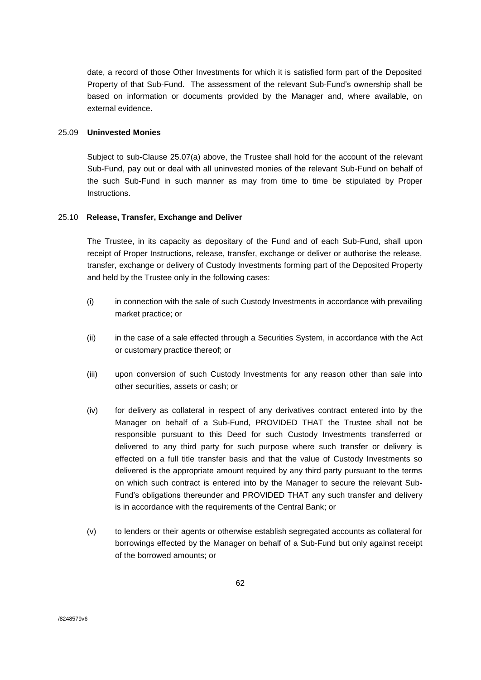date, a record of those Other Investments for which it is satisfied form part of the Deposited Property of that Sub-Fund. The assessment of the relevant Sub-Fund's ownership shall be based on information or documents provided by the Manager and, where available, on external evidence.

## 25.09 **Uninvested Monies**

Subject to sub-Clause 25.07(a) above, the Trustee shall hold for the account of the relevant Sub-Fund, pay out or deal with all uninvested monies of the relevant Sub-Fund on behalf of the such Sub-Fund in such manner as may from time to time be stipulated by Proper Instructions.

# 25.10 **Release, Transfer, Exchange and Deliver**

The Trustee, in its capacity as depositary of the Fund and of each Sub-Fund, shall upon receipt of Proper Instructions, release, transfer, exchange or deliver or authorise the release, transfer, exchange or delivery of Custody Investments forming part of the Deposited Property and held by the Trustee only in the following cases:

- (i) in connection with the sale of such Custody Investments in accordance with prevailing market practice; or
- (ii) in the case of a sale effected through a Securities System, in accordance with the Act or customary practice thereof; or
- (iii) upon conversion of such Custody Investments for any reason other than sale into other securities, assets or cash; or
- (iv) for delivery as collateral in respect of any derivatives contract entered into by the Manager on behalf of a Sub-Fund, PROVIDED THAT the Trustee shall not be responsible pursuant to this Deed for such Custody Investments transferred or delivered to any third party for such purpose where such transfer or delivery is effected on a full title transfer basis and that the value of Custody Investments so delivered is the appropriate amount required by any third party pursuant to the terms on which such contract is entered into by the Manager to secure the relevant Sub-Fund's obligations thereunder and PROVIDED THAT any such transfer and delivery is in accordance with the requirements of the Central Bank; or
- (v) to lenders or their agents or otherwise establish segregated accounts as collateral for borrowings effected by the Manager on behalf of a Sub-Fund but only against receipt of the borrowed amounts; or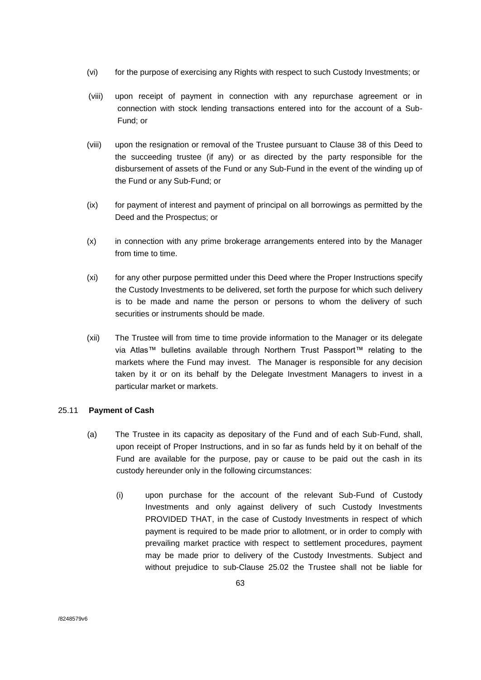- (vi) for the purpose of exercising any Rights with respect to such Custody Investments; or
- (viii) upon receipt of payment in connection with any repurchase agreement or in connection with stock lending transactions entered into for the account of a Sub-Fund; or
- (viii) upon the resignation or removal of the Trustee pursuant to Clause 38 of this Deed to the succeeding trustee (if any) or as directed by the party responsible for the disbursement of assets of the Fund or any Sub-Fund in the event of the winding up of the Fund or any Sub-Fund; or
- (ix) for payment of interest and payment of principal on all borrowings as permitted by the Deed and the Prospectus; or
- (x) in connection with any prime brokerage arrangements entered into by the Manager from time to time.
- (xi) for any other purpose permitted under this Deed where the Proper Instructions specify the Custody Investments to be delivered, set forth the purpose for which such delivery is to be made and name the person or persons to whom the delivery of such securities or instruments should be made.
- (xii) The Trustee will from time to time provide information to the Manager or its delegate via Atlas™ bulletins available through Northern Trust Passport™ relating to the markets where the Fund may invest. The Manager is responsible for any decision taken by it or on its behalf by the Delegate Investment Managers to invest in a particular market or markets.

# 25.11 **Payment of Cash**

- (a) The Trustee in its capacity as depositary of the Fund and of each Sub-Fund, shall, upon receipt of Proper Instructions, and in so far as funds held by it on behalf of the Fund are available for the purpose, pay or cause to be paid out the cash in its custody hereunder only in the following circumstances:
	- (i) upon purchase for the account of the relevant Sub-Fund of Custody Investments and only against delivery of such Custody Investments PROVIDED THAT, in the case of Custody Investments in respect of which payment is required to be made prior to allotment, or in order to comply with prevailing market practice with respect to settlement procedures, payment may be made prior to delivery of the Custody Investments. Subject and without prejudice to sub-Clause 25.02 the Trustee shall not be liable for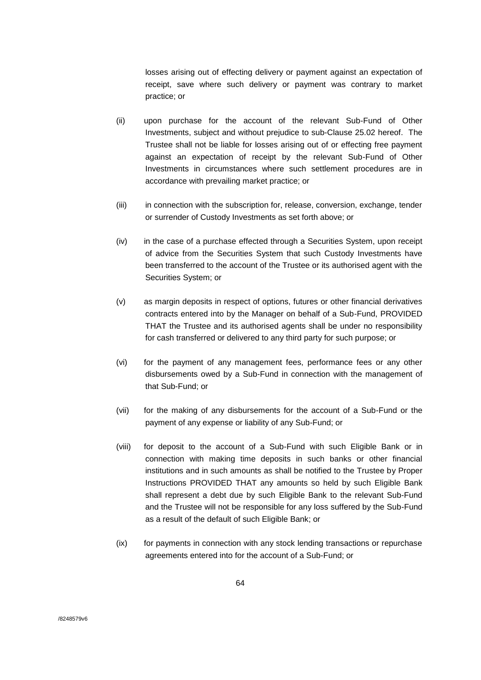losses arising out of effecting delivery or payment against an expectation of receipt, save where such delivery or payment was contrary to market practice; or

- (ii) upon purchase for the account of the relevant Sub-Fund of Other Investments, subject and without prejudice to sub-Clause 25.02 hereof. The Trustee shall not be liable for losses arising out of or effecting free payment against an expectation of receipt by the relevant Sub-Fund of Other Investments in circumstances where such settlement procedures are in accordance with prevailing market practice; or
- (iii) in connection with the subscription for, release, conversion, exchange, tender or surrender of Custody Investments as set forth above; or
- (iv) in the case of a purchase effected through a Securities System, upon receipt of advice from the Securities System that such Custody Investments have been transferred to the account of the Trustee or its authorised agent with the Securities System; or
- (v) as margin deposits in respect of options, futures or other financial derivatives contracts entered into by the Manager on behalf of a Sub-Fund, PROVIDED THAT the Trustee and its authorised agents shall be under no responsibility for cash transferred or delivered to any third party for such purpose; or
- (vi) for the payment of any management fees, performance fees or any other disbursements owed by a Sub-Fund in connection with the management of that Sub-Fund; or
- (vii) for the making of any disbursements for the account of a Sub-Fund or the payment of any expense or liability of any Sub-Fund; or
- (viii) for deposit to the account of a Sub-Fund with such Eligible Bank or in connection with making time deposits in such banks or other financial institutions and in such amounts as shall be notified to the Trustee by Proper Instructions PROVIDED THAT any amounts so held by such Eligible Bank shall represent a debt due by such Eligible Bank to the relevant Sub-Fund and the Trustee will not be responsible for any loss suffered by the Sub-Fund as a result of the default of such Eligible Bank; or
- (ix) for payments in connection with any stock lending transactions or repurchase agreements entered into for the account of a Sub-Fund; or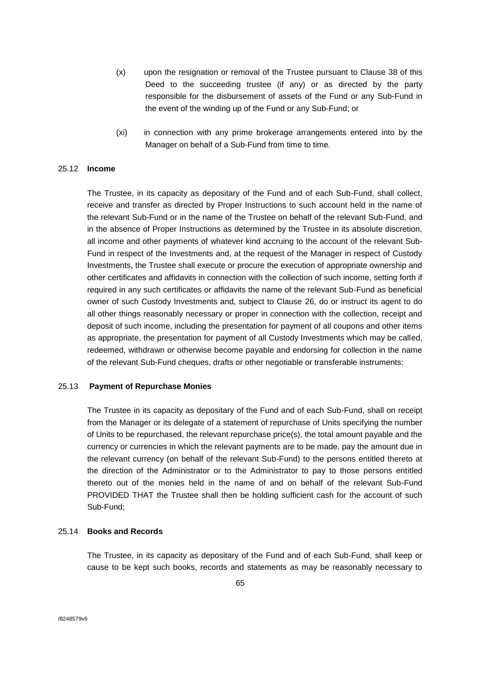- (x) upon the resignation or removal of the Trustee pursuant to Clause 38 of this Deed to the succeeding trustee (if any) or as directed by the party responsible for the disbursement of assets of the Fund or any Sub-Fund in the event of the winding up of the Fund or any Sub-Fund; or
- (xi) in connection with any prime brokerage arrangements entered into by the Manager on behalf of a Sub-Fund from time to time.

## 25.12 **Income**

The Trustee, in its capacity as depositary of the Fund and of each Sub-Fund, shall collect, receive and transfer as directed by Proper Instructions to such account held in the name of the relevant Sub-Fund or in the name of the Trustee on behalf of the relevant Sub-Fund, and in the absence of Proper Instructions as determined by the Trustee in its absolute discretion, all income and other payments of whatever kind accruing to the account of the relevant Sub-Fund in respect of the Investments and, at the request of the Manager in respect of Custody Investments, the Trustee shall execute or procure the execution of appropriate ownership and other certificates and affidavits in connection with the collection of such income, setting forth if required in any such certificates or affidavits the name of the relevant Sub-Fund as beneficial owner of such Custody Investments and, subject to Clause 26, do or instruct its agent to do all other things reasonably necessary or proper in connection with the collection, receipt and deposit of such income, including the presentation for payment of all coupons and other items as appropriate, the presentation for payment of all Custody Investments which may be called, redeemed, withdrawn or otherwise become payable and endorsing for collection in the name of the relevant Sub-Fund cheques, drafts or other negotiable or transferable instruments;

### 25.13 **Payment of Repurchase Monies**

The Trustee in its capacity as depositary of the Fund and of each Sub-Fund, shall on receipt from the Manager or its delegate of a statement of repurchase of Units specifying the number of Units to be repurchased, the relevant repurchase price(s), the total amount payable and the currency or currencies in which the relevant payments are to be made, pay the amount due in the relevant currency (on behalf of the relevant Sub-Fund) to the persons entitled thereto at the direction of the Administrator or to the Administrator to pay to those persons entitled thereto out of the monies held in the name of and on behalf of the relevant Sub-Fund PROVIDED THAT the Trustee shall then be holding sufficient cash for the account of such Sub-Fund;

#### 25.14 **Books and Records**

The Trustee, in its capacity as depositary of the Fund and of each Sub-Fund, shall keep or cause to be kept such books, records and statements as may be reasonably necessary to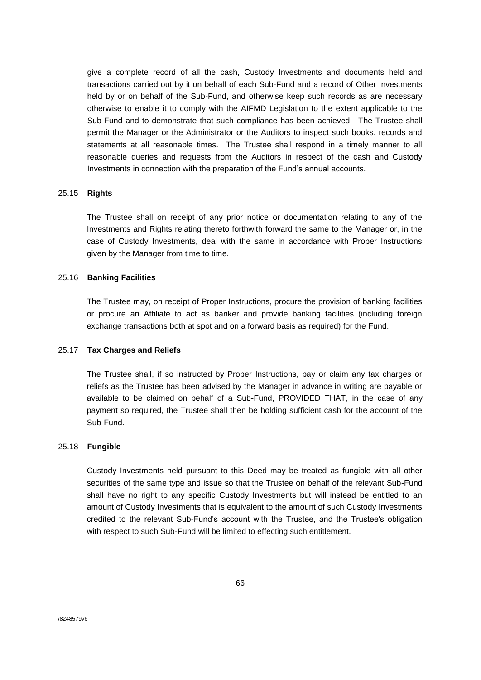give a complete record of all the cash, Custody Investments and documents held and transactions carried out by it on behalf of each Sub-Fund and a record of Other Investments held by or on behalf of the Sub-Fund, and otherwise keep such records as are necessary otherwise to enable it to comply with the AIFMD Legislation to the extent applicable to the Sub-Fund and to demonstrate that such compliance has been achieved. The Trustee shall permit the Manager or the Administrator or the Auditors to inspect such books, records and statements at all reasonable times. The Trustee shall respond in a timely manner to all reasonable queries and requests from the Auditors in respect of the cash and Custody Investments in connection with the preparation of the Fund's annual accounts.

### 25.15 **Rights**

The Trustee shall on receipt of any prior notice or documentation relating to any of the Investments and Rights relating thereto forthwith forward the same to the Manager or, in the case of Custody Investments, deal with the same in accordance with Proper Instructions given by the Manager from time to time.

### 25.16 **Banking Facilities**

The Trustee may, on receipt of Proper Instructions, procure the provision of banking facilities or procure an Affiliate to act as banker and provide banking facilities (including foreign exchange transactions both at spot and on a forward basis as required) for the Fund.

### 25.17 **Tax Charges and Reliefs**

The Trustee shall, if so instructed by Proper Instructions, pay or claim any tax charges or reliefs as the Trustee has been advised by the Manager in advance in writing are payable or available to be claimed on behalf of a Sub-Fund, PROVIDED THAT, in the case of any payment so required, the Trustee shall then be holding sufficient cash for the account of the Sub-Fund.

#### 25.18 **Fungible**

Custody Investments held pursuant to this Deed may be treated as fungible with all other securities of the same type and issue so that the Trustee on behalf of the relevant Sub-Fund shall have no right to any specific Custody Investments but will instead be entitled to an amount of Custody Investments that is equivalent to the amount of such Custody Investments credited to the relevant Sub-Fund's account with the Trustee, and the Trustee's obligation with respect to such Sub-Fund will be limited to effecting such entitlement.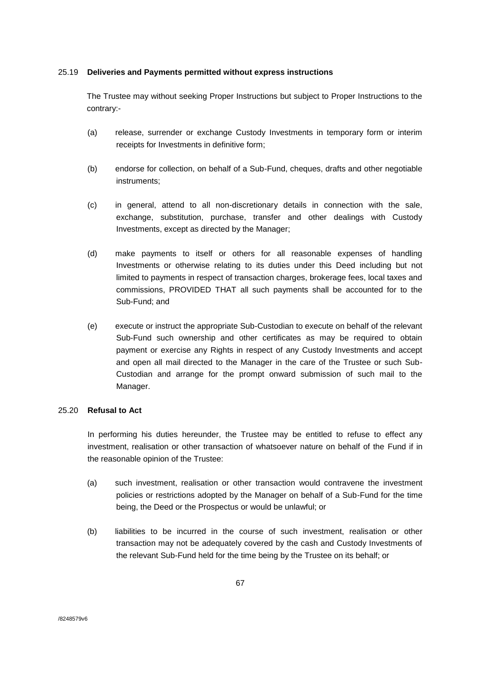# 25.19 **Deliveries and Payments permitted without express instructions**

The Trustee may without seeking Proper Instructions but subject to Proper Instructions to the contrary:-

- (a) release, surrender or exchange Custody Investments in temporary form or interim receipts for Investments in definitive form;
- (b) endorse for collection, on behalf of a Sub-Fund, cheques, drafts and other negotiable instruments;
- (c) in general, attend to all non-discretionary details in connection with the sale, exchange, substitution, purchase, transfer and other dealings with Custody Investments, except as directed by the Manager;
- (d) make payments to itself or others for all reasonable expenses of handling Investments or otherwise relating to its duties under this Deed including but not limited to payments in respect of transaction charges, brokerage fees, local taxes and commissions, PROVIDED THAT all such payments shall be accounted for to the Sub-Fund; and
- (e) execute or instruct the appropriate Sub-Custodian to execute on behalf of the relevant Sub-Fund such ownership and other certificates as may be required to obtain payment or exercise any Rights in respect of any Custody Investments and accept and open all mail directed to the Manager in the care of the Trustee or such Sub-Custodian and arrange for the prompt onward submission of such mail to the Manager.

## 25.20 **Refusal to Act**

In performing his duties hereunder, the Trustee may be entitled to refuse to effect any investment, realisation or other transaction of whatsoever nature on behalf of the Fund if in the reasonable opinion of the Trustee:

- (a) such investment, realisation or other transaction would contravene the investment policies or restrictions adopted by the Manager on behalf of a Sub-Fund for the time being, the Deed or the Prospectus or would be unlawful; or
- (b) liabilities to be incurred in the course of such investment, realisation or other transaction may not be adequately covered by the cash and Custody Investments of the relevant Sub-Fund held for the time being by the Trustee on its behalf; or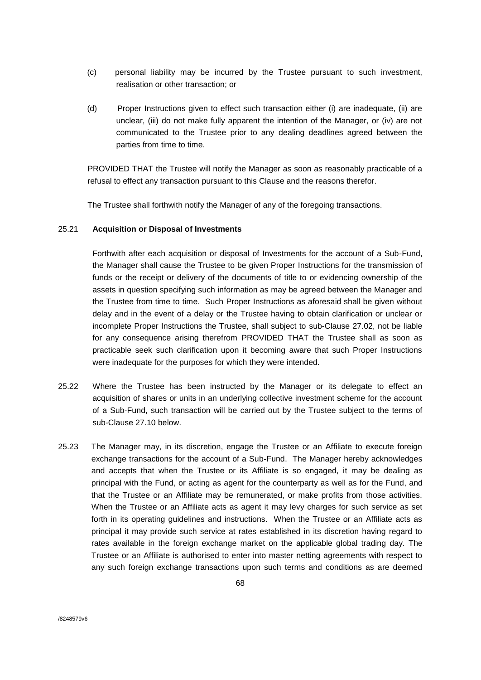- (c) personal liability may be incurred by the Trustee pursuant to such investment, realisation or other transaction; or
- (d) Proper Instructions given to effect such transaction either (i) are inadequate, (ii) are unclear, (iii) do not make fully apparent the intention of the Manager, or (iv) are not communicated to the Trustee prior to any dealing deadlines agreed between the parties from time to time.

PROVIDED THAT the Trustee will notify the Manager as soon as reasonably practicable of a refusal to effect any transaction pursuant to this Clause and the reasons therefor.

The Trustee shall forthwith notify the Manager of any of the foregoing transactions.

# 25.21 **Acquisition or Disposal of Investments**

Forthwith after each acquisition or disposal of Investments for the account of a Sub-Fund, the Manager shall cause the Trustee to be given Proper Instructions for the transmission of funds or the receipt or delivery of the documents of title to or evidencing ownership of the assets in question specifying such information as may be agreed between the Manager and the Trustee from time to time. Such Proper Instructions as aforesaid shall be given without delay and in the event of a delay or the Trustee having to obtain clarification or unclear or incomplete Proper Instructions the Trustee, shall subject to sub-Clause 27.02, not be liable for any consequence arising therefrom PROVIDED THAT the Trustee shall as soon as practicable seek such clarification upon it becoming aware that such Proper Instructions were inadequate for the purposes for which they were intended.

- 25.22 Where the Trustee has been instructed by the Manager or its delegate to effect an acquisition of shares or units in an underlying collective investment scheme for the account of a Sub-Fund, such transaction will be carried out by the Trustee subject to the terms of sub-Clause 27.10 below.
- 25.23 The Manager may, in its discretion, engage the Trustee or an Affiliate to execute foreign exchange transactions for the account of a Sub-Fund. The Manager hereby acknowledges and accepts that when the Trustee or its Affiliate is so engaged, it may be dealing as principal with the Fund, or acting as agent for the counterparty as well as for the Fund, and that the Trustee or an Affiliate may be remunerated, or make profits from those activities. When the Trustee or an Affiliate acts as agent it may levy charges for such service as set forth in its operating guidelines and instructions. When the Trustee or an Affiliate acts as principal it may provide such service at rates established in its discretion having regard to rates available in the foreign exchange market on the applicable global trading day. The Trustee or an Affiliate is authorised to enter into master netting agreements with respect to any such foreign exchange transactions upon such terms and conditions as are deemed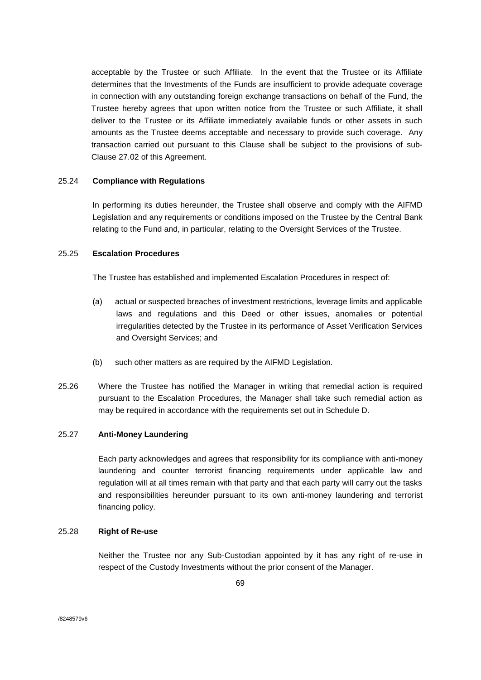acceptable by the Trustee or such Affiliate. In the event that the Trustee or its Affiliate determines that the Investments of the Funds are insufficient to provide adequate coverage in connection with any outstanding foreign exchange transactions on behalf of the Fund, the Trustee hereby agrees that upon written notice from the Trustee or such Affiliate, it shall deliver to the Trustee or its Affiliate immediately available funds or other assets in such amounts as the Trustee deems acceptable and necessary to provide such coverage. Any transaction carried out pursuant to this Clause shall be subject to the provisions of sub-Clause 27.02 of this Agreement.

# 25.24 **Compliance with Regulations**

In performing its duties hereunder, the Trustee shall observe and comply with the AIFMD Legislation and any requirements or conditions imposed on the Trustee by the Central Bank relating to the Fund and, in particular, relating to the Oversight Services of the Trustee.

# 25.25 **Escalation Procedures**

The Trustee has established and implemented Escalation Procedures in respect of:

- (a) actual or suspected breaches of investment restrictions, leverage limits and applicable laws and regulations and this Deed or other issues, anomalies or potential irregularities detected by the Trustee in its performance of Asset Verification Services and Oversight Services; and
- (b) such other matters as are required by the AIFMD Legislation.
- 25.26 Where the Trustee has notified the Manager in writing that remedial action is required pursuant to the Escalation Procedures, the Manager shall take such remedial action as may be required in accordance with the requirements set out in Schedule D.

## 25.27 **Anti-Money Laundering**

Each party acknowledges and agrees that responsibility for its compliance with anti-money laundering and counter terrorist financing requirements under applicable law and regulation will at all times remain with that party and that each party will carry out the tasks and responsibilities hereunder pursuant to its own anti-money laundering and terrorist financing policy.

### 25.28 **Right of Re-use**

Neither the Trustee nor any Sub-Custodian appointed by it has any right of re-use in respect of the Custody Investments without the prior consent of the Manager.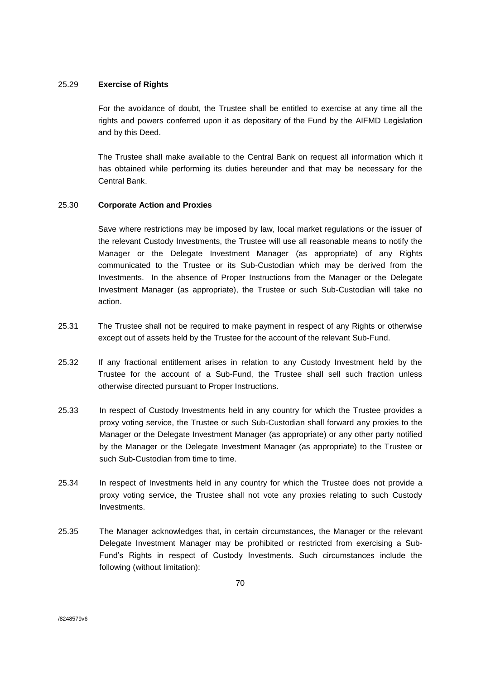## 25.29 **Exercise of Rights**

For the avoidance of doubt, the Trustee shall be entitled to exercise at any time all the rights and powers conferred upon it as depositary of the Fund by the AIFMD Legislation and by this Deed.

The Trustee shall make available to the Central Bank on request all information which it has obtained while performing its duties hereunder and that may be necessary for the Central Bank.

# 25.30 **Corporate Action and Proxies**

Save where restrictions may be imposed by law, local market regulations or the issuer of the relevant Custody Investments, the Trustee will use all reasonable means to notify the Manager or the Delegate Investment Manager (as appropriate) of any Rights communicated to the Trustee or its Sub-Custodian which may be derived from the Investments. In the absence of Proper Instructions from the Manager or the Delegate Investment Manager (as appropriate), the Trustee or such Sub-Custodian will take no action.

- 25.31 The Trustee shall not be required to make payment in respect of any Rights or otherwise except out of assets held by the Trustee for the account of the relevant Sub-Fund.
- 25.32 If any fractional entitlement arises in relation to any Custody Investment held by the Trustee for the account of a Sub-Fund, the Trustee shall sell such fraction unless otherwise directed pursuant to Proper Instructions.
- 25.33 In respect of Custody Investments held in any country for which the Trustee provides a proxy voting service, the Trustee or such Sub-Custodian shall forward any proxies to the Manager or the Delegate Investment Manager (as appropriate) or any other party notified by the Manager or the Delegate Investment Manager (as appropriate) to the Trustee or such Sub-Custodian from time to time.
- 25.34 In respect of Investments held in any country for which the Trustee does not provide a proxy voting service, the Trustee shall not vote any proxies relating to such Custody Investments.
- 25.35 The Manager acknowledges that, in certain circumstances, the Manager or the relevant Delegate Investment Manager may be prohibited or restricted from exercising a Sub-Fund's Rights in respect of Custody Investments. Such circumstances include the following (without limitation):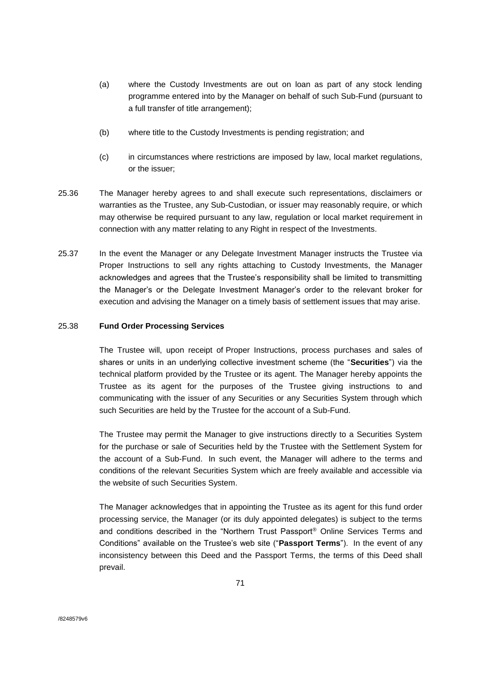- (a) where the Custody Investments are out on loan as part of any stock lending programme entered into by the Manager on behalf of such Sub-Fund (pursuant to a full transfer of title arrangement);
- (b) where title to the Custody Investments is pending registration; and
- (c) in circumstances where restrictions are imposed by law, local market regulations, or the issuer;
- 25.36 The Manager hereby agrees to and shall execute such representations, disclaimers or warranties as the Trustee, any Sub-Custodian, or issuer may reasonably require, or which may otherwise be required pursuant to any law, regulation or local market requirement in connection with any matter relating to any Right in respect of the Investments.
- 25.37 In the event the Manager or any Delegate Investment Manager instructs the Trustee via Proper Instructions to sell any rights attaching to Custody Investments, the Manager acknowledges and agrees that the Trustee's responsibility shall be limited to transmitting the Manager's or the Delegate Investment Manager's order to the relevant broker for execution and advising the Manager on a timely basis of settlement issues that may arise.

## 25.38 **Fund Order Processing Services**

The Trustee will, upon receipt of Proper Instructions, process purchases and sales of shares or units in an underlying collective investment scheme (the "**Securities**") via the technical platform provided by the Trustee or its agent. The Manager hereby appoints the Trustee as its agent for the purposes of the Trustee giving instructions to and communicating with the issuer of any Securities or any Securities System through which such Securities are held by the Trustee for the account of a Sub-Fund.

The Trustee may permit the Manager to give instructions directly to a Securities System for the purchase or sale of Securities held by the Trustee with the Settlement System for the account of a Sub-Fund. In such event, the Manager will adhere to the terms and conditions of the relevant Securities System which are freely available and accessible via the website of such Securities System.

The Manager acknowledges that in appointing the Trustee as its agent for this fund order processing service, the Manager (or its duly appointed delegates) is subject to the terms and conditions described in the "Northern Trust Passport® Online Services Terms and Conditions" available on the Trustee's web site ("**Passport Terms**"). In the event of any inconsistency between this Deed and the Passport Terms, the terms of this Deed shall prevail.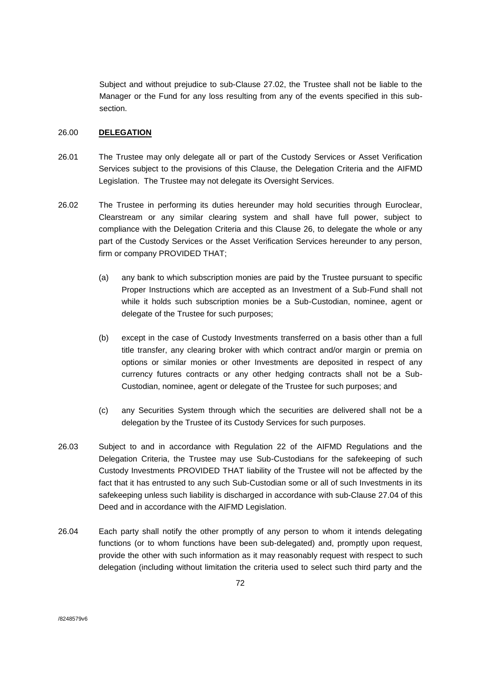Subject and without prejudice to sub-Clause 27.02, the Trustee shall not be liable to the Manager or the Fund for any loss resulting from any of the events specified in this subsection.

## 26.00 **DELEGATION**

- 26.01 The Trustee may only delegate all or part of the Custody Services or Asset Verification Services subject to the provisions of this Clause, the Delegation Criteria and the AIFMD Legislation. The Trustee may not delegate its Oversight Services.
- 26.02 The Trustee in performing its duties hereunder may hold securities through Euroclear, Clearstream or any similar clearing system and shall have full power, subject to compliance with the Delegation Criteria and this Clause 26, to delegate the whole or any part of the Custody Services or the Asset Verification Services hereunder to any person, firm or company PROVIDED THAT;
	- (a) any bank to which subscription monies are paid by the Trustee pursuant to specific Proper Instructions which are accepted as an Investment of a Sub-Fund shall not while it holds such subscription monies be a Sub-Custodian, nominee, agent or delegate of the Trustee for such purposes;
	- (b) except in the case of Custody Investments transferred on a basis other than a full title transfer, any clearing broker with which contract and/or margin or premia on options or similar monies or other Investments are deposited in respect of any currency futures contracts or any other hedging contracts shall not be a Sub-Custodian, nominee, agent or delegate of the Trustee for such purposes; and
	- (c) any Securities System through which the securities are delivered shall not be a delegation by the Trustee of its Custody Services for such purposes.
- 26.03 Subject to and in accordance with Regulation 22 of the AIFMD Regulations and the Delegation Criteria, the Trustee may use Sub-Custodians for the safekeeping of such Custody Investments PROVIDED THAT liability of the Trustee will not be affected by the fact that it has entrusted to any such Sub-Custodian some or all of such Investments in its safekeeping unless such liability is discharged in accordance with sub-Clause 27.04 of this Deed and in accordance with the AIFMD Legislation.
- 26.04 Each party shall notify the other promptly of any person to whom it intends delegating functions (or to whom functions have been sub-delegated) and, promptly upon request, provide the other with such information as it may reasonably request with respect to such delegation (including without limitation the criteria used to select such third party and the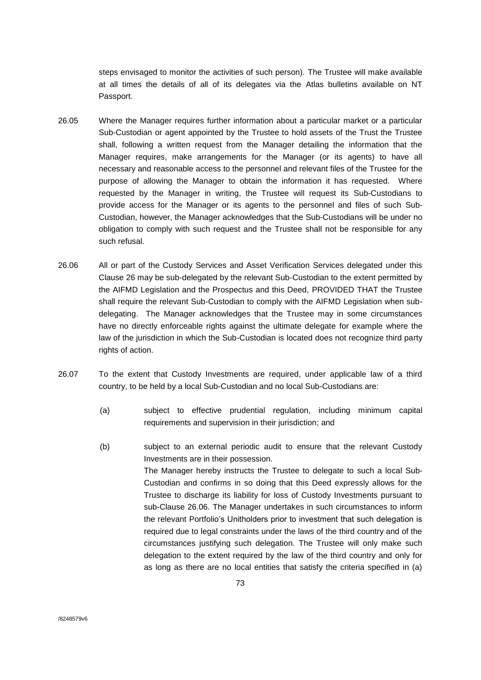steps envisaged to monitor the activities of such person). The Trustee will make available at all times the details of all of its delegates via the Atlas bulletins available on NT Passport.

- 26.05 Where the Manager requires further information about a particular market or a particular Sub-Custodian or agent appointed by the Trustee to hold assets of the Trust the Trustee shall, following a written request from the Manager detailing the information that the Manager requires, make arrangements for the Manager (or its agents) to have all necessary and reasonable access to the personnel and relevant files of the Trustee for the purpose of allowing the Manager to obtain the information it has requested. Where requested by the Manager in writing, the Trustee will request its Sub-Custodians to provide access for the Manager or its agents to the personnel and files of such Sub-Custodian, however, the Manager acknowledges that the Sub-Custodians will be under no obligation to comply with such request and the Trustee shall not be responsible for any such refusal.
- 26.06 All or part of the Custody Services and Asset Verification Services delegated under this Clause 26 may be sub-delegated by the relevant Sub-Custodian to the extent permitted by the AIFMD Legislation and the Prospectus and this Deed, PROVIDED THAT the Trustee shall require the relevant Sub-Custodian to comply with the AIFMD Legislation when subdelegating. The Manager acknowledges that the Trustee may in some circumstances have no directly enforceable rights against the ultimate delegate for example where the law of the jurisdiction in which the Sub-Custodian is located does not recognize third party rights of action.
- 26.07 To the extent that Custody Investments are required, under applicable law of a third country, to be held by a local Sub-Custodian and no local Sub-Custodians are:
	- (a) subject to effective prudential regulation, including minimum capital requirements and supervision in their jurisdiction; and
	- (b) subject to an external periodic audit to ensure that the relevant Custody Investments are in their possession. The Manager hereby instructs the Trustee to delegate to such a local Sub-Custodian and confirms in so doing that this Deed expressly allows for the Trustee to discharge its liability for loss of Custody Investments pursuant to sub-Clause 26.06. The Manager undertakes in such circumstances to inform the relevant Portfolio's Unitholders prior to investment that such delegation is required due to legal constraints under the laws of the third country and of the circumstances justifying such delegation. The Trustee will only make such delegation to the extent required by the law of the third country and only for as long as there are no local entities that satisfy the criteria specified in (a)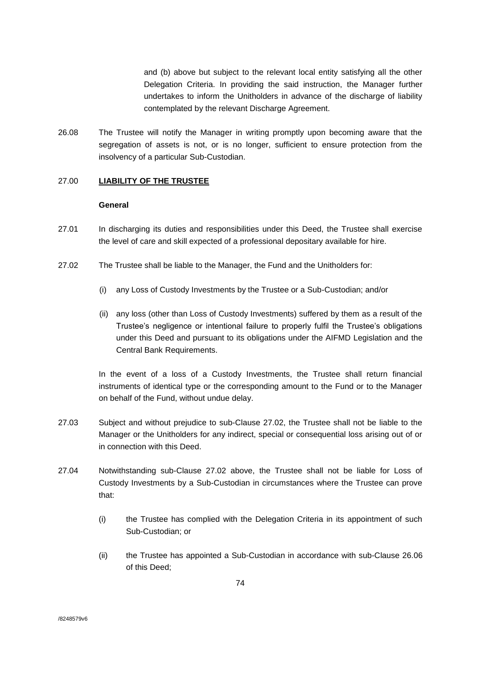and (b) above but subject to the relevant local entity satisfying all the other Delegation Criteria. In providing the said instruction, the Manager further undertakes to inform the Unitholders in advance of the discharge of liability contemplated by the relevant Discharge Agreement.

26.08 The Trustee will notify the Manager in writing promptly upon becoming aware that the segregation of assets is not, or is no longer, sufficient to ensure protection from the insolvency of a particular Sub-Custodian.

# 27.00 **LIABILITY OF THE TRUSTEE**

### **General**

- 27.01 In discharging its duties and responsibilities under this Deed, the Trustee shall exercise the level of care and skill expected of a professional depositary available for hire.
- 27.02 The Trustee shall be liable to the Manager, the Fund and the Unitholders for:
	- (i) any Loss of Custody Investments by the Trustee or a Sub-Custodian; and/or
	- (ii) any loss (other than Loss of Custody Investments) suffered by them as a result of the Trustee's negligence or intentional failure to properly fulfil the Trustee's obligations under this Deed and pursuant to its obligations under the AIFMD Legislation and the Central Bank Requirements.

In the event of a loss of a Custody Investments, the Trustee shall return financial instruments of identical type or the corresponding amount to the Fund or to the Manager on behalf of the Fund, without undue delay.

- 27.03 Subject and without prejudice to sub-Clause 27.02, the Trustee shall not be liable to the Manager or the Unitholders for any indirect, special or consequential loss arising out of or in connection with this Deed.
- 27.04 Notwithstanding sub-Clause 27.02 above, the Trustee shall not be liable for Loss of Custody Investments by a Sub-Custodian in circumstances where the Trustee can prove that:
	- (i) the Trustee has complied with the Delegation Criteria in its appointment of such Sub-Custodian; or
	- (ii) the Trustee has appointed a Sub-Custodian in accordance with sub-Clause 26.06 of this Deed;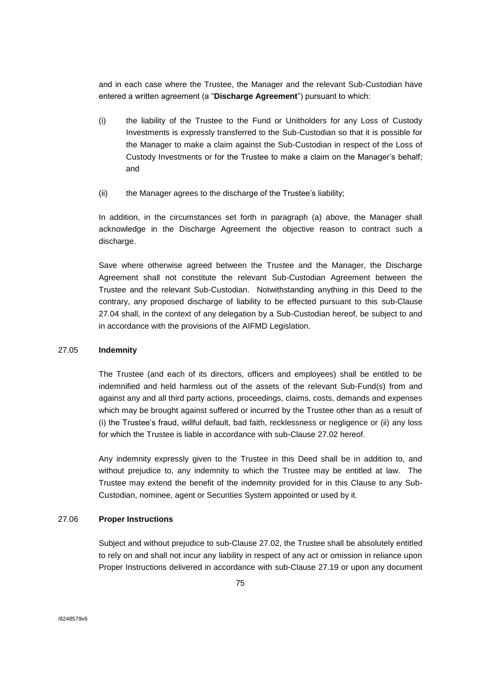and in each case where the Trustee, the Manager and the relevant Sub-Custodian have entered a written agreement (a "**Discharge Agreement**") pursuant to which:

- (i) the liability of the Trustee to the Fund or Unitholders for any Loss of Custody Investments is expressly transferred to the Sub-Custodian so that it is possible for the Manager to make a claim against the Sub-Custodian in respect of the Loss of Custody Investments or for the Trustee to make a claim on the Manager's behalf; and
- (ii) the Manager agrees to the discharge of the Trustee's liability;

In addition, in the circumstances set forth in paragraph (a) above, the Manager shall acknowledge in the Discharge Agreement the objective reason to contract such a discharge.

Save where otherwise agreed between the Trustee and the Manager, the Discharge Agreement shall not constitute the relevant Sub-Custodian Agreement between the Trustee and the relevant Sub-Custodian. Notwithstanding anything in this Deed to the contrary, any proposed discharge of liability to be effected pursuant to this sub-Clause 27.04 shall, in the context of any delegation by a Sub-Custodian hereof, be subject to and in accordance with the provisions of the AIFMD Legislation.

# 27.05 **Indemnity**

The Trustee (and each of its directors, officers and employees) shall be entitled to be indemnified and held harmless out of the assets of the relevant Sub-Fund(s) from and against any and all third party actions, proceedings, claims, costs, demands and expenses which may be brought against suffered or incurred by the Trustee other than as a result of (i) the Trustee's fraud, willful default, bad faith, recklessness or negligence or (ii) any loss for which the Trustee is liable in accordance with sub-Clause 27.02 hereof.

Any indemnity expressly given to the Trustee in this Deed shall be in addition to, and without prejudice to, any indemnity to which the Trustee may be entitled at law. The Trustee may extend the benefit of the indemnity provided for in this Clause to any Sub-Custodian, nominee, agent or Securities System appointed or used by it.

#### 27.06 **Proper Instructions**

Subject and without prejudice to sub-Clause 27.02, the Trustee shall be absolutely entitled to rely on and shall not incur any liability in respect of any act or omission in reliance upon Proper Instructions delivered in accordance with sub-Clause 27.19 or upon any document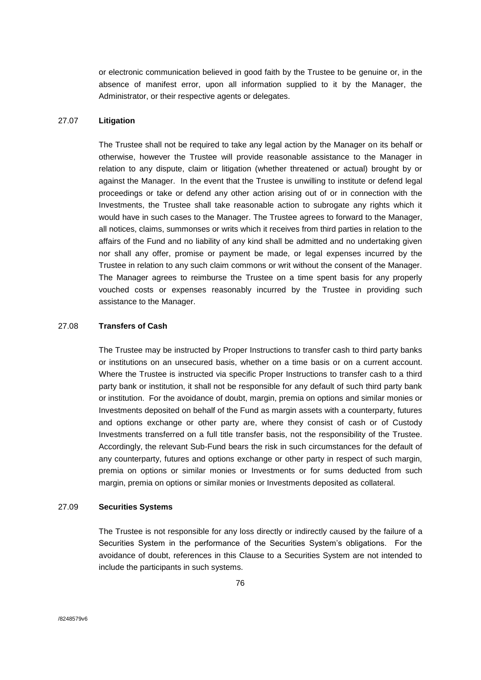or electronic communication believed in good faith by the Trustee to be genuine or, in the absence of manifest error, upon all information supplied to it by the Manager, the Administrator, or their respective agents or delegates.

### 27.07 **Litigation**

The Trustee shall not be required to take any legal action by the Manager on its behalf or otherwise, however the Trustee will provide reasonable assistance to the Manager in relation to any dispute, claim or litigation (whether threatened or actual) brought by or against the Manager. In the event that the Trustee is unwilling to institute or defend legal proceedings or take or defend any other action arising out of or in connection with the Investments, the Trustee shall take reasonable action to subrogate any rights which it would have in such cases to the Manager. The Trustee agrees to forward to the Manager, all notices, claims, summonses or writs which it receives from third parties in relation to the affairs of the Fund and no liability of any kind shall be admitted and no undertaking given nor shall any offer, promise or payment be made, or legal expenses incurred by the Trustee in relation to any such claim commons or writ without the consent of the Manager. The Manager agrees to reimburse the Trustee on a time spent basis for any properly vouched costs or expenses reasonably incurred by the Trustee in providing such assistance to the Manager.

#### 27.08 **Transfers of Cash**

The Trustee may be instructed by Proper Instructions to transfer cash to third party banks or institutions on an unsecured basis, whether on a time basis or on a current account. Where the Trustee is instructed via specific Proper Instructions to transfer cash to a third party bank or institution, it shall not be responsible for any default of such third party bank or institution. For the avoidance of doubt, margin, premia on options and similar monies or Investments deposited on behalf of the Fund as margin assets with a counterparty, futures and options exchange or other party are, where they consist of cash or of Custody Investments transferred on a full title transfer basis, not the responsibility of the Trustee. Accordingly, the relevant Sub-Fund bears the risk in such circumstances for the default of any counterparty, futures and options exchange or other party in respect of such margin, premia on options or similar monies or Investments or for sums deducted from such margin, premia on options or similar monies or Investments deposited as collateral.

#### 27.09 **Securities Systems**

The Trustee is not responsible for any loss directly or indirectly caused by the failure of a Securities System in the performance of the Securities System's obligations. For the avoidance of doubt, references in this Clause to a Securities System are not intended to include the participants in such systems.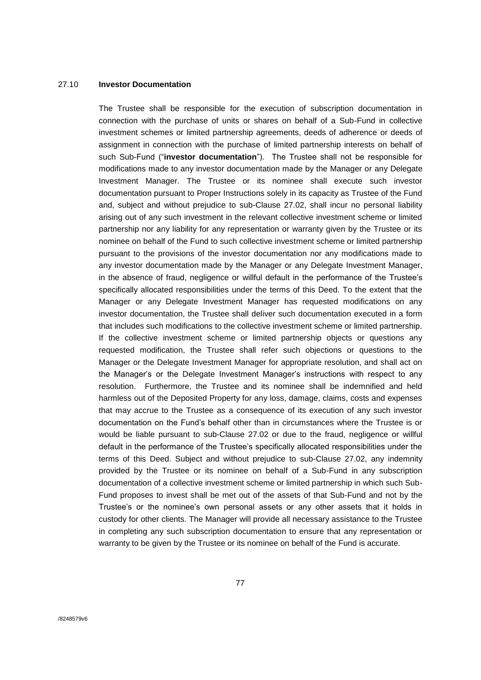### 27.10 **Investor Documentation**

The Trustee shall be responsible for the execution of subscription documentation in connection with the purchase of units or shares on behalf of a Sub-Fund in collective investment schemes or limited partnership agreements, deeds of adherence or deeds of assignment in connection with the purchase of limited partnership interests on behalf of such Sub-Fund ("**investor documentation**"). The Trustee shall not be responsible for modifications made to any investor documentation made by the Manager or any Delegate Investment Manager. The Trustee or its nominee shall execute such investor documentation pursuant to Proper Instructions solely in its capacity as Trustee of the Fund and, subject and without prejudice to sub-Clause 27.02, shall incur no personal liability arising out of any such investment in the relevant collective investment scheme or limited partnership nor any liability for any representation or warranty given by the Trustee or its nominee on behalf of the Fund to such collective investment scheme or limited partnership pursuant to the provisions of the investor documentation nor any modifications made to any investor documentation made by the Manager or any Delegate Investment Manager, in the absence of fraud, negligence or willful default in the performance of the Trustee's specifically allocated responsibilities under the terms of this Deed. To the extent that the Manager or any Delegate Investment Manager has requested modifications on any investor documentation, the Trustee shall deliver such documentation executed in a form that includes such modifications to the collective investment scheme or limited partnership. If the collective investment scheme or limited partnership objects or questions any requested modification, the Trustee shall refer such objections or questions to the Manager or the Delegate Investment Manager for appropriate resolution, and shall act on the Manager's or the Delegate Investment Manager's instructions with respect to any resolution. Furthermore, the Trustee and its nominee shall be indemnified and held harmless out of the Deposited Property for any loss, damage, claims, costs and expenses that may accrue to the Trustee as a consequence of its execution of any such investor documentation on the Fund's behalf other than in circumstances where the Trustee is or would be liable pursuant to sub-Clause 27.02 or due to the fraud, negligence or willful default in the performance of the Trustee's specifically allocated responsibilities under the terms of this Deed. Subject and without prejudice to sub-Clause 27.02, any indemnity provided by the Trustee or its nominee on behalf of a Sub-Fund in any subscription documentation of a collective investment scheme or limited partnership in which such Sub-Fund proposes to invest shall be met out of the assets of that Sub-Fund and not by the Trustee's or the nominee's own personal assets or any other assets that it holds in custody for other clients. The Manager will provide all necessary assistance to the Trustee in completing any such subscription documentation to ensure that any representation or warranty to be given by the Trustee or its nominee on behalf of the Fund is accurate.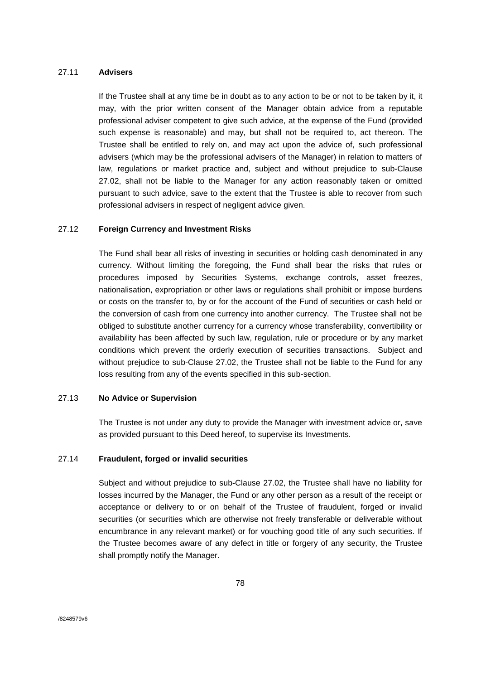### 27.11 **Advisers**

If the Trustee shall at any time be in doubt as to any action to be or not to be taken by it, it may, with the prior written consent of the Manager obtain advice from a reputable professional adviser competent to give such advice, at the expense of the Fund (provided such expense is reasonable) and may, but shall not be required to, act thereon. The Trustee shall be entitled to rely on, and may act upon the advice of, such professional advisers (which may be the professional advisers of the Manager) in relation to matters of law, regulations or market practice and, subject and without prejudice to sub-Clause 27.02, shall not be liable to the Manager for any action reasonably taken or omitted pursuant to such advice, save to the extent that the Trustee is able to recover from such professional advisers in respect of negligent advice given.

#### 27.12 **Foreign Currency and Investment Risks**

The Fund shall bear all risks of investing in securities or holding cash denominated in any currency. Without limiting the foregoing, the Fund shall bear the risks that rules or procedures imposed by Securities Systems, exchange controls, asset freezes, nationalisation, expropriation or other laws or regulations shall prohibit or impose burdens or costs on the transfer to, by or for the account of the Fund of securities or cash held or the conversion of cash from one currency into another currency. The Trustee shall not be obliged to substitute another currency for a currency whose transferability, convertibility or availability has been affected by such law, regulation, rule or procedure or by any market conditions which prevent the orderly execution of securities transactions. Subject and without prejudice to sub-Clause 27.02, the Trustee shall not be liable to the Fund for any loss resulting from any of the events specified in this sub-section.

## 27.13 **No Advice or Supervision**

The Trustee is not under any duty to provide the Manager with investment advice or, save as provided pursuant to this Deed hereof, to supervise its Investments.

## 27.14 **Fraudulent, forged or invalid securities**

Subject and without prejudice to sub-Clause 27.02, the Trustee shall have no liability for losses incurred by the Manager, the Fund or any other person as a result of the receipt or acceptance or delivery to or on behalf of the Trustee of fraudulent, forged or invalid securities (or securities which are otherwise not freely transferable or deliverable without encumbrance in any relevant market) or for vouching good title of any such securities. If the Trustee becomes aware of any defect in title or forgery of any security, the Trustee shall promptly notify the Manager.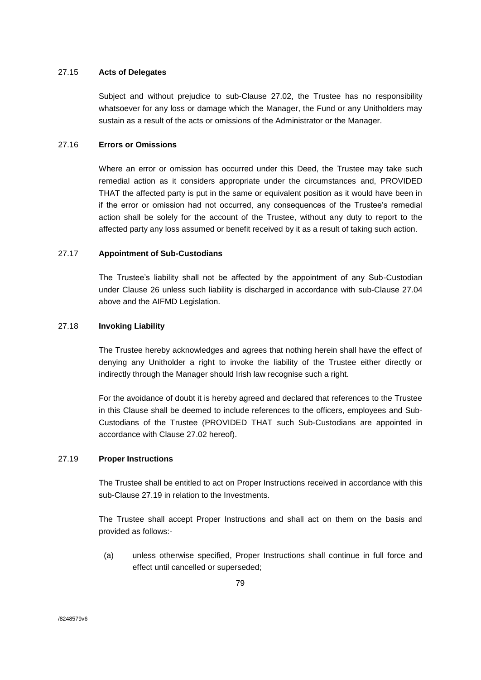### 27.15 **Acts of Delegates**

Subject and without prejudice to sub-Clause 27.02, the Trustee has no responsibility whatsoever for any loss or damage which the Manager, the Fund or any Unitholders may sustain as a result of the acts or omissions of the Administrator or the Manager.

# 27.16 **Errors or Omissions**

Where an error or omission has occurred under this Deed, the Trustee may take such remedial action as it considers appropriate under the circumstances and, PROVIDED THAT the affected party is put in the same or equivalent position as it would have been in if the error or omission had not occurred, any consequences of the Trustee's remedial action shall be solely for the account of the Trustee, without any duty to report to the affected party any loss assumed or benefit received by it as a result of taking such action.

## 27.17 **Appointment of Sub-Custodians**

The Trustee's liability shall not be affected by the appointment of any Sub-Custodian under Clause 26 unless such liability is discharged in accordance with sub-Clause 27.04 above and the AIFMD Legislation.

# 27.18 **Invoking Liability**

The Trustee hereby acknowledges and agrees that nothing herein shall have the effect of denying any Unitholder a right to invoke the liability of the Trustee either directly or indirectly through the Manager should Irish law recognise such a right.

For the avoidance of doubt it is hereby agreed and declared that references to the Trustee in this Clause shall be deemed to include references to the officers, employees and Sub-Custodians of the Trustee (PROVIDED THAT such Sub-Custodians are appointed in accordance with Clause 27.02 hereof).

### 27.19 **Proper Instructions**

The Trustee shall be entitled to act on Proper Instructions received in accordance with this sub-Clause 27.19 in relation to the Investments.

The Trustee shall accept Proper Instructions and shall act on them on the basis and provided as follows:-

(a) unless otherwise specified, Proper Instructions shall continue in full force and effect until cancelled or superseded;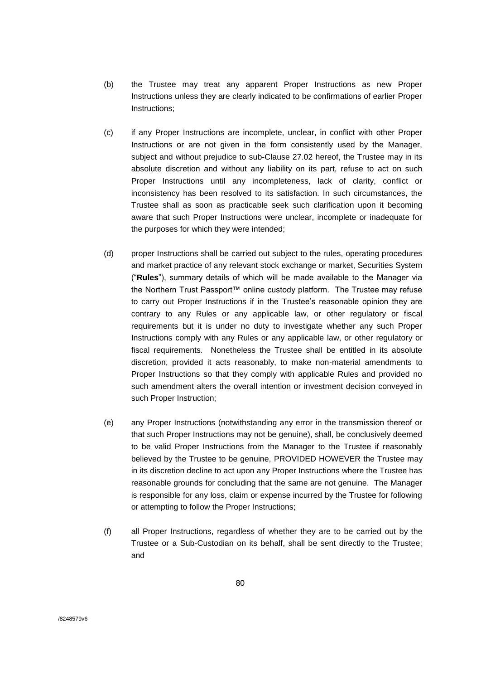- (b) the Trustee may treat any apparent Proper Instructions as new Proper Instructions unless they are clearly indicated to be confirmations of earlier Proper Instructions;
- (c) if any Proper Instructions are incomplete, unclear, in conflict with other Proper Instructions or are not given in the form consistently used by the Manager, subject and without prejudice to sub-Clause 27.02 hereof, the Trustee may in its absolute discretion and without any liability on its part, refuse to act on such Proper Instructions until any incompleteness, lack of clarity, conflict or inconsistency has been resolved to its satisfaction. In such circumstances, the Trustee shall as soon as practicable seek such clarification upon it becoming aware that such Proper Instructions were unclear, incomplete or inadequate for the purposes for which they were intended;
- (d) proper Instructions shall be carried out subject to the rules, operating procedures and market practice of any relevant stock exchange or market, Securities System ("**Rules**"), summary details of which will be made available to the Manager via the Northern Trust Passport™ online custody platform. The Trustee may refuse to carry out Proper Instructions if in the Trustee's reasonable opinion they are contrary to any Rules or any applicable law, or other regulatory or fiscal requirements but it is under no duty to investigate whether any such Proper Instructions comply with any Rules or any applicable law, or other regulatory or fiscal requirements. Nonetheless the Trustee shall be entitled in its absolute discretion, provided it acts reasonably, to make non-material amendments to Proper Instructions so that they comply with applicable Rules and provided no such amendment alters the overall intention or investment decision conveyed in such Proper Instruction;
- (e) any Proper Instructions (notwithstanding any error in the transmission thereof or that such Proper Instructions may not be genuine), shall, be conclusively deemed to be valid Proper Instructions from the Manager to the Trustee if reasonably believed by the Trustee to be genuine, PROVIDED HOWEVER the Trustee may in its discretion decline to act upon any Proper Instructions where the Trustee has reasonable grounds for concluding that the same are not genuine. The Manager is responsible for any loss, claim or expense incurred by the Trustee for following or attempting to follow the Proper Instructions;
- (f) all Proper Instructions, regardless of whether they are to be carried out by the Trustee or a Sub-Custodian on its behalf, shall be sent directly to the Trustee; and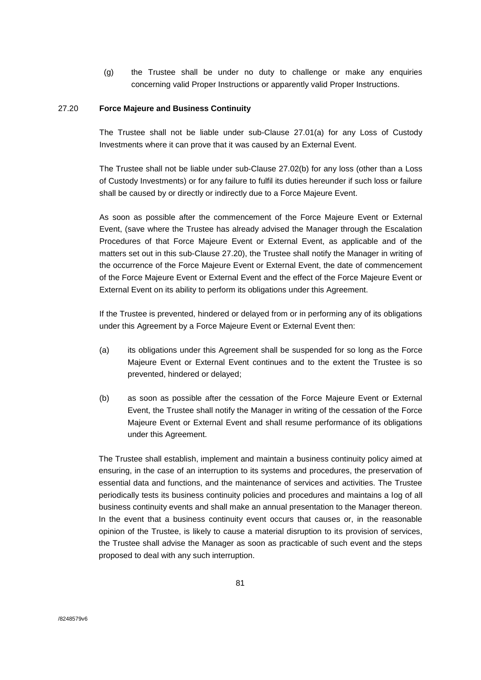(g) the Trustee shall be under no duty to challenge or make any enquiries concerning valid Proper Instructions or apparently valid Proper Instructions.

### 27.20 **Force Majeure and Business Continuity**

The Trustee shall not be liable under sub-Clause 27.01(a) for any Loss of Custody Investments where it can prove that it was caused by an External Event.

The Trustee shall not be liable under sub-Clause 27.02(b) for any loss (other than a Loss of Custody Investments) or for any failure to fulfil its duties hereunder if such loss or failure shall be caused by or directly or indirectly due to a Force Majeure Event.

As soon as possible after the commencement of the Force Majeure Event or External Event, (save where the Trustee has already advised the Manager through the Escalation Procedures of that Force Majeure Event or External Event, as applicable and of the matters set out in this sub-Clause 27.20), the Trustee shall notify the Manager in writing of the occurrence of the Force Majeure Event or External Event, the date of commencement of the Force Majeure Event or External Event and the effect of the Force Majeure Event or External Event on its ability to perform its obligations under this Agreement.

If the Trustee is prevented, hindered or delayed from or in performing any of its obligations under this Agreement by a Force Majeure Event or External Event then:

- (a) its obligations under this Agreement shall be suspended for so long as the Force Majeure Event or External Event continues and to the extent the Trustee is so prevented, hindered or delayed;
- (b) as soon as possible after the cessation of the Force Majeure Event or External Event, the Trustee shall notify the Manager in writing of the cessation of the Force Majeure Event or External Event and shall resume performance of its obligations under this Agreement.

The Trustee shall establish, implement and maintain a business continuity policy aimed at ensuring, in the case of an interruption to its systems and procedures, the preservation of essential data and functions, and the maintenance of services and activities. The Trustee periodically tests its business continuity policies and procedures and maintains a log of all business continuity events and shall make an annual presentation to the Manager thereon. In the event that a business continuity event occurs that causes or, in the reasonable opinion of the Trustee, is likely to cause a material disruption to its provision of services, the Trustee shall advise the Manager as soon as practicable of such event and the steps proposed to deal with any such interruption.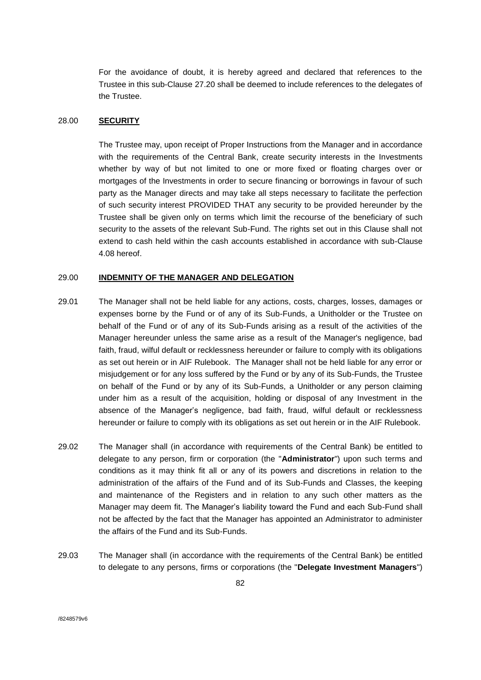For the avoidance of doubt, it is hereby agreed and declared that references to the Trustee in this sub-Clause 27.20 shall be deemed to include references to the delegates of the Trustee.

#### 28.00 **SECURITY**

The Trustee may, upon receipt of Proper Instructions from the Manager and in accordance with the requirements of the Central Bank, create security interests in the Investments whether by way of but not limited to one or more fixed or floating charges over or mortgages of the Investments in order to secure financing or borrowings in favour of such party as the Manager directs and may take all steps necessary to facilitate the perfection of such security interest PROVIDED THAT any security to be provided hereunder by the Trustee shall be given only on terms which limit the recourse of the beneficiary of such security to the assets of the relevant Sub-Fund. The rights set out in this Clause shall not extend to cash held within the cash accounts established in accordance with sub-Clause 4.08 hereof.

#### 29.00 **INDEMNITY OF THE MANAGER AND DELEGATION**

- 29.01 The Manager shall not be held liable for any actions, costs, charges, losses, damages or expenses borne by the Fund or of any of its Sub-Funds, a Unitholder or the Trustee on behalf of the Fund or of any of its Sub-Funds arising as a result of the activities of the Manager hereunder unless the same arise as a result of the Manager's negligence, bad faith, fraud, wilful default or recklessness hereunder or failure to comply with its obligations as set out herein or in AIF Rulebook. The Manager shall not be held liable for any error or misjudgement or for any loss suffered by the Fund or by any of its Sub-Funds, the Trustee on behalf of the Fund or by any of its Sub-Funds, a Unitholder or any person claiming under him as a result of the acquisition, holding or disposal of any Investment in the absence of the Manager's negligence, bad faith, fraud, wilful default or recklessness hereunder or failure to comply with its obligations as set out herein or in the AIF Rulebook.
- 29.02 The Manager shall (in accordance with requirements of the Central Bank) be entitled to delegate to any person, firm or corporation (the "**Administrator**") upon such terms and conditions as it may think fit all or any of its powers and discretions in relation to the administration of the affairs of the Fund and of its Sub-Funds and Classes, the keeping and maintenance of the Registers and in relation to any such other matters as the Manager may deem fit. The Manager's liability toward the Fund and each Sub-Fund shall not be affected by the fact that the Manager has appointed an Administrator to administer the affairs of the Fund and its Sub-Funds.
- 29.03 The Manager shall (in accordance with the requirements of the Central Bank) be entitled to delegate to any persons, firms or corporations (the "**Delegate Investment Managers**")

/8248579v6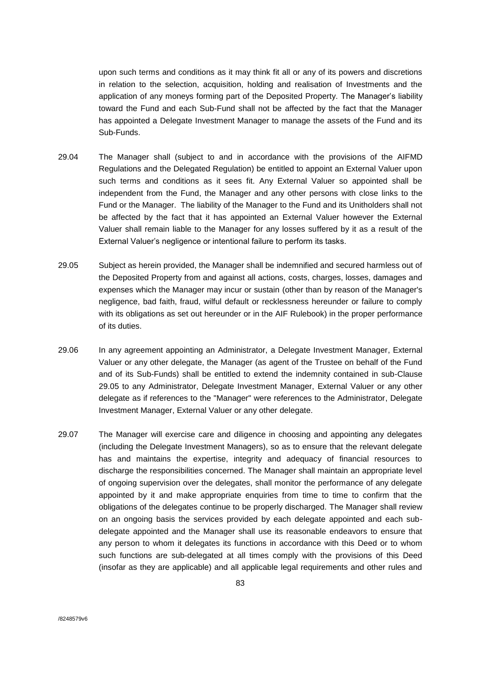upon such terms and conditions as it may think fit all or any of its powers and discretions in relation to the selection, acquisition, holding and realisation of Investments and the application of any moneys forming part of the Deposited Property. The Manager's liability toward the Fund and each Sub-Fund shall not be affected by the fact that the Manager has appointed a Delegate Investment Manager to manage the assets of the Fund and its Sub-Funds.

- 29.04 The Manager shall (subject to and in accordance with the provisions of the AIFMD Regulations and the Delegated Regulation) be entitled to appoint an External Valuer upon such terms and conditions as it sees fit. Any External Valuer so appointed shall be independent from the Fund, the Manager and any other persons with close links to the Fund or the Manager. The liability of the Manager to the Fund and its Unitholders shall not be affected by the fact that it has appointed an External Valuer however the External Valuer shall remain liable to the Manager for any losses suffered by it as a result of the External Valuer's negligence or intentional failure to perform its tasks.
- 29.05 Subject as herein provided, the Manager shall be indemnified and secured harmless out of the Deposited Property from and against all actions, costs, charges, losses, damages and expenses which the Manager may incur or sustain (other than by reason of the Manager's negligence, bad faith, fraud, wilful default or recklessness hereunder or failure to comply with its obligations as set out hereunder or in the AIF Rulebook) in the proper performance of its duties.
- 29.06 In any agreement appointing an Administrator, a Delegate Investment Manager, External Valuer or any other delegate, the Manager (as agent of the Trustee on behalf of the Fund and of its Sub-Funds) shall be entitled to extend the indemnity contained in sub-Clause 29.05 to any Administrator, Delegate Investment Manager, External Valuer or any other delegate as if references to the "Manager" were references to the Administrator, Delegate Investment Manager, External Valuer or any other delegate.
- 29.07 The Manager will exercise care and diligence in choosing and appointing any delegates (including the Delegate Investment Managers), so as to ensure that the relevant delegate has and maintains the expertise, integrity and adequacy of financial resources to discharge the responsibilities concerned. The Manager shall maintain an appropriate level of ongoing supervision over the delegates, shall monitor the performance of any delegate appointed by it and make appropriate enquiries from time to time to confirm that the obligations of the delegates continue to be properly discharged. The Manager shall review on an ongoing basis the services provided by each delegate appointed and each subdelegate appointed and the Manager shall use its reasonable endeavors to ensure that any person to whom it delegates its functions in accordance with this Deed or to whom such functions are sub-delegated at all times comply with the provisions of this Deed (insofar as they are applicable) and all applicable legal requirements and other rules and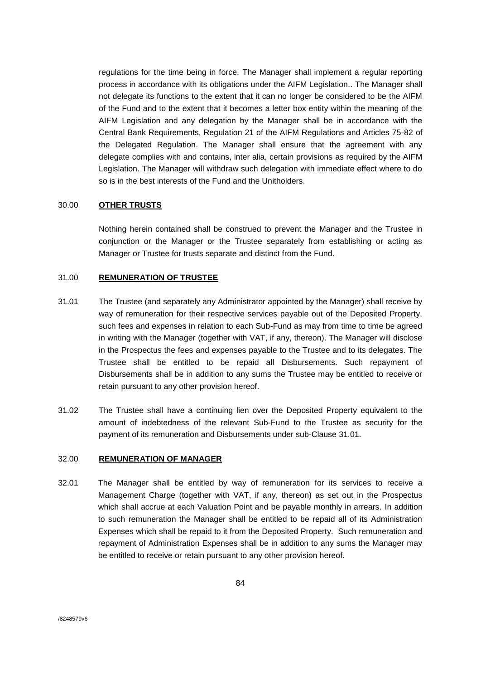regulations for the time being in force. The Manager shall implement a regular reporting process in accordance with its obligations under the AIFM Legislation.. The Manager shall not delegate its functions to the extent that it can no longer be considered to be the AIFM of the Fund and to the extent that it becomes a letter box entity within the meaning of the AIFM Legislation and any delegation by the Manager shall be in accordance with the Central Bank Requirements, Regulation 21 of the AIFM Regulations and Articles 75-82 of the Delegated Regulation. The Manager shall ensure that the agreement with any delegate complies with and contains, inter alia, certain provisions as required by the AIFM Legislation. The Manager will withdraw such delegation with immediate effect where to do so is in the best interests of the Fund and the Unitholders.

### 30.00 **OTHER TRUSTS**

Nothing herein contained shall be construed to prevent the Manager and the Trustee in conjunction or the Manager or the Trustee separately from establishing or acting as Manager or Trustee for trusts separate and distinct from the Fund.

### 31.00 **REMUNERATION OF TRUSTEE**

- 31.01 The Trustee (and separately any Administrator appointed by the Manager) shall receive by way of remuneration for their respective services payable out of the Deposited Property, such fees and expenses in relation to each Sub-Fund as may from time to time be agreed in writing with the Manager (together with VAT, if any, thereon). The Manager will disclose in the Prospectus the fees and expenses payable to the Trustee and to its delegates. The Trustee shall be entitled to be repaid all Disbursements. Such repayment of Disbursements shall be in addition to any sums the Trustee may be entitled to receive or retain pursuant to any other provision hereof.
- 31.02 The Trustee shall have a continuing lien over the Deposited Property equivalent to the amount of indebtedness of the relevant Sub-Fund to the Trustee as security for the payment of its remuneration and Disbursements under sub-Clause 31.01.

## 32.00 **REMUNERATION OF MANAGER**

32.01 The Manager shall be entitled by way of remuneration for its services to receive a Management Charge (together with VAT, if any, thereon) as set out in the Prospectus which shall accrue at each Valuation Point and be payable monthly in arrears. In addition to such remuneration the Manager shall be entitled to be repaid all of its Administration Expenses which shall be repaid to it from the Deposited Property. Such remuneration and repayment of Administration Expenses shall be in addition to any sums the Manager may be entitled to receive or retain pursuant to any other provision hereof.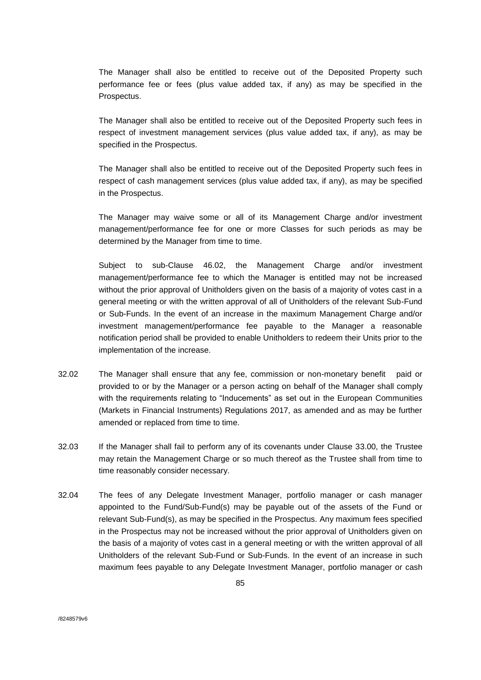The Manager shall also be entitled to receive out of the Deposited Property such performance fee or fees (plus value added tax, if any) as may be specified in the Prospectus.

The Manager shall also be entitled to receive out of the Deposited Property such fees in respect of investment management services (plus value added tax, if any), as may be specified in the Prospectus.

The Manager shall also be entitled to receive out of the Deposited Property such fees in respect of cash management services (plus value added tax, if any), as may be specified in the Prospectus.

The Manager may waive some or all of its Management Charge and/or investment management/performance fee for one or more Classes for such periods as may be determined by the Manager from time to time.

Subject to sub-Clause 46.02, the Management Charge and/or investment management/performance fee to which the Manager is entitled may not be increased without the prior approval of Unitholders given on the basis of a majority of votes cast in a general meeting or with the written approval of all of Unitholders of the relevant Sub-Fund or Sub-Funds. In the event of an increase in the maximum Management Charge and/or investment management/performance fee payable to the Manager a reasonable notification period shall be provided to enable Unitholders to redeem their Units prior to the implementation of the increase.

- 32.02 The Manager shall ensure that any fee, commission or non-monetary benefit paid or provided to or by the Manager or a person acting on behalf of the Manager shall comply with the requirements relating to "Inducements" as set out in the European Communities (Markets in Financial Instruments) Regulations 2017, as amended and as may be further amended or replaced from time to time.
- 32.03 If the Manager shall fail to perform any of its covenants under Clause 33.00, the Trustee may retain the Management Charge or so much thereof as the Trustee shall from time to time reasonably consider necessary.
- 32.04 The fees of any Delegate Investment Manager, portfolio manager or cash manager appointed to the Fund/Sub-Fund(s) may be payable out of the assets of the Fund or relevant Sub-Fund(s), as may be specified in the Prospectus. Any maximum fees specified in the Prospectus may not be increased without the prior approval of Unitholders given on the basis of a majority of votes cast in a general meeting or with the written approval of all Unitholders of the relevant Sub-Fund or Sub-Funds. In the event of an increase in such maximum fees payable to any Delegate Investment Manager, portfolio manager or cash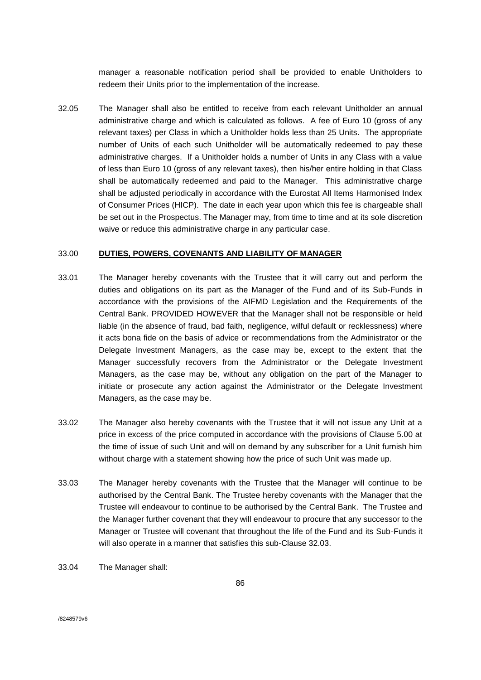manager a reasonable notification period shall be provided to enable Unitholders to redeem their Units prior to the implementation of the increase.

32.05 The Manager shall also be entitled to receive from each relevant Unitholder an annual administrative charge and which is calculated as follows. A fee of Euro 10 (gross of any relevant taxes) per Class in which a Unitholder holds less than 25 Units. The appropriate number of Units of each such Unitholder will be automatically redeemed to pay these administrative charges. If a Unitholder holds a number of Units in any Class with a value of less than Euro 10 (gross of any relevant taxes), then his/her entire holding in that Class shall be automatically redeemed and paid to the Manager. This administrative charge shall be adjusted periodically in accordance with the Eurostat All Items Harmonised Index of Consumer Prices (HICP). The date in each year upon which this fee is chargeable shall be set out in the Prospectus. The Manager may, from time to time and at its sole discretion waive or reduce this administrative charge in any particular case.

### 33.00 **DUTIES, POWERS, COVENANTS AND LIABILITY OF MANAGER**

- 33.01 The Manager hereby covenants with the Trustee that it will carry out and perform the duties and obligations on its part as the Manager of the Fund and of its Sub-Funds in accordance with the provisions of the AIFMD Legislation and the Requirements of the Central Bank. PROVIDED HOWEVER that the Manager shall not be responsible or held liable (in the absence of fraud, bad faith, negligence, wilful default or recklessness) where it acts bona fide on the basis of advice or recommendations from the Administrator or the Delegate Investment Managers, as the case may be, except to the extent that the Manager successfully recovers from the Administrator or the Delegate Investment Managers, as the case may be, without any obligation on the part of the Manager to initiate or prosecute any action against the Administrator or the Delegate Investment Managers, as the case may be.
- 33.02 The Manager also hereby covenants with the Trustee that it will not issue any Unit at a price in excess of the price computed in accordance with the provisions of Clause 5.00 at the time of issue of such Unit and will on demand by any subscriber for a Unit furnish him without charge with a statement showing how the price of such Unit was made up.
- 33.03 The Manager hereby covenants with the Trustee that the Manager will continue to be authorised by the Central Bank. The Trustee hereby covenants with the Manager that the Trustee will endeavour to continue to be authorised by the Central Bank. The Trustee and the Manager further covenant that they will endeavour to procure that any successor to the Manager or Trustee will covenant that throughout the life of the Fund and its Sub-Funds it will also operate in a manner that satisfies this sub-Clause 32.03.
- 33.04 The Manager shall: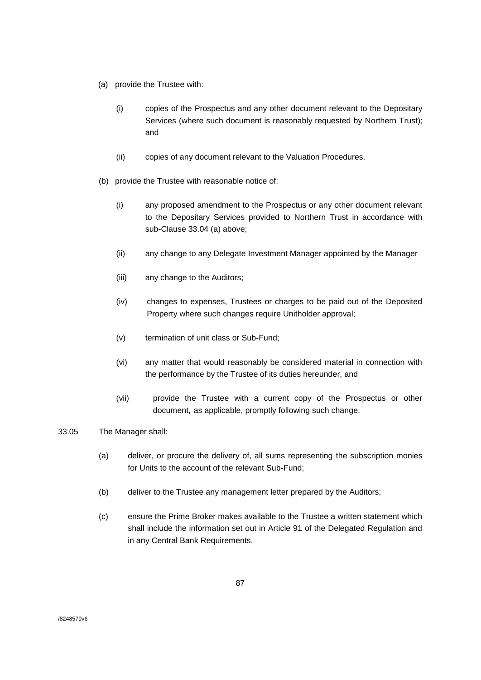- (a) provide the Trustee with:
	- (i) copies of the Prospectus and any other document relevant to the Depositary Services (where such document is reasonably requested by Northern Trust); and
	- (ii) copies of any document relevant to the Valuation Procedures.
- (b) provide the Trustee with reasonable notice of:
	- (i) any proposed amendment to the Prospectus or any other document relevant to the Depositary Services provided to Northern Trust in accordance with sub-Clause 33.04 (a) above;
	- (ii) any change to any Delegate Investment Manager appointed by the Manager
	- (iii) any change to the Auditors;
	- (iv) changes to expenses, Trustees or charges to be paid out of the Deposited Property where such changes require Unitholder approval;
	- (v) termination of unit class or Sub-Fund;
	- (vi) any matter that would reasonably be considered material in connection with the performance by the Trustee of its duties hereunder, and
	- (vii) provide the Trustee with a current copy of the Prospectus or other document, as applicable, promptly following such change.
- 33.05 The Manager shall:
	- (a) deliver, or procure the delivery of, all sums representing the subscription monies for Units to the account of the relevant Sub-Fund;
	- (b) deliver to the Trustee any management letter prepared by the Auditors;
	- (c) ensure the Prime Broker makes available to the Trustee a written statement which shall include the information set out in Article 91 of the Delegated Regulation and in any Central Bank Requirements.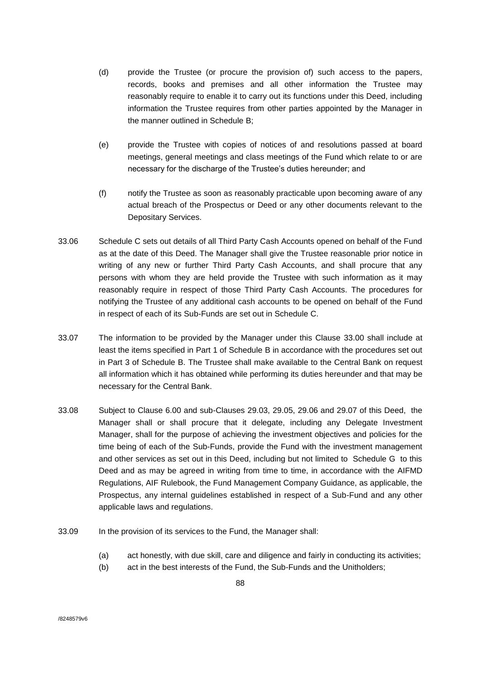- (d) provide the Trustee (or procure the provision of) such access to the papers, records, books and premises and all other information the Trustee may reasonably require to enable it to carry out its functions under this Deed, including information the Trustee requires from other parties appointed by the Manager in the manner outlined in Schedule B;
- (e) provide the Trustee with copies of notices of and resolutions passed at board meetings, general meetings and class meetings of the Fund which relate to or are necessary for the discharge of the Trustee's duties hereunder; and
- (f) notify the Trustee as soon as reasonably practicable upon becoming aware of any actual breach of the Prospectus or Deed or any other documents relevant to the Depositary Services.
- 33.06 Schedule C sets out details of all Third Party Cash Accounts opened on behalf of the Fund as at the date of this Deed. The Manager shall give the Trustee reasonable prior notice in writing of any new or further Third Party Cash Accounts, and shall procure that any persons with whom they are held provide the Trustee with such information as it may reasonably require in respect of those Third Party Cash Accounts. The procedures for notifying the Trustee of any additional cash accounts to be opened on behalf of the Fund in respect of each of its Sub-Funds are set out in Schedule C.
- 33.07 The information to be provided by the Manager under this Clause 33.00 shall include at least the items specified in Part 1 of Schedule B in accordance with the procedures set out in Part 3 of Schedule B. The Trustee shall make available to the Central Bank on request all information which it has obtained while performing its duties hereunder and that may be necessary for the Central Bank.
- 33.08 Subject to Clause 6.00 and sub-Clauses 29.03, 29.05, 29.06 and 29.07 of this Deed, the Manager shall or shall procure that it delegate, including any Delegate Investment Manager, shall for the purpose of achieving the investment objectives and policies for the time being of each of the Sub-Funds, provide the Fund with the investment management and other services as set out in this Deed, including but not limited to Schedule G to this Deed and as may be agreed in writing from time to time, in accordance with the AIFMD Regulations, AIF Rulebook, the Fund Management Company Guidance, as applicable, the Prospectus, any internal guidelines established in respect of a Sub-Fund and any other applicable laws and regulations.
- 33.09 In the provision of its services to the Fund, the Manager shall:
	- (a) act honestly, with due skill, care and diligence and fairly in conducting its activities;
	- (b) act in the best interests of the Fund, the Sub-Funds and the Unitholders;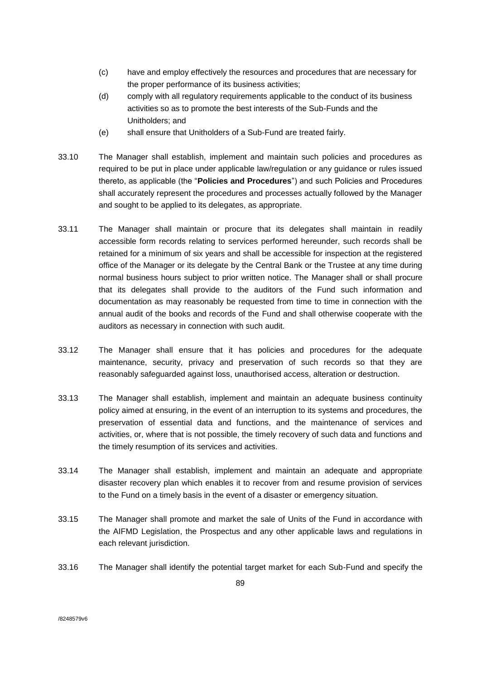- (c) have and employ effectively the resources and procedures that are necessary for the proper performance of its business activities;
- (d) comply with all regulatory requirements applicable to the conduct of its business activities so as to promote the best interests of the Sub-Funds and the Unitholders; and
- (e) shall ensure that Unitholders of a Sub-Fund are treated fairly.
- 33.10 The Manager shall establish, implement and maintain such policies and procedures as required to be put in place under applicable law/regulation or any guidance or rules issued thereto, as applicable (the "**Policies and Procedures**") and such Policies and Procedures shall accurately represent the procedures and processes actually followed by the Manager and sought to be applied to its delegates, as appropriate.
- 33.11 The Manager shall maintain or procure that its delegates shall maintain in readily accessible form records relating to services performed hereunder, such records shall be retained for a minimum of six years and shall be accessible for inspection at the registered office of the Manager or its delegate by the Central Bank or the Trustee at any time during normal business hours subject to prior written notice. The Manager shall or shall procure that its delegates shall provide to the auditors of the Fund such information and documentation as may reasonably be requested from time to time in connection with the annual audit of the books and records of the Fund and shall otherwise cooperate with the auditors as necessary in connection with such audit.
- 33.12 The Manager shall ensure that it has policies and procedures for the adequate maintenance, security, privacy and preservation of such records so that they are reasonably safeguarded against loss, unauthorised access, alteration or destruction.
- 33.13 The Manager shall establish, implement and maintain an adequate business continuity policy aimed at ensuring, in the event of an interruption to its systems and procedures, the preservation of essential data and functions, and the maintenance of services and activities, or, where that is not possible, the timely recovery of such data and functions and the timely resumption of its services and activities.
- 33.14 The Manager shall establish, implement and maintain an adequate and appropriate disaster recovery plan which enables it to recover from and resume provision of services to the Fund on a timely basis in the event of a disaster or emergency situation.
- 33.15 The Manager shall promote and market the sale of Units of the Fund in accordance with the AIFMD Legislation, the Prospectus and any other applicable laws and regulations in each relevant jurisdiction.
- 33.16 The Manager shall identify the potential target market for each Sub-Fund and specify the

/8248579v6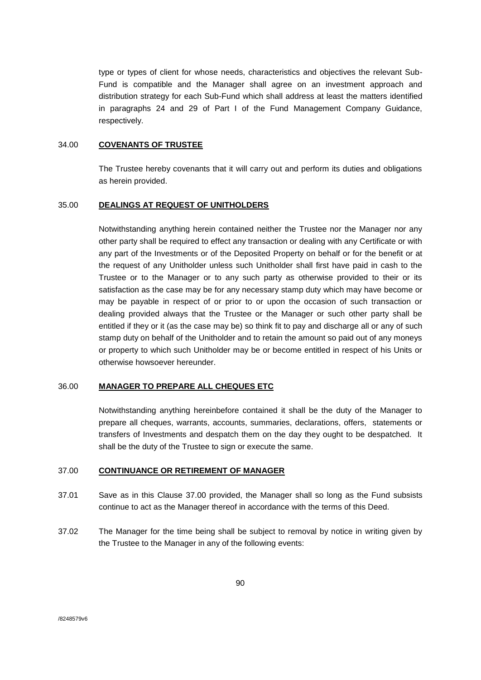type or types of client for whose needs, characteristics and objectives the relevant Sub-Fund is compatible and the Manager shall agree on an investment approach and distribution strategy for each Sub-Fund which shall address at least the matters identified in paragraphs 24 and 29 of Part I of the Fund Management Company Guidance, respectively.

#### 34.00 **COVENANTS OF TRUSTEE**

The Trustee hereby covenants that it will carry out and perform its duties and obligations as herein provided.

#### 35.00 **DEALINGS AT REQUEST OF UNITHOLDERS**

Notwithstanding anything herein contained neither the Trustee nor the Manager nor any other party shall be required to effect any transaction or dealing with any Certificate or with any part of the Investments or of the Deposited Property on behalf or for the benefit or at the request of any Unitholder unless such Unitholder shall first have paid in cash to the Trustee or to the Manager or to any such party as otherwise provided to their or its satisfaction as the case may be for any necessary stamp duty which may have become or may be payable in respect of or prior to or upon the occasion of such transaction or dealing provided always that the Trustee or the Manager or such other party shall be entitled if they or it (as the case may be) so think fit to pay and discharge all or any of such stamp duty on behalf of the Unitholder and to retain the amount so paid out of any moneys or property to which such Unitholder may be or become entitled in respect of his Units or otherwise howsoever hereunder.

# 36.00 **MANAGER TO PREPARE ALL CHEQUES ETC**

Notwithstanding anything hereinbefore contained it shall be the duty of the Manager to prepare all cheques, warrants, accounts, summaries, declarations, offers, statements or transfers of Investments and despatch them on the day they ought to be despatched. It shall be the duty of the Trustee to sign or execute the same.

### 37.00 **CONTINUANCE OR RETIREMENT OF MANAGER**

- 37.01 Save as in this Clause 37.00 provided, the Manager shall so long as the Fund subsists continue to act as the Manager thereof in accordance with the terms of this Deed.
- 37.02 The Manager for the time being shall be subject to removal by notice in writing given by the Trustee to the Manager in any of the following events: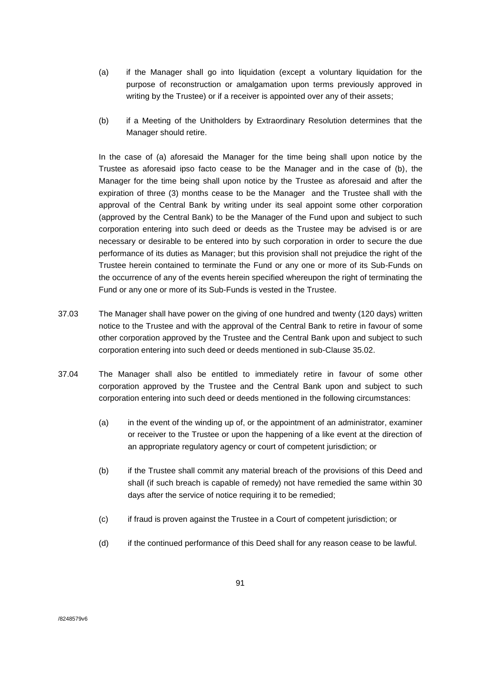- (a) if the Manager shall go into liquidation (except a voluntary liquidation for the purpose of reconstruction or amalgamation upon terms previously approved in writing by the Trustee) or if a receiver is appointed over any of their assets;
- (b) if a Meeting of the Unitholders by Extraordinary Resolution determines that the Manager should retire.

In the case of (a) aforesaid the Manager for the time being shall upon notice by the Trustee as aforesaid ipso facto cease to be the Manager and in the case of (b), the Manager for the time being shall upon notice by the Trustee as aforesaid and after the expiration of three (3) months cease to be the Manager and the Trustee shall with the approval of the Central Bank by writing under its seal appoint some other corporation (approved by the Central Bank) to be the Manager of the Fund upon and subject to such corporation entering into such deed or deeds as the Trustee may be advised is or are necessary or desirable to be entered into by such corporation in order to secure the due performance of its duties as Manager; but this provision shall not prejudice the right of the Trustee herein contained to terminate the Fund or any one or more of its Sub-Funds on the occurrence of any of the events herein specified whereupon the right of terminating the Fund or any one or more of its Sub-Funds is vested in the Trustee.

- 37.03 The Manager shall have power on the giving of one hundred and twenty (120 days) written notice to the Trustee and with the approval of the Central Bank to retire in favour of some other corporation approved by the Trustee and the Central Bank upon and subject to such corporation entering into such deed or deeds mentioned in sub-Clause 35.02.
- 37.04 The Manager shall also be entitled to immediately retire in favour of some other corporation approved by the Trustee and the Central Bank upon and subject to such corporation entering into such deed or deeds mentioned in the following circumstances:
	- (a) in the event of the winding up of, or the appointment of an administrator, examiner or receiver to the Trustee or upon the happening of a like event at the direction of an appropriate regulatory agency or court of competent jurisdiction; or
	- (b) if the Trustee shall commit any material breach of the provisions of this Deed and shall (if such breach is capable of remedy) not have remedied the same within 30 days after the service of notice requiring it to be remedied;
	- (c) if fraud is proven against the Trustee in a Court of competent jurisdiction; or
	- (d) if the continued performance of this Deed shall for any reason cease to be lawful.

/8248579v6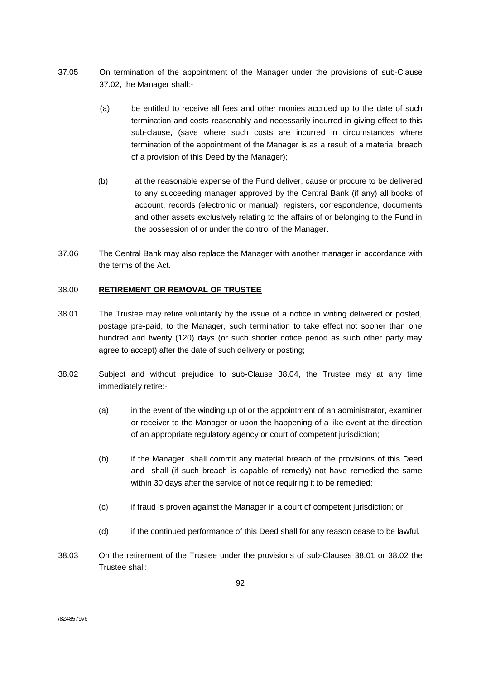- 37.05 On termination of the appointment of the Manager under the provisions of sub-Clause 37.02, the Manager shall:-
	- (a) be entitled to receive all fees and other monies accrued up to the date of such termination and costs reasonably and necessarily incurred in giving effect to this sub-clause, (save where such costs are incurred in circumstances where termination of the appointment of the Manager is as a result of a material breach of a provision of this Deed by the Manager);
	- (b) at the reasonable expense of the Fund deliver, cause or procure to be delivered to any succeeding manager approved by the Central Bank (if any) all books of account, records (electronic or manual), registers, correspondence, documents and other assets exclusively relating to the affairs of or belonging to the Fund in the possession of or under the control of the Manager.
- 37.06 The Central Bank may also replace the Manager with another manager in accordance with the terms of the Act.

## 38.00 **RETIREMENT OR REMOVAL OF TRUSTEE**

- 38.01 The Trustee may retire voluntarily by the issue of a notice in writing delivered or posted, postage pre-paid, to the Manager, such termination to take effect not sooner than one hundred and twenty (120) days (or such shorter notice period as such other party may agree to accept) after the date of such delivery or posting;
- 38.02 Subject and without prejudice to sub-Clause 38.04, the Trustee may at any time immediately retire:-
	- (a) in the event of the winding up of or the appointment of an administrator, examiner or receiver to the Manager or upon the happening of a like event at the direction of an appropriate regulatory agency or court of competent jurisdiction;
	- (b) if the Manager shall commit any material breach of the provisions of this Deed and shall (if such breach is capable of remedy) not have remedied the same within 30 days after the service of notice requiring it to be remedied;
	- (c) if fraud is proven against the Manager in a court of competent jurisdiction; or
	- (d) if the continued performance of this Deed shall for any reason cease to be lawful.
- 38.03 On the retirement of the Trustee under the provisions of sub-Clauses 38.01 or 38.02 the Trustee shall: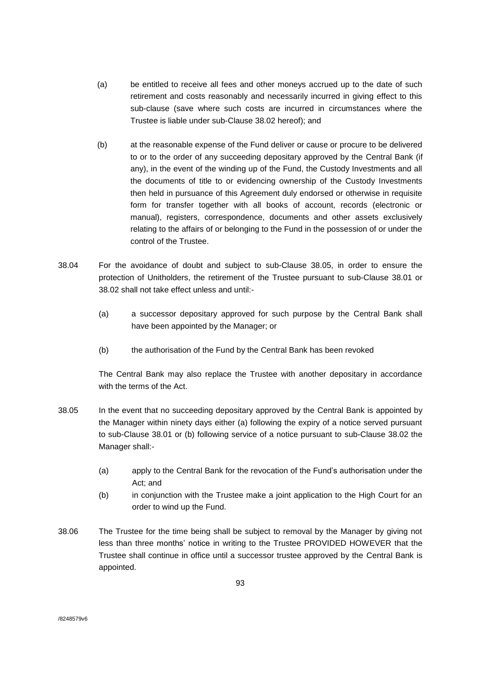- (a) be entitled to receive all fees and other moneys accrued up to the date of such retirement and costs reasonably and necessarily incurred in giving effect to this sub-clause (save where such costs are incurred in circumstances where the Trustee is liable under sub-Clause 38.02 hereof); and
- (b) at the reasonable expense of the Fund deliver or cause or procure to be delivered to or to the order of any succeeding depositary approved by the Central Bank (if any), in the event of the winding up of the Fund, the Custody Investments and all the documents of title to or evidencing ownership of the Custody Investments then held in pursuance of this Agreement duly endorsed or otherwise in requisite form for transfer together with all books of account, records (electronic or manual), registers, correspondence, documents and other assets exclusively relating to the affairs of or belonging to the Fund in the possession of or under the control of the Trustee.
- 38.04 For the avoidance of doubt and subject to sub-Clause 38.05, in order to ensure the protection of Unitholders, the retirement of the Trustee pursuant to sub-Clause 38.01 or 38.02 shall not take effect unless and until:-
	- (a) a successor depositary approved for such purpose by the Central Bank shall have been appointed by the Manager; or
	- (b) the authorisation of the Fund by the Central Bank has been revoked

The Central Bank may also replace the Trustee with another depositary in accordance with the terms of the Act.

- 38.05 In the event that no succeeding depositary approved by the Central Bank is appointed by the Manager within ninety days either (a) following the expiry of a notice served pursuant to sub-Clause 38.01 or (b) following service of a notice pursuant to sub-Clause 38.02 the Manager shall:-
	- (a) apply to the Central Bank for the revocation of the Fund's authorisation under the Act; and
	- (b) in conjunction with the Trustee make a joint application to the High Court for an order to wind up the Fund.
- 38.06 The Trustee for the time being shall be subject to removal by the Manager by giving not less than three months' notice in writing to the Trustee PROVIDED HOWEVER that the Trustee shall continue in office until a successor trustee approved by the Central Bank is appointed.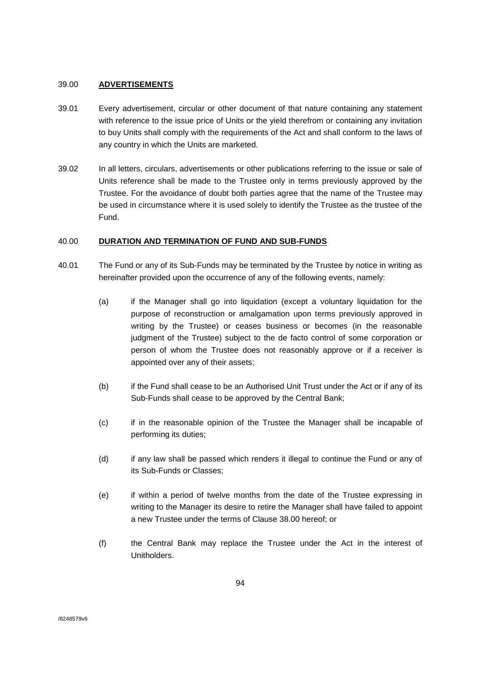## 39.00 **ADVERTISEMENTS**

- 39.01 Every advertisement, circular or other document of that nature containing any statement with reference to the issue price of Units or the yield therefrom or containing any invitation to buy Units shall comply with the requirements of the Act and shall conform to the laws of any country in which the Units are marketed.
- 39.02 In all letters, circulars, advertisements or other publications referring to the issue or sale of Units reference shall be made to the Trustee only in terms previously approved by the Trustee. For the avoidance of doubt both parties agree that the name of the Trustee may be used in circumstance where it is used solely to identify the Trustee as the trustee of the Fund.

## 40.00 **DURATION AND TERMINATION OF FUND AND SUB-FUNDS**

- 40.01 The Fund or any of its Sub-Funds may be terminated by the Trustee by notice in writing as hereinafter provided upon the occurrence of any of the following events, namely:
	- (a) if the Manager shall go into liquidation (except a voluntary liquidation for the purpose of reconstruction or amalgamation upon terms previously approved in writing by the Trustee) or ceases business or becomes (in the reasonable judgment of the Trustee) subject to the de facto control of some corporation or person of whom the Trustee does not reasonably approve or if a receiver is appointed over any of their assets;
	- (b) if the Fund shall cease to be an Authorised Unit Trust under the Act or if any of its Sub-Funds shall cease to be approved by the Central Bank;
	- (c) if in the reasonable opinion of the Trustee the Manager shall be incapable of performing its duties;
	- (d) if any law shall be passed which renders it illegal to continue the Fund or any of its Sub-Funds or Classes;
	- (e) if within a period of twelve months from the date of the Trustee expressing in writing to the Manager its desire to retire the Manager shall have failed to appoint a new Trustee under the terms of Clause 38.00 hereof; or
	- (f) the Central Bank may replace the Trustee under the Act in the interest of Unitholders.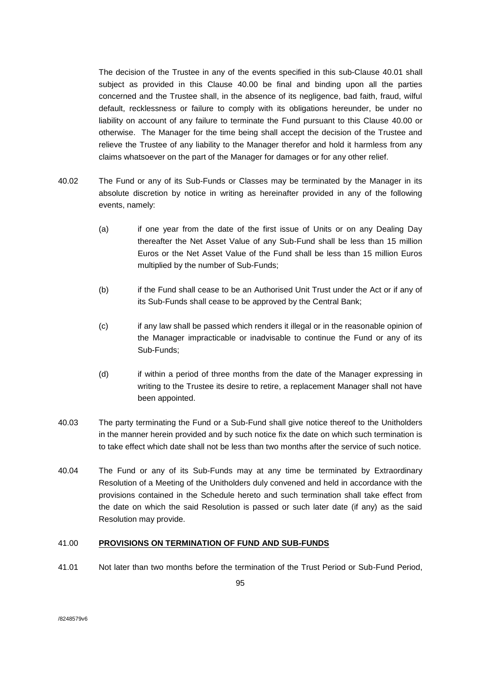The decision of the Trustee in any of the events specified in this sub-Clause 40.01 shall subject as provided in this Clause 40.00 be final and binding upon all the parties concerned and the Trustee shall, in the absence of its negligence, bad faith, fraud, wilful default, recklessness or failure to comply with its obligations hereunder, be under no liability on account of any failure to terminate the Fund pursuant to this Clause 40.00 or otherwise. The Manager for the time being shall accept the decision of the Trustee and relieve the Trustee of any liability to the Manager therefor and hold it harmless from any claims whatsoever on the part of the Manager for damages or for any other relief.

- 40.02 The Fund or any of its Sub-Funds or Classes may be terminated by the Manager in its absolute discretion by notice in writing as hereinafter provided in any of the following events, namely:
	- (a) if one year from the date of the first issue of Units or on any Dealing Day thereafter the Net Asset Value of any Sub-Fund shall be less than 15 million Euros or the Net Asset Value of the Fund shall be less than 15 million Euros multiplied by the number of Sub-Funds;
	- (b) if the Fund shall cease to be an Authorised Unit Trust under the Act or if any of its Sub-Funds shall cease to be approved by the Central Bank;
	- (c) if any law shall be passed which renders it illegal or in the reasonable opinion of the Manager impracticable or inadvisable to continue the Fund or any of its Sub-Funds;
	- (d) if within a period of three months from the date of the Manager expressing in writing to the Trustee its desire to retire, a replacement Manager shall not have been appointed.
- 40.03 The party terminating the Fund or a Sub-Fund shall give notice thereof to the Unitholders in the manner herein provided and by such notice fix the date on which such termination is to take effect which date shall not be less than two months after the service of such notice.
- 40.04 The Fund or any of its Sub-Funds may at any time be terminated by Extraordinary Resolution of a Meeting of the Unitholders duly convened and held in accordance with the provisions contained in the Schedule hereto and such termination shall take effect from the date on which the said Resolution is passed or such later date (if any) as the said Resolution may provide.

# 41.00 **PROVISIONS ON TERMINATION OF FUND AND SUB-FUNDS**

41.01 Not later than two months before the termination of the Trust Period or Sub-Fund Period,

/8248579v6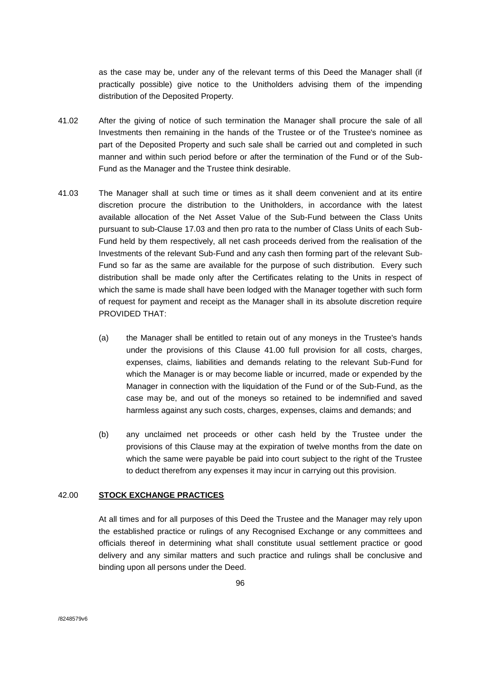as the case may be, under any of the relevant terms of this Deed the Manager shall (if practically possible) give notice to the Unitholders advising them of the impending distribution of the Deposited Property.

- 41.02 After the giving of notice of such termination the Manager shall procure the sale of all Investments then remaining in the hands of the Trustee or of the Trustee's nominee as part of the Deposited Property and such sale shall be carried out and completed in such manner and within such period before or after the termination of the Fund or of the Sub-Fund as the Manager and the Trustee think desirable.
- 41.03 The Manager shall at such time or times as it shall deem convenient and at its entire discretion procure the distribution to the Unitholders, in accordance with the latest available allocation of the Net Asset Value of the Sub-Fund between the Class Units pursuant to sub-Clause 17.03 and then pro rata to the number of Class Units of each Sub-Fund held by them respectively, all net cash proceeds derived from the realisation of the Investments of the relevant Sub-Fund and any cash then forming part of the relevant Sub-Fund so far as the same are available for the purpose of such distribution. Every such distribution shall be made only after the Certificates relating to the Units in respect of which the same is made shall have been lodged with the Manager together with such form of request for payment and receipt as the Manager shall in its absolute discretion require PROVIDED THAT:
	- (a) the Manager shall be entitled to retain out of any moneys in the Trustee's hands under the provisions of this Clause 41.00 full provision for all costs, charges, expenses, claims, liabilities and demands relating to the relevant Sub-Fund for which the Manager is or may become liable or incurred, made or expended by the Manager in connection with the liquidation of the Fund or of the Sub-Fund, as the case may be, and out of the moneys so retained to be indemnified and saved harmless against any such costs, charges, expenses, claims and demands; and
	- (b) any unclaimed net proceeds or other cash held by the Trustee under the provisions of this Clause may at the expiration of twelve months from the date on which the same were payable be paid into court subject to the right of the Trustee to deduct therefrom any expenses it may incur in carrying out this provision.

#### 42.00 **STOCK EXCHANGE PRACTICES**

At all times and for all purposes of this Deed the Trustee and the Manager may rely upon the established practice or rulings of any Recognised Exchange or any committees and officials thereof in determining what shall constitute usual settlement practice or good delivery and any similar matters and such practice and rulings shall be conclusive and binding upon all persons under the Deed.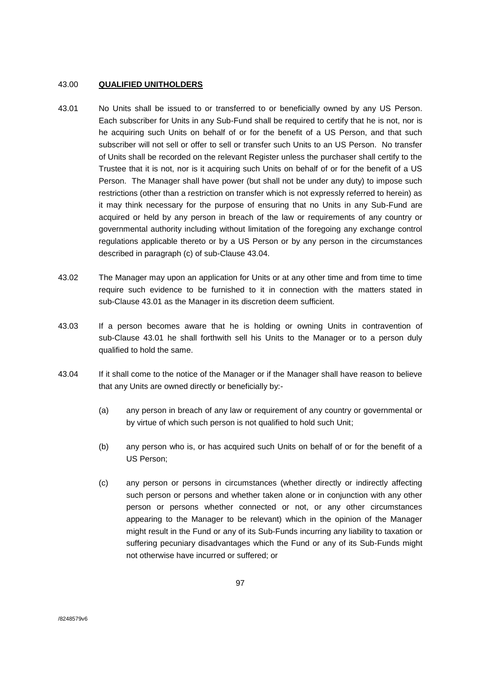## 43.00 **QUALIFIED UNITHOLDERS**

- 43.01 No Units shall be issued to or transferred to or beneficially owned by any US Person. Each subscriber for Units in any Sub-Fund shall be required to certify that he is not, nor is he acquiring such Units on behalf of or for the benefit of a US Person, and that such subscriber will not sell or offer to sell or transfer such Units to an US Person. No transfer of Units shall be recorded on the relevant Register unless the purchaser shall certify to the Trustee that it is not, nor is it acquiring such Units on behalf of or for the benefit of a US Person. The Manager shall have power (but shall not be under any duty) to impose such restrictions (other than a restriction on transfer which is not expressly referred to herein) as it may think necessary for the purpose of ensuring that no Units in any Sub-Fund are acquired or held by any person in breach of the law or requirements of any country or governmental authority including without limitation of the foregoing any exchange control regulations applicable thereto or by a US Person or by any person in the circumstances described in paragraph (c) of sub-Clause 43.04.
- 43.02 The Manager may upon an application for Units or at any other time and from time to time require such evidence to be furnished to it in connection with the matters stated in sub-Clause 43.01 as the Manager in its discretion deem sufficient.
- 43.03 If a person becomes aware that he is holding or owning Units in contravention of sub-Clause 43.01 he shall forthwith sell his Units to the Manager or to a person duly qualified to hold the same.
- 43.04 If it shall come to the notice of the Manager or if the Manager shall have reason to believe that any Units are owned directly or beneficially by:-
	- (a) any person in breach of any law or requirement of any country or governmental or by virtue of which such person is not qualified to hold such Unit;
	- (b) any person who is, or has acquired such Units on behalf of or for the benefit of a US Person;
	- (c) any person or persons in circumstances (whether directly or indirectly affecting such person or persons and whether taken alone or in conjunction with any other person or persons whether connected or not, or any other circumstances appearing to the Manager to be relevant) which in the opinion of the Manager might result in the Fund or any of its Sub-Funds incurring any liability to taxation or suffering pecuniary disadvantages which the Fund or any of its Sub-Funds might not otherwise have incurred or suffered; or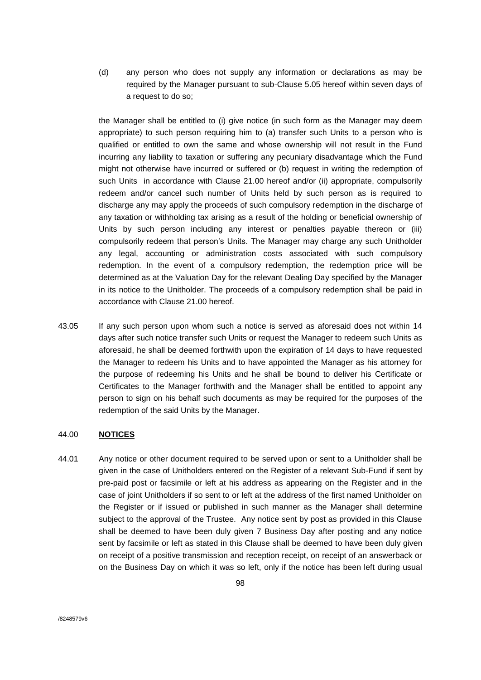(d) any person who does not supply any information or declarations as may be required by the Manager pursuant to sub-Clause 5.05 hereof within seven days of a request to do so;

the Manager shall be entitled to (i) give notice (in such form as the Manager may deem appropriate) to such person requiring him to (a) transfer such Units to a person who is qualified or entitled to own the same and whose ownership will not result in the Fund incurring any liability to taxation or suffering any pecuniary disadvantage which the Fund might not otherwise have incurred or suffered or (b) request in writing the redemption of such Units in accordance with Clause 21.00 hereof and/or (ii) appropriate, compulsorily redeem and/or cancel such number of Units held by such person as is required to discharge any may apply the proceeds of such compulsory redemption in the discharge of any taxation or withholding tax arising as a result of the holding or beneficial ownership of Units by such person including any interest or penalties payable thereon or (iii) compulsorily redeem that person's Units. The Manager may charge any such Unitholder any legal, accounting or administration costs associated with such compulsory redemption. In the event of a compulsory redemption, the redemption price will be determined as at the Valuation Day for the relevant Dealing Day specified by the Manager in its notice to the Unitholder. The proceeds of a compulsory redemption shall be paid in accordance with Clause 21.00 hereof.

43.05 If any such person upon whom such a notice is served as aforesaid does not within 14 days after such notice transfer such Units or request the Manager to redeem such Units as aforesaid, he shall be deemed forthwith upon the expiration of 14 days to have requested the Manager to redeem his Units and to have appointed the Manager as his attorney for the purpose of redeeming his Units and he shall be bound to deliver his Certificate or Certificates to the Manager forthwith and the Manager shall be entitled to appoint any person to sign on his behalf such documents as may be required for the purposes of the redemption of the said Units by the Manager.

### 44.00 **NOTICES**

44.01 Any notice or other document required to be served upon or sent to a Unitholder shall be given in the case of Unitholders entered on the Register of a relevant Sub-Fund if sent by pre-paid post or facsimile or left at his address as appearing on the Register and in the case of joint Unitholders if so sent to or left at the address of the first named Unitholder on the Register or if issued or published in such manner as the Manager shall determine subject to the approval of the Trustee. Any notice sent by post as provided in this Clause shall be deemed to have been duly given 7 Business Day after posting and any notice sent by facsimile or left as stated in this Clause shall be deemed to have been duly given on receipt of a positive transmission and reception receipt, on receipt of an answerback or on the Business Day on which it was so left, only if the notice has been left during usual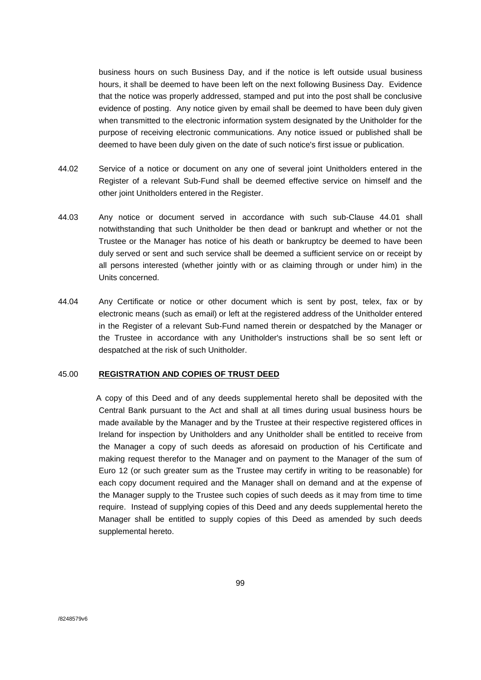business hours on such Business Day, and if the notice is left outside usual business hours, it shall be deemed to have been left on the next following Business Day. Evidence that the notice was properly addressed, stamped and put into the post shall be conclusive evidence of posting. Any notice given by email shall be deemed to have been duly given when transmitted to the electronic information system designated by the Unitholder for the purpose of receiving electronic communications. Any notice issued or published shall be deemed to have been duly given on the date of such notice's first issue or publication.

- 44.02 Service of a notice or document on any one of several joint Unitholders entered in the Register of a relevant Sub-Fund shall be deemed effective service on himself and the other joint Unitholders entered in the Register.
- 44.03 Any notice or document served in accordance with such sub-Clause 44.01 shall notwithstanding that such Unitholder be then dead or bankrupt and whether or not the Trustee or the Manager has notice of his death or bankruptcy be deemed to have been duly served or sent and such service shall be deemed a sufficient service on or receipt by all persons interested (whether jointly with or as claiming through or under him) in the Units concerned.
- 44.04 Any Certificate or notice or other document which is sent by post, telex, fax or by electronic means (such as email) or left at the registered address of the Unitholder entered in the Register of a relevant Sub-Fund named therein or despatched by the Manager or the Trustee in accordance with any Unitholder's instructions shall be so sent left or despatched at the risk of such Unitholder.

# 45.00 **REGISTRATION AND COPIES OF TRUST DEED**

 A copy of this Deed and of any deeds supplemental hereto shall be deposited with the Central Bank pursuant to the Act and shall at all times during usual business hours be made available by the Manager and by the Trustee at their respective registered offices in Ireland for inspection by Unitholders and any Unitholder shall be entitled to receive from the Manager a copy of such deeds as aforesaid on production of his Certificate and making request therefor to the Manager and on payment to the Manager of the sum of Euro 12 (or such greater sum as the Trustee may certify in writing to be reasonable) for each copy document required and the Manager shall on demand and at the expense of the Manager supply to the Trustee such copies of such deeds as it may from time to time require. Instead of supplying copies of this Deed and any deeds supplemental hereto the Manager shall be entitled to supply copies of this Deed as amended by such deeds supplemental hereto.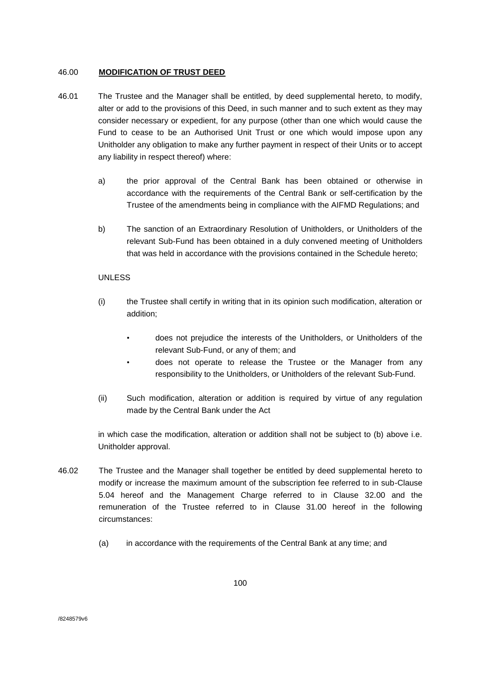# 46.00 **MODIFICATION OF TRUST DEED**

- 46.01 The Trustee and the Manager shall be entitled, by deed supplemental hereto, to modify, alter or add to the provisions of this Deed, in such manner and to such extent as they may consider necessary or expedient, for any purpose (other than one which would cause the Fund to cease to be an Authorised Unit Trust or one which would impose upon any Unitholder any obligation to make any further payment in respect of their Units or to accept any liability in respect thereof) where:
	- a) the prior approval of the Central Bank has been obtained or otherwise in accordance with the requirements of the Central Bank or self-certification by the Trustee of the amendments being in compliance with the AIFMD Regulations; and
	- b) The sanction of an Extraordinary Resolution of Unitholders, or Unitholders of the relevant Sub-Fund has been obtained in a duly convened meeting of Unitholders that was held in accordance with the provisions contained in the Schedule hereto;

# UNLESS

- (i) the Trustee shall certify in writing that in its opinion such modification, alteration or addition;
	- does not prejudice the interests of the Unitholders, or Unitholders of the relevant Sub-Fund, or any of them; and
	- does not operate to release the Trustee or the Manager from any responsibility to the Unitholders, or Unitholders of the relevant Sub-Fund.
- (ii) Such modification, alteration or addition is required by virtue of any regulation made by the Central Bank under the Act

in which case the modification, alteration or addition shall not be subject to (b) above i.e. Unitholder approval.

- 46.02 The Trustee and the Manager shall together be entitled by deed supplemental hereto to modify or increase the maximum amount of the subscription fee referred to in sub-Clause 5.04 hereof and the Management Charge referred to in Clause 32.00 and the remuneration of the Trustee referred to in Clause 31.00 hereof in the following circumstances:
	- (a) in accordance with the requirements of the Central Bank at any time; and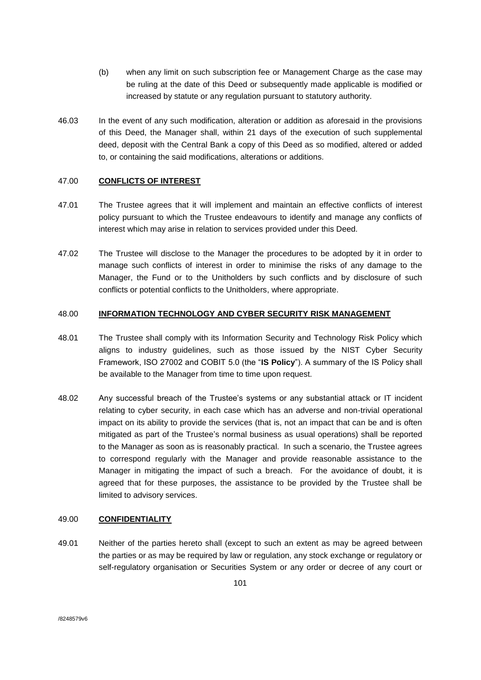- (b) when any limit on such subscription fee or Management Charge as the case may be ruling at the date of this Deed or subsequently made applicable is modified or increased by statute or any regulation pursuant to statutory authority.
- 46.03 In the event of any such modification, alteration or addition as aforesaid in the provisions of this Deed, the Manager shall, within 21 days of the execution of such supplemental deed, deposit with the Central Bank a copy of this Deed as so modified, altered or added to, or containing the said modifications, alterations or additions.

# 47.00 **CONFLICTS OF INTEREST**

- 47.01 The Trustee agrees that it will implement and maintain an effective conflicts of interest policy pursuant to which the Trustee endeavours to identify and manage any conflicts of interest which may arise in relation to services provided under this Deed.
- 47.02 The Trustee will disclose to the Manager the procedures to be adopted by it in order to manage such conflicts of interest in order to minimise the risks of any damage to the Manager, the Fund or to the Unitholders by such conflicts and by disclosure of such conflicts or potential conflicts to the Unitholders, where appropriate.

## 48.00 **INFORMATION TECHNOLOGY AND CYBER SECURITY RISK MANAGEMENT**

- 48.01 The Trustee shall comply with its Information Security and Technology Risk Policy which aligns to industry guidelines, such as those issued by the NIST Cyber Security Framework, ISO 27002 and COBIT 5.0 (the "**IS Policy**"). A summary of the IS Policy shall be available to the Manager from time to time upon request.
- 48.02 Any successful breach of the Trustee's systems or any substantial attack or IT incident relating to cyber security, in each case which has an adverse and non-trivial operational impact on its ability to provide the services (that is, not an impact that can be and is often mitigated as part of the Trustee's normal business as usual operations) shall be reported to the Manager as soon as is reasonably practical. In such a scenario, the Trustee agrees to correspond regularly with the Manager and provide reasonable assistance to the Manager in mitigating the impact of such a breach. For the avoidance of doubt, it is agreed that for these purposes, the assistance to be provided by the Trustee shall be limited to advisory services.

### 49.00 **CONFIDENTIALITY**

49.01 Neither of the parties hereto shall (except to such an extent as may be agreed between the parties or as may be required by law or regulation, any stock exchange or regulatory or self-regulatory organisation or Securities System or any order or decree of any court or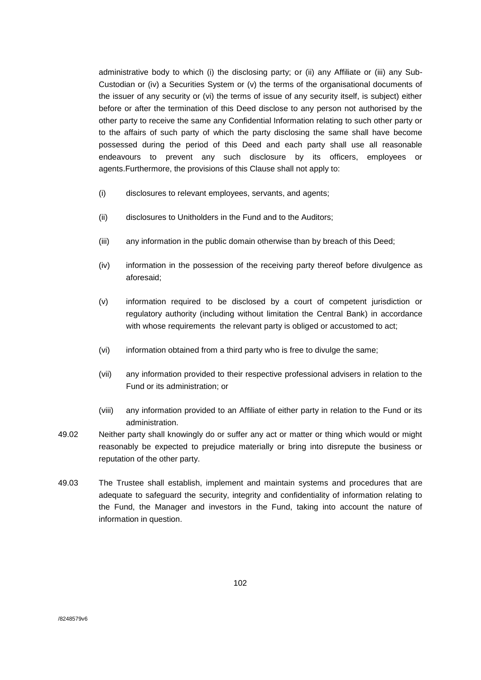administrative body to which (i) the disclosing party; or (ii) any Affiliate or (iii) any Sub-Custodian or (iv) a Securities System or (v) the terms of the organisational documents of the issuer of any security or (vi) the terms of issue of any security itself, is subject) either before or after the termination of this Deed disclose to any person not authorised by the other party to receive the same any Confidential Information relating to such other party or to the affairs of such party of which the party disclosing the same shall have become possessed during the period of this Deed and each party shall use all reasonable endeavours to prevent any such disclosure by its officers, employees or agents.Furthermore, the provisions of this Clause shall not apply to:

- (i) disclosures to relevant employees, servants, and agents;
- (ii) disclosures to Unitholders in the Fund and to the Auditors;
- (iii) any information in the public domain otherwise than by breach of this Deed;
- (iv) information in the possession of the receiving party thereof before divulgence as aforesaid;
- (v) information required to be disclosed by a court of competent jurisdiction or regulatory authority (including without limitation the Central Bank) in accordance with whose requirements the relevant party is obliged or accustomed to act;
- (vi) information obtained from a third party who is free to divulge the same;
- (vii) any information provided to their respective professional advisers in relation to the Fund or its administration; or
- (viii) any information provided to an Affiliate of either party in relation to the Fund or its administration.
- 49.02 Neither party shall knowingly do or suffer any act or matter or thing which would or might reasonably be expected to prejudice materially or bring into disrepute the business or reputation of the other party.
- 49.03 The Trustee shall establish, implement and maintain systems and procedures that are adequate to safeguard the security, integrity and confidentiality of information relating to the Fund, the Manager and investors in the Fund, taking into account the nature of information in question.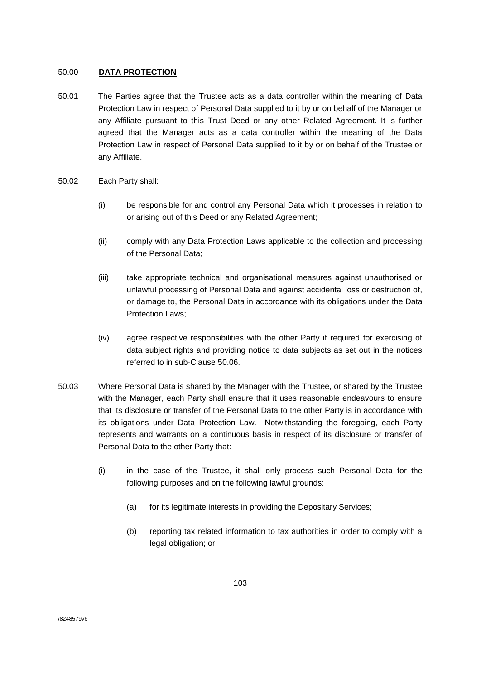# 50.00 **DATA PROTECTION**

- 50.01 The Parties agree that the Trustee acts as a data controller within the meaning of Data Protection Law in respect of Personal Data supplied to it by or on behalf of the Manager or any Affiliate pursuant to this Trust Deed or any other Related Agreement. It is further agreed that the Manager acts as a data controller within the meaning of the Data Protection Law in respect of Personal Data supplied to it by or on behalf of the Trustee or any Affiliate.
- 50.02 Each Party shall:
	- (i) be responsible for and control any Personal Data which it processes in relation to or arising out of this Deed or any Related Agreement;
	- (ii) comply with any Data Protection Laws applicable to the collection and processing of the Personal Data;
	- (iii) take appropriate technical and organisational measures against unauthorised or unlawful processing of Personal Data and against accidental loss or destruction of, or damage to, the Personal Data in accordance with its obligations under the Data Protection Laws;
	- (iv) agree respective responsibilities with the other Party if required for exercising of data subject rights and providing notice to data subjects as set out in the notices referred to in sub-Clause 50.06.
- 50.03 Where Personal Data is shared by the Manager with the Trustee, or shared by the Trustee with the Manager, each Party shall ensure that it uses reasonable endeavours to ensure that its disclosure or transfer of the Personal Data to the other Party is in accordance with its obligations under Data Protection Law. Notwithstanding the foregoing, each Party represents and warrants on a continuous basis in respect of its disclosure or transfer of Personal Data to the other Party that:
	- (i) in the case of the Trustee, it shall only process such Personal Data for the following purposes and on the following lawful grounds:
		- (a) for its legitimate interests in providing the Depositary Services;
		- (b) reporting tax related information to tax authorities in order to comply with a legal obligation; or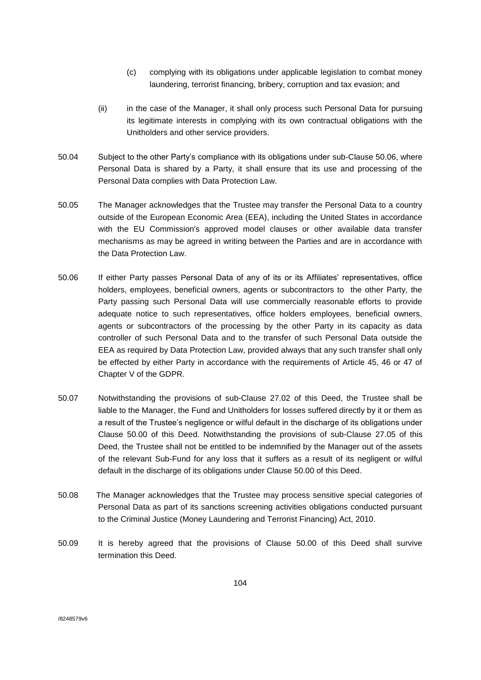- (c) complying with its obligations under applicable legislation to combat money laundering, terrorist financing, bribery, corruption and tax evasion; and
- (ii) in the case of the Manager, it shall only process such Personal Data for pursuing its legitimate interests in complying with its own contractual obligations with the Unitholders and other service providers.
- 50.04 Subject to the other Party's compliance with its obligations under sub-Clause 50.06, where Personal Data is shared by a Party, it shall ensure that its use and processing of the Personal Data complies with Data Protection Law.
- 50.05 The Manager acknowledges that the Trustee may transfer the Personal Data to a country outside of the European Economic Area (EEA), including the United States in accordance with the EU Commission's approved model clauses or other available data transfer mechanisms as may be agreed in writing between the Parties and are in accordance with the Data Protection Law.
- 50.06 If either Party passes Personal Data of any of its or its Affiliates' representatives, office holders, employees, beneficial owners, agents or subcontractors to the other Party, the Party passing such Personal Data will use commercially reasonable efforts to provide adequate notice to such representatives, office holders employees, beneficial owners, agents or subcontractors of the processing by the other Party in its capacity as data controller of such Personal Data and to the transfer of such Personal Data outside the EEA as required by Data Protection Law, provided always that any such transfer shall only be effected by either Party in accordance with the requirements of Article 45, 46 or 47 of Chapter V of the GDPR.
- 50.07 Notwithstanding the provisions of sub-Clause 27.02 of this Deed, the Trustee shall be liable to the Manager, the Fund and Unitholders for losses suffered directly by it or them as a result of the Trustee's negligence or wilful default in the discharge of its obligations under Clause 50.00 of this Deed. Notwithstanding the provisions of sub-Clause 27.05 of this Deed, the Trustee shall not be entitled to be indemnified by the Manager out of the assets of the relevant Sub-Fund for any loss that it suffers as a result of its negligent or wilful default in the discharge of its obligations under Clause 50.00 of this Deed.
- 50.08 The Manager acknowledges that the Trustee may process sensitive special categories of Personal Data as part of its sanctions screening activities obligations conducted pursuant to the Criminal Justice (Money Laundering and Terrorist Financing) Act, 2010.
- 50.09 It is hereby agreed that the provisions of Clause 50.00 of this Deed shall survive termination this Deed.

/8248579v6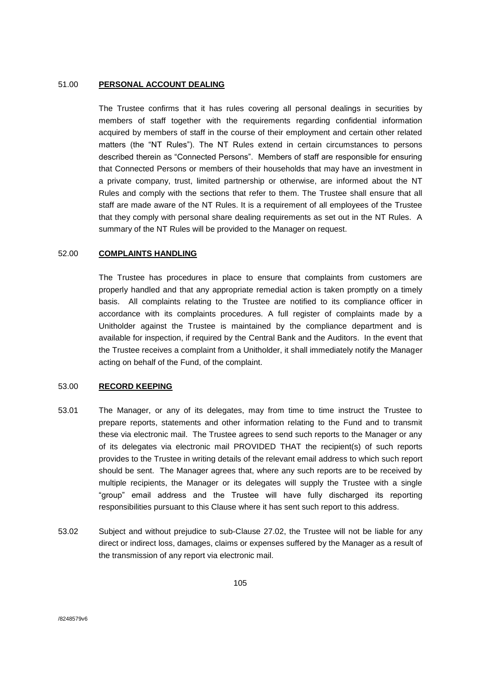### 51.00 **PERSONAL ACCOUNT DEALING**

The Trustee confirms that it has rules covering all personal dealings in securities by members of staff together with the requirements regarding confidential information acquired by members of staff in the course of their employment and certain other related matters (the "NT Rules"). The NT Rules extend in certain circumstances to persons described therein as "Connected Persons". Members of staff are responsible for ensuring that Connected Persons or members of their households that may have an investment in a private company, trust, limited partnership or otherwise, are informed about the NT Rules and comply with the sections that refer to them. The Trustee shall ensure that all staff are made aware of the NT Rules. It is a requirement of all employees of the Trustee that they comply with personal share dealing requirements as set out in the NT Rules. A summary of the NT Rules will be provided to the Manager on request.

## 52.00 **COMPLAINTS HANDLING**

The Trustee has procedures in place to ensure that complaints from customers are properly handled and that any appropriate remedial action is taken promptly on a timely basis. All complaints relating to the Trustee are notified to its compliance officer in accordance with its complaints procedures. A full register of complaints made by a Unitholder against the Trustee is maintained by the compliance department and is available for inspection, if required by the Central Bank and the Auditors. In the event that the Trustee receives a complaint from a Unitholder, it shall immediately notify the Manager acting on behalf of the Fund, of the complaint.

## 53.00 **RECORD KEEPING**

- 53.01 The Manager, or any of its delegates, may from time to time instruct the Trustee to prepare reports, statements and other information relating to the Fund and to transmit these via electronic mail. The Trustee agrees to send such reports to the Manager or any of its delegates via electronic mail PROVIDED THAT the recipient(s) of such reports provides to the Trustee in writing details of the relevant email address to which such report should be sent. The Manager agrees that, where any such reports are to be received by multiple recipients, the Manager or its delegates will supply the Trustee with a single "group" email address and the Trustee will have fully discharged its reporting responsibilities pursuant to this Clause where it has sent such report to this address.
- 53.02 Subject and without prejudice to sub-Clause 27.02, the Trustee will not be liable for any direct or indirect loss, damages, claims or expenses suffered by the Manager as a result of the transmission of any report via electronic mail.

/8248579v6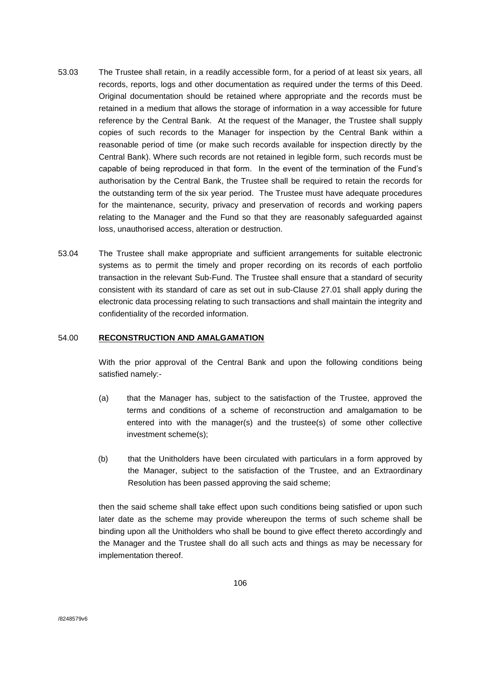- 53.03 The Trustee shall retain, in a readily accessible form, for a period of at least six years, all records, reports, logs and other documentation as required under the terms of this Deed. Original documentation should be retained where appropriate and the records must be retained in a medium that allows the storage of information in a way accessible for future reference by the Central Bank. At the request of the Manager, the Trustee shall supply copies of such records to the Manager for inspection by the Central Bank within a reasonable period of time (or make such records available for inspection directly by the Central Bank). Where such records are not retained in legible form, such records must be capable of being reproduced in that form. In the event of the termination of the Fund's authorisation by the Central Bank, the Trustee shall be required to retain the records for the outstanding term of the six year period. The Trustee must have adequate procedures for the maintenance, security, privacy and preservation of records and working papers relating to the Manager and the Fund so that they are reasonably safeguarded against loss, unauthorised access, alteration or destruction.
- 53.04 The Trustee shall make appropriate and sufficient arrangements for suitable electronic systems as to permit the timely and proper recording on its records of each portfolio transaction in the relevant Sub-Fund. The Trustee shall ensure that a standard of security consistent with its standard of care as set out in sub-Clause 27.01 shall apply during the electronic data processing relating to such transactions and shall maintain the integrity and confidentiality of the recorded information.

### 54.00 **RECONSTRUCTION AND AMALGAMATION**

With the prior approval of the Central Bank and upon the following conditions being satisfied namely:-

- (a) that the Manager has, subject to the satisfaction of the Trustee, approved the terms and conditions of a scheme of reconstruction and amalgamation to be entered into with the manager(s) and the trustee(s) of some other collective investment scheme(s);
- (b) that the Unitholders have been circulated with particulars in a form approved by the Manager, subject to the satisfaction of the Trustee, and an Extraordinary Resolution has been passed approving the said scheme;

then the said scheme shall take effect upon such conditions being satisfied or upon such later date as the scheme may provide whereupon the terms of such scheme shall be binding upon all the Unitholders who shall be bound to give effect thereto accordingly and the Manager and the Trustee shall do all such acts and things as may be necessary for implementation thereof.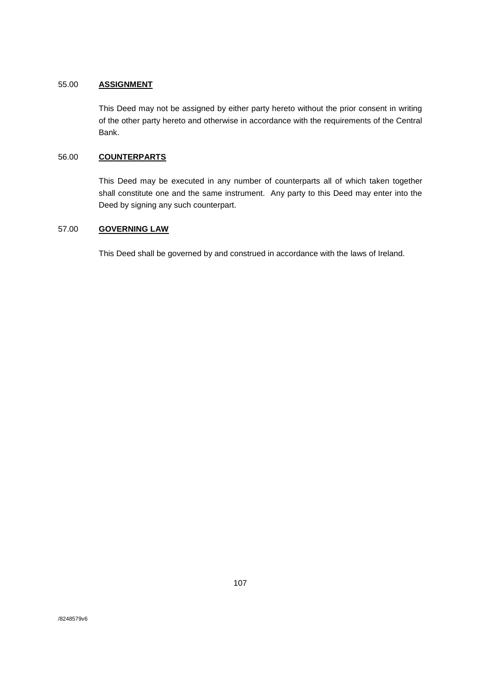# 55.00 **ASSIGNMENT**

This Deed may not be assigned by either party hereto without the prior consent in writing of the other party hereto and otherwise in accordance with the requirements of the Central Bank.

# 56.00 **COUNTERPARTS**

This Deed may be executed in any number of counterparts all of which taken together shall constitute one and the same instrument. Any party to this Deed may enter into the Deed by signing any such counterpart.

# 57.00 **GOVERNING LAW**

This Deed shall be governed by and construed in accordance with the laws of Ireland.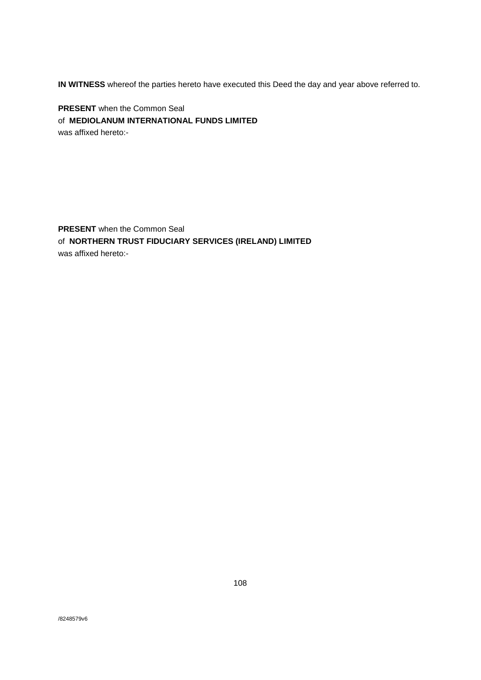**IN WITNESS** whereof the parties hereto have executed this Deed the day and year above referred to.

**PRESENT** when the Common Seal of **MEDIOLANUM INTERNATIONAL FUNDS LIMITED** was affixed hereto:-

**PRESENT** when the Common Seal of **NORTHERN TRUST FIDUCIARY SERVICES (IRELAND) LIMITED** was affixed hereto:-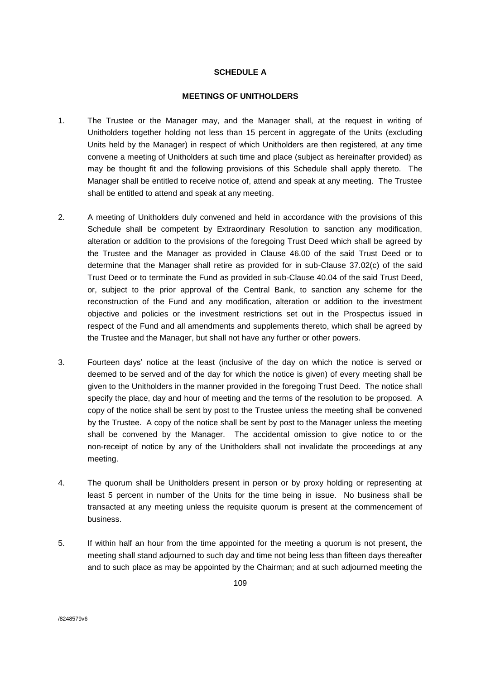### **SCHEDULE A**

#### **MEETINGS OF UNITHOLDERS**

- 1. The Trustee or the Manager may, and the Manager shall, at the request in writing of Unitholders together holding not less than 15 percent in aggregate of the Units (excluding Units held by the Manager) in respect of which Unitholders are then registered, at any time convene a meeting of Unitholders at such time and place (subject as hereinafter provided) as may be thought fit and the following provisions of this Schedule shall apply thereto. The Manager shall be entitled to receive notice of, attend and speak at any meeting. The Trustee shall be entitled to attend and speak at any meeting.
- 2. A meeting of Unitholders duly convened and held in accordance with the provisions of this Schedule shall be competent by Extraordinary Resolution to sanction any modification, alteration or addition to the provisions of the foregoing Trust Deed which shall be agreed by the Trustee and the Manager as provided in Clause 46.00 of the said Trust Deed or to determine that the Manager shall retire as provided for in sub-Clause 37.02(c) of the said Trust Deed or to terminate the Fund as provided in sub-Clause 40.04 of the said Trust Deed, or, subject to the prior approval of the Central Bank, to sanction any scheme for the reconstruction of the Fund and any modification, alteration or addition to the investment objective and policies or the investment restrictions set out in the Prospectus issued in respect of the Fund and all amendments and supplements thereto, which shall be agreed by the Trustee and the Manager, but shall not have any further or other powers.
- 3. Fourteen days' notice at the least (inclusive of the day on which the notice is served or deemed to be served and of the day for which the notice is given) of every meeting shall be given to the Unitholders in the manner provided in the foregoing Trust Deed. The notice shall specify the place, day and hour of meeting and the terms of the resolution to be proposed. A copy of the notice shall be sent by post to the Trustee unless the meeting shall be convened by the Trustee. A copy of the notice shall be sent by post to the Manager unless the meeting shall be convened by the Manager. The accidental omission to give notice to or the non-receipt of notice by any of the Unitholders shall not invalidate the proceedings at any meeting.
- 4. The quorum shall be Unitholders present in person or by proxy holding or representing at least 5 percent in number of the Units for the time being in issue. No business shall be transacted at any meeting unless the requisite quorum is present at the commencement of business.
- 5. If within half an hour from the time appointed for the meeting a quorum is not present, the meeting shall stand adjourned to such day and time not being less than fifteen days thereafter and to such place as may be appointed by the Chairman; and at such adjourned meeting the

/8248579v6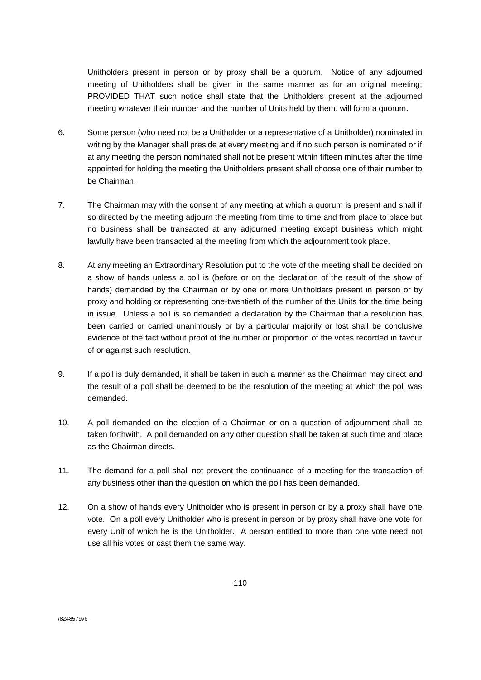Unitholders present in person or by proxy shall be a quorum. Notice of any adjourned meeting of Unitholders shall be given in the same manner as for an original meeting; PROVIDED THAT such notice shall state that the Unitholders present at the adjourned meeting whatever their number and the number of Units held by them, will form a quorum.

- 6. Some person (who need not be a Unitholder or a representative of a Unitholder) nominated in writing by the Manager shall preside at every meeting and if no such person is nominated or if at any meeting the person nominated shall not be present within fifteen minutes after the time appointed for holding the meeting the Unitholders present shall choose one of their number to be Chairman.
- 7. The Chairman may with the consent of any meeting at which a quorum is present and shall if so directed by the meeting adjourn the meeting from time to time and from place to place but no business shall be transacted at any adjourned meeting except business which might lawfully have been transacted at the meeting from which the adjournment took place.
- 8. At any meeting an Extraordinary Resolution put to the vote of the meeting shall be decided on a show of hands unless a poll is (before or on the declaration of the result of the show of hands) demanded by the Chairman or by one or more Unitholders present in person or by proxy and holding or representing one-twentieth of the number of the Units for the time being in issue. Unless a poll is so demanded a declaration by the Chairman that a resolution has been carried or carried unanimously or by a particular majority or lost shall be conclusive evidence of the fact without proof of the number or proportion of the votes recorded in favour of or against such resolution.
- 9. If a poll is duly demanded, it shall be taken in such a manner as the Chairman may direct and the result of a poll shall be deemed to be the resolution of the meeting at which the poll was demanded.
- 10. A poll demanded on the election of a Chairman or on a question of adjournment shall be taken forthwith. A poll demanded on any other question shall be taken at such time and place as the Chairman directs.
- 11. The demand for a poll shall not prevent the continuance of a meeting for the transaction of any business other than the question on which the poll has been demanded.
- 12. On a show of hands every Unitholder who is present in person or by a proxy shall have one vote. On a poll every Unitholder who is present in person or by proxy shall have one vote for every Unit of which he is the Unitholder. A person entitled to more than one vote need not use all his votes or cast them the same way.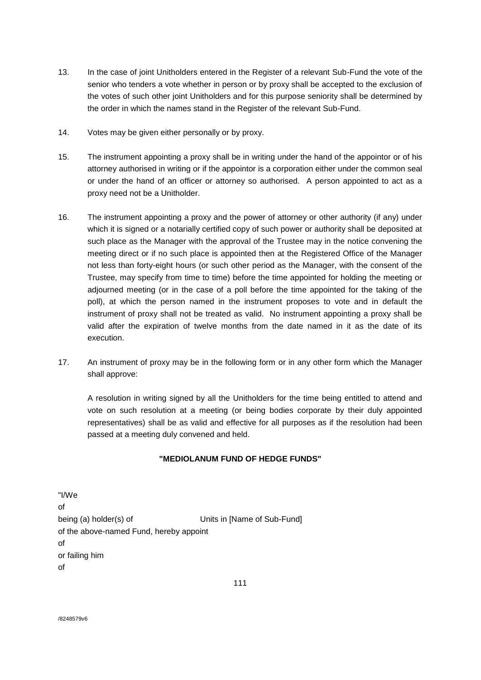- 13. In the case of joint Unitholders entered in the Register of a relevant Sub-Fund the vote of the senior who tenders a vote whether in person or by proxy shall be accepted to the exclusion of the votes of such other joint Unitholders and for this purpose seniority shall be determined by the order in which the names stand in the Register of the relevant Sub-Fund.
- 14. Votes may be given either personally or by proxy.
- 15. The instrument appointing a proxy shall be in writing under the hand of the appointor or of his attorney authorised in writing or if the appointor is a corporation either under the common seal or under the hand of an officer or attorney so authorised. A person appointed to act as a proxy need not be a Unitholder.
- 16. The instrument appointing a proxy and the power of attorney or other authority (if any) under which it is signed or a notarially certified copy of such power or authority shall be deposited at such place as the Manager with the approval of the Trustee may in the notice convening the meeting direct or if no such place is appointed then at the Registered Office of the Manager not less than forty-eight hours (or such other period as the Manager, with the consent of the Trustee, may specify from time to time) before the time appointed for holding the meeting or adjourned meeting (or in the case of a poll before the time appointed for the taking of the poll), at which the person named in the instrument proposes to vote and in default the instrument of proxy shall not be treated as valid. No instrument appointing a proxy shall be valid after the expiration of twelve months from the date named in it as the date of its execution.
- 17. An instrument of proxy may be in the following form or in any other form which the Manager shall approve:

A resolution in writing signed by all the Unitholders for the time being entitled to attend and vote on such resolution at a meeting (or being bodies corporate by their duly appointed representatives) shall be as valid and effective for all purposes as if the resolution had been passed at a meeting duly convened and held.

## **"MEDIOLANUM FUND OF HEDGE FUNDS"**

"I/We of being (a) holder(s) of Units in [Name of Sub-Fund] of the above-named Fund, hereby appoint of or failing him of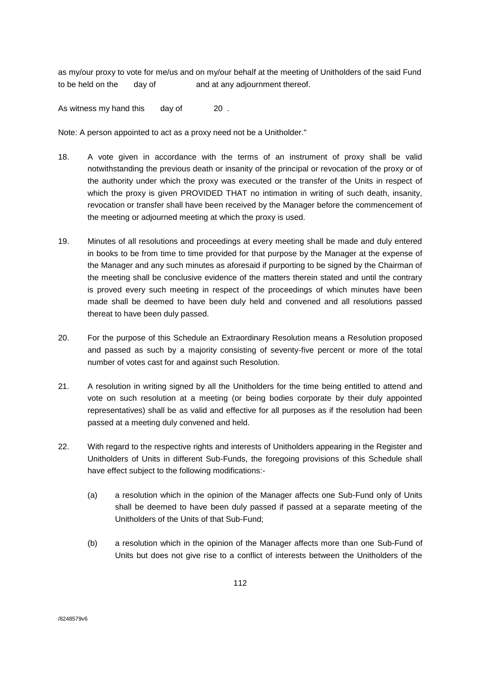as my/our proxy to vote for me/us and on my/our behalf at the meeting of Unitholders of the said Fund to be held on the day of and at any adjournment thereof.

As witness my hand this day of 20.

Note: A person appointed to act as a proxy need not be a Unitholder."

- 18. A vote given in accordance with the terms of an instrument of proxy shall be valid notwithstanding the previous death or insanity of the principal or revocation of the proxy or of the authority under which the proxy was executed or the transfer of the Units in respect of which the proxy is given PROVIDED THAT no intimation in writing of such death, insanity, revocation or transfer shall have been received by the Manager before the commencement of the meeting or adjourned meeting at which the proxy is used.
- 19. Minutes of all resolutions and proceedings at every meeting shall be made and duly entered in books to be from time to time provided for that purpose by the Manager at the expense of the Manager and any such minutes as aforesaid if purporting to be signed by the Chairman of the meeting shall be conclusive evidence of the matters therein stated and until the contrary is proved every such meeting in respect of the proceedings of which minutes have been made shall be deemed to have been duly held and convened and all resolutions passed thereat to have been duly passed.
- 20. For the purpose of this Schedule an Extraordinary Resolution means a Resolution proposed and passed as such by a majority consisting of seventy-five percent or more of the total number of votes cast for and against such Resolution.
- 21. A resolution in writing signed by all the Unitholders for the time being entitled to attend and vote on such resolution at a meeting (or being bodies corporate by their duly appointed representatives) shall be as valid and effective for all purposes as if the resolution had been passed at a meeting duly convened and held.
- 22. With regard to the respective rights and interests of Unitholders appearing in the Register and Unitholders of Units in different Sub-Funds, the foregoing provisions of this Schedule shall have effect subject to the following modifications:-
	- (a) a resolution which in the opinion of the Manager affects one Sub-Fund only of Units shall be deemed to have been duly passed if passed at a separate meeting of the Unitholders of the Units of that Sub-Fund;
	- (b) a resolution which in the opinion of the Manager affects more than one Sub-Fund of Units but does not give rise to a conflict of interests between the Unitholders of the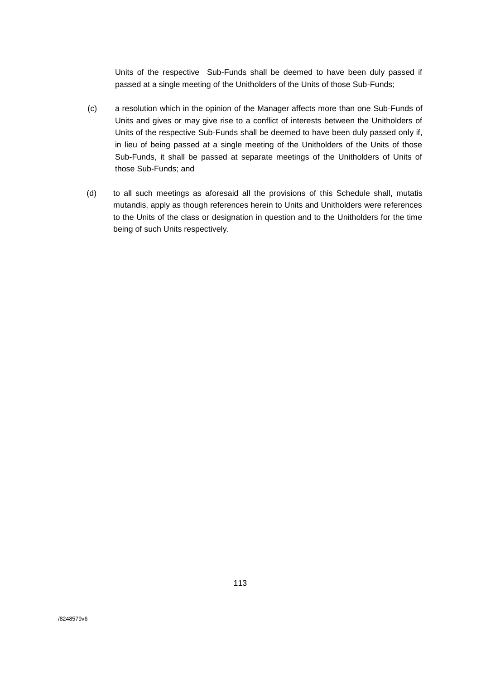Units of the respective Sub-Funds shall be deemed to have been duly passed if passed at a single meeting of the Unitholders of the Units of those Sub-Funds;

- (c) a resolution which in the opinion of the Manager affects more than one Sub-Funds of Units and gives or may give rise to a conflict of interests between the Unitholders of Units of the respective Sub-Funds shall be deemed to have been duly passed only if, in lieu of being passed at a single meeting of the Unitholders of the Units of those Sub-Funds, it shall be passed at separate meetings of the Unitholders of Units of those Sub-Funds; and
- (d) to all such meetings as aforesaid all the provisions of this Schedule shall, mutatis mutandis, apply as though references herein to Units and Unitholders were references to the Units of the class or designation in question and to the Unitholders for the time being of such Units respectively.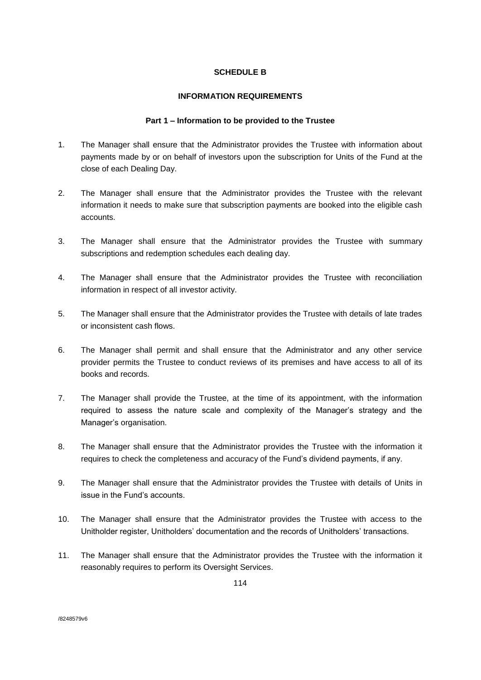## **SCHEDULE B**

## **INFORMATION REQUIREMENTS**

## **Part 1 – Information to be provided to the Trustee**

- 1. The Manager shall ensure that the Administrator provides the Trustee with information about payments made by or on behalf of investors upon the subscription for Units of the Fund at the close of each Dealing Day.
- 2. The Manager shall ensure that the Administrator provides the Trustee with the relevant information it needs to make sure that subscription payments are booked into the eligible cash accounts.
- 3. The Manager shall ensure that the Administrator provides the Trustee with summary subscriptions and redemption schedules each dealing day.
- 4. The Manager shall ensure that the Administrator provides the Trustee with reconciliation information in respect of all investor activity.
- 5. The Manager shall ensure that the Administrator provides the Trustee with details of late trades or inconsistent cash flows.
- 6. The Manager shall permit and shall ensure that the Administrator and any other service provider permits the Trustee to conduct reviews of its premises and have access to all of its books and records.
- 7. The Manager shall provide the Trustee, at the time of its appointment, with the information required to assess the nature scale and complexity of the Manager's strategy and the Manager's organisation.
- 8. The Manager shall ensure that the Administrator provides the Trustee with the information it requires to check the completeness and accuracy of the Fund's dividend payments, if any.
- 9. The Manager shall ensure that the Administrator provides the Trustee with details of Units in issue in the Fund's accounts.
- 10. The Manager shall ensure that the Administrator provides the Trustee with access to the Unitholder register, Unitholders' documentation and the records of Unitholders' transactions.
- 11. The Manager shall ensure that the Administrator provides the Trustee with the information it reasonably requires to perform its Oversight Services.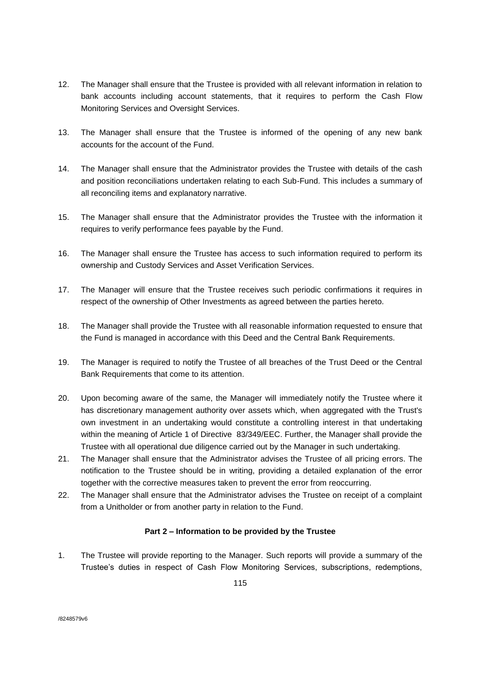- 12. The Manager shall ensure that the Trustee is provided with all relevant information in relation to bank accounts including account statements, that it requires to perform the Cash Flow Monitoring Services and Oversight Services.
- 13. The Manager shall ensure that the Trustee is informed of the opening of any new bank accounts for the account of the Fund.
- 14. The Manager shall ensure that the Administrator provides the Trustee with details of the cash and position reconciliations undertaken relating to each Sub-Fund. This includes a summary of all reconciling items and explanatory narrative.
- 15. The Manager shall ensure that the Administrator provides the Trustee with the information it requires to verify performance fees payable by the Fund.
- 16. The Manager shall ensure the Trustee has access to such information required to perform its ownership and Custody Services and Asset Verification Services.
- 17. The Manager will ensure that the Trustee receives such periodic confirmations it requires in respect of the ownership of Other Investments as agreed between the parties hereto.
- 18. The Manager shall provide the Trustee with all reasonable information requested to ensure that the Fund is managed in accordance with this Deed and the Central Bank Requirements.
- 19. The Manager is required to notify the Trustee of all breaches of the Trust Deed or the Central Bank Requirements that come to its attention.
- 20. Upon becoming aware of the same, the Manager will immediately notify the Trustee where it has discretionary management authority over assets which, when aggregated with the Trust's own investment in an undertaking would constitute a controlling interest in that undertaking within the meaning of Article 1 of Directive 83/349/EEC. Further, the Manager shall provide the Trustee with all operational due diligence carried out by the Manager in such undertaking.
- 21. The Manager shall ensure that the Administrator advises the Trustee of all pricing errors. The notification to the Trustee should be in writing, providing a detailed explanation of the error together with the corrective measures taken to prevent the error from reoccurring.
- 22. The Manager shall ensure that the Administrator advises the Trustee on receipt of a complaint from a Unitholder or from another party in relation to the Fund.

### **Part 2 – Information to be provided by the Trustee**

1. The Trustee will provide reporting to the Manager. Such reports will provide a summary of the Trustee's duties in respect of Cash Flow Monitoring Services, subscriptions, redemptions,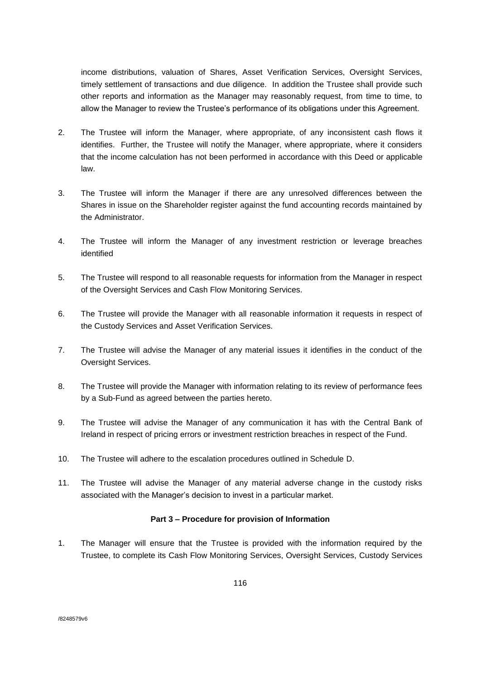income distributions, valuation of Shares, Asset Verification Services, Oversight Services, timely settlement of transactions and due diligence. In addition the Trustee shall provide such other reports and information as the Manager may reasonably request, from time to time, to allow the Manager to review the Trustee's performance of its obligations under this Agreement.

- 2. The Trustee will inform the Manager, where appropriate, of any inconsistent cash flows it identifies. Further, the Trustee will notify the Manager, where appropriate, where it considers that the income calculation has not been performed in accordance with this Deed or applicable law.
- 3. The Trustee will inform the Manager if there are any unresolved differences between the Shares in issue on the Shareholder register against the fund accounting records maintained by the Administrator.
- 4. The Trustee will inform the Manager of any investment restriction or leverage breaches identified
- 5. The Trustee will respond to all reasonable requests for information from the Manager in respect of the Oversight Services and Cash Flow Monitoring Services.
- 6. The Trustee will provide the Manager with all reasonable information it requests in respect of the Custody Services and Asset Verification Services.
- 7. The Trustee will advise the Manager of any material issues it identifies in the conduct of the Oversight Services.
- 8. The Trustee will provide the Manager with information relating to its review of performance fees by a Sub-Fund as agreed between the parties hereto.
- 9. The Trustee will advise the Manager of any communication it has with the Central Bank of Ireland in respect of pricing errors or investment restriction breaches in respect of the Fund.
- 10. The Trustee will adhere to the escalation procedures outlined in Schedule D.
- 11. The Trustee will advise the Manager of any material adverse change in the custody risks associated with the Manager's decision to invest in a particular market.

### **Part 3 – Procedure for provision of Information**

1. The Manager will ensure that the Trustee is provided with the information required by the Trustee, to complete its Cash Flow Monitoring Services, Oversight Services, Custody Services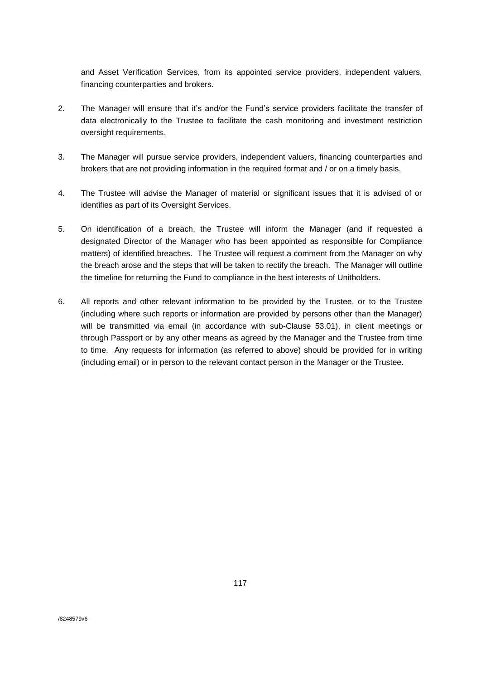and Asset Verification Services, from its appointed service providers, independent valuers, financing counterparties and brokers.

- 2. The Manager will ensure that it's and/or the Fund's service providers facilitate the transfer of data electronically to the Trustee to facilitate the cash monitoring and investment restriction oversight requirements.
- 3. The Manager will pursue service providers, independent valuers, financing counterparties and brokers that are not providing information in the required format and / or on a timely basis.
- 4. The Trustee will advise the Manager of material or significant issues that it is advised of or identifies as part of its Oversight Services.
- 5. On identification of a breach, the Trustee will inform the Manager (and if requested a designated Director of the Manager who has been appointed as responsible for Compliance matters) of identified breaches. The Trustee will request a comment from the Manager on why the breach arose and the steps that will be taken to rectify the breach. The Manager will outline the timeline for returning the Fund to compliance in the best interests of Unitholders.
- 6. All reports and other relevant information to be provided by the Trustee, or to the Trustee (including where such reports or information are provided by persons other than the Manager) will be transmitted via email (in accordance with sub-Clause 53.01), in client meetings or through Passport or by any other means as agreed by the Manager and the Trustee from time to time. Any requests for information (as referred to above) should be provided for in writing (including email) or in person to the relevant contact person in the Manager or the Trustee.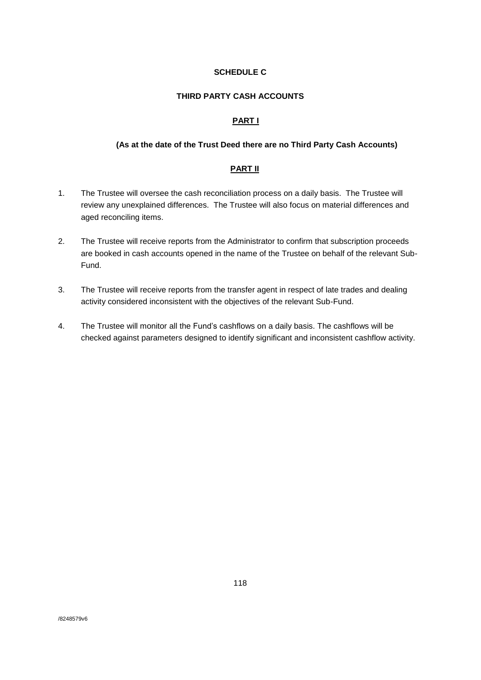## **SCHEDULE C**

## **THIRD PARTY CASH ACCOUNTS**

## **PART I**

#### **(As at the date of the Trust Deed there are no Third Party Cash Accounts)**

## **PART II**

- 1. The Trustee will oversee the cash reconciliation process on a daily basis. The Trustee will review any unexplained differences. The Trustee will also focus on material differences and aged reconciling items.
- 2. The Trustee will receive reports from the Administrator to confirm that subscription proceeds are booked in cash accounts opened in the name of the Trustee on behalf of the relevant Sub-Fund.
- 3. The Trustee will receive reports from the transfer agent in respect of late trades and dealing activity considered inconsistent with the objectives of the relevant Sub-Fund.
- 4. The Trustee will monitor all the Fund's cashflows on a daily basis. The cashflows will be checked against parameters designed to identify significant and inconsistent cashflow activity.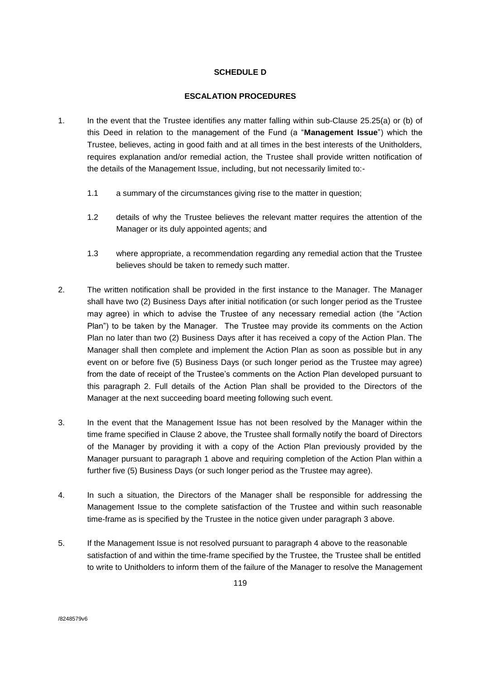## **SCHEDULE D**

## **ESCALATION PROCEDURES**

- 1. In the event that the Trustee identifies any matter falling within sub-Clause 25.25(a) or (b) of this Deed in relation to the management of the Fund (a "**Management Issue**") which the Trustee, believes, acting in good faith and at all times in the best interests of the Unitholders, requires explanation and/or remedial action, the Trustee shall provide written notification of the details of the Management Issue, including, but not necessarily limited to:-
	- 1.1 a summary of the circumstances giving rise to the matter in question;
	- 1.2 details of why the Trustee believes the relevant matter requires the attention of the Manager or its duly appointed agents; and
	- 1.3 where appropriate, a recommendation regarding any remedial action that the Trustee believes should be taken to remedy such matter.
- 2. The written notification shall be provided in the first instance to the Manager. The Manager shall have two (2) Business Days after initial notification (or such longer period as the Trustee may agree) in which to advise the Trustee of any necessary remedial action (the "Action Plan") to be taken by the Manager. The Trustee may provide its comments on the Action Plan no later than two (2) Business Days after it has received a copy of the Action Plan. The Manager shall then complete and implement the Action Plan as soon as possible but in any event on or before five (5) Business Days (or such longer period as the Trustee may agree) from the date of receipt of the Trustee's comments on the Action Plan developed pursuant to this paragraph 2. Full details of the Action Plan shall be provided to the Directors of the Manager at the next succeeding board meeting following such event.
- 3. In the event that the Management Issue has not been resolved by the Manager within the time frame specified in Clause 2 above, the Trustee shall formally notify the board of Directors of the Manager by providing it with a copy of the Action Plan previously provided by the Manager pursuant to paragraph 1 above and requiring completion of the Action Plan within a further five (5) Business Days (or such longer period as the Trustee may agree).
- 4. In such a situation, the Directors of the Manager shall be responsible for addressing the Management Issue to the complete satisfaction of the Trustee and within such reasonable time-frame as is specified by the Trustee in the notice given under paragraph 3 above.
- 5. If the Management Issue is not resolved pursuant to paragraph 4 above to the reasonable satisfaction of and within the time-frame specified by the Trustee, the Trustee shall be entitled to write to Unitholders to inform them of the failure of the Manager to resolve the Management

/8248579v6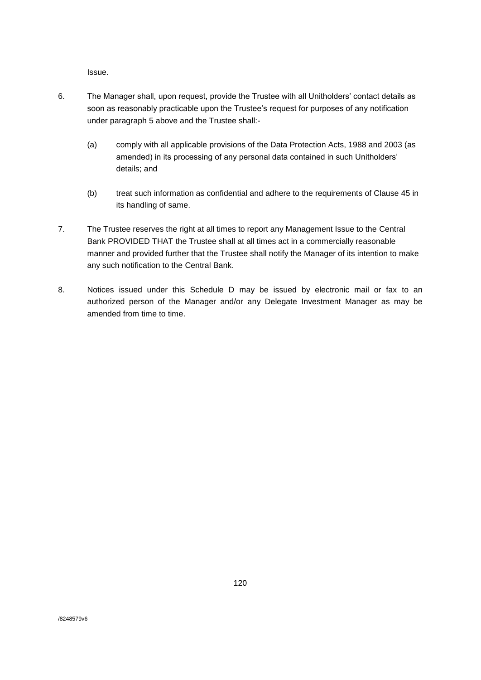Issue.

- 6. The Manager shall, upon request, provide the Trustee with all Unitholders' contact details as soon as reasonably practicable upon the Trustee's request for purposes of any notification under paragraph 5 above and the Trustee shall:-
	- (a) comply with all applicable provisions of the Data Protection Acts, 1988 and 2003 (as amended) in its processing of any personal data contained in such Unitholders' details; and
	- (b) treat such information as confidential and adhere to the requirements of Clause 45 in its handling of same.
- 7. The Trustee reserves the right at all times to report any Management Issue to the Central Bank PROVIDED THAT the Trustee shall at all times act in a commercially reasonable manner and provided further that the Trustee shall notify the Manager of its intention to make any such notification to the Central Bank.
- 8. Notices issued under this Schedule D may be issued by electronic mail or fax to an authorized person of the Manager and/or any Delegate Investment Manager as may be amended from time to time.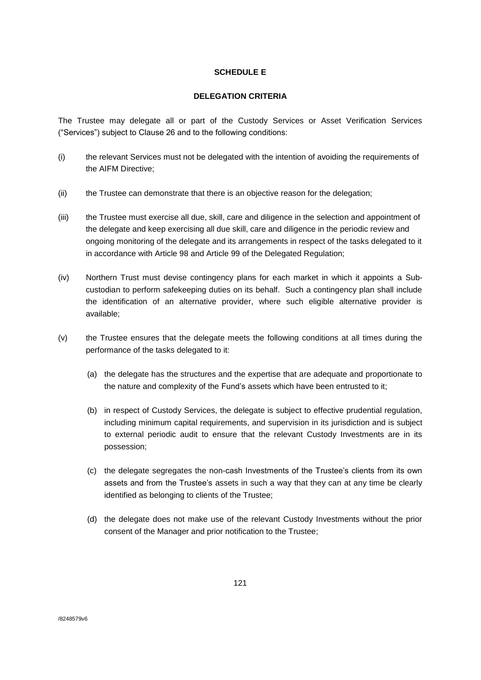## **SCHEDULE E**

#### **DELEGATION CRITERIA**

The Trustee may delegate all or part of the Custody Services or Asset Verification Services ("Services") subject to Clause 26 and to the following conditions:

- (i) the relevant Services must not be delegated with the intention of avoiding the requirements of the AIFM Directive;
- (ii) the Trustee can demonstrate that there is an objective reason for the delegation;
- (iii) the Trustee must exercise all due, skill, care and diligence in the selection and appointment of the delegate and keep exercising all due skill, care and diligence in the periodic review and ongoing monitoring of the delegate and its arrangements in respect of the tasks delegated to it in accordance with Article 98 and Article 99 of the Delegated Regulation;
- (iv) Northern Trust must devise contingency plans for each market in which it appoints a Subcustodian to perform safekeeping duties on its behalf. Such a contingency plan shall include the identification of an alternative provider, where such eligible alternative provider is available;
- (v) the Trustee ensures that the delegate meets the following conditions at all times during the performance of the tasks delegated to it:
	- (a) the delegate has the structures and the expertise that are adequate and proportionate to the nature and complexity of the Fund's assets which have been entrusted to it;
	- (b) in respect of Custody Services, the delegate is subject to effective prudential regulation, including minimum capital requirements, and supervision in its jurisdiction and is subject to external periodic audit to ensure that the relevant Custody Investments are in its possession;
	- (c) the delegate segregates the non-cash Investments of the Trustee's clients from its own assets and from the Trustee's assets in such a way that they can at any time be clearly identified as belonging to clients of the Trustee;
	- (d) the delegate does not make use of the relevant Custody Investments without the prior consent of the Manager and prior notification to the Trustee;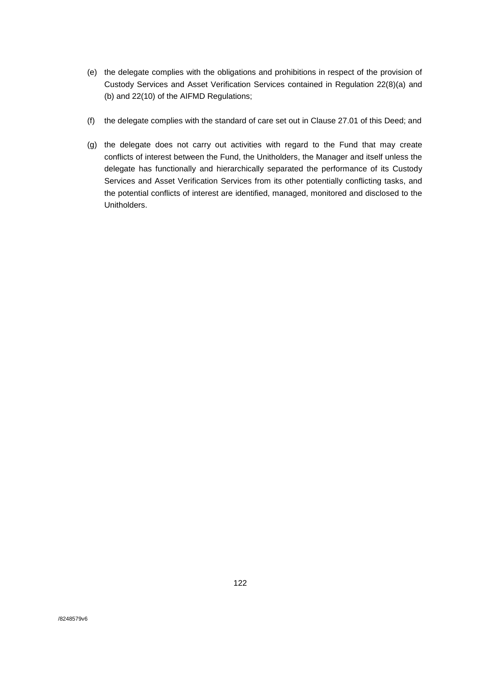- (e) the delegate complies with the obligations and prohibitions in respect of the provision of Custody Services and Asset Verification Services contained in Regulation 22(8)(a) and (b) and 22(10) of the AIFMD Regulations;
- (f) the delegate complies with the standard of care set out in Clause 27.01 of this Deed; and
- (g) the delegate does not carry out activities with regard to the Fund that may create conflicts of interest between the Fund, the Unitholders, the Manager and itself unless the delegate has functionally and hierarchically separated the performance of its Custody Services and Asset Verification Services from its other potentially conflicting tasks, and the potential conflicts of interest are identified, managed, monitored and disclosed to the Unitholders.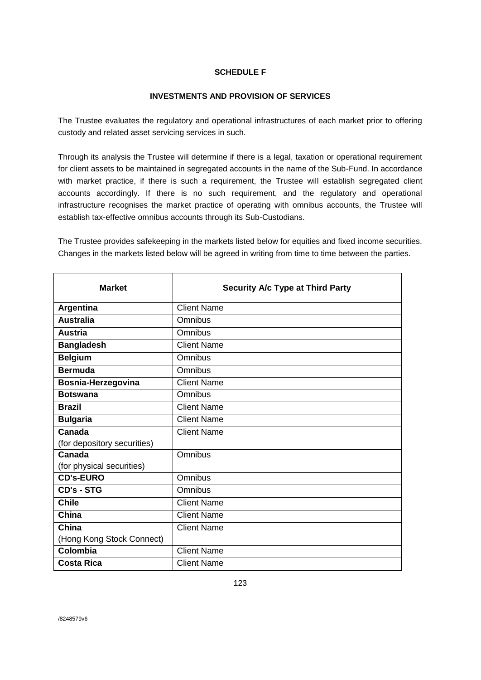## **SCHEDULE F**

### **INVESTMENTS AND PROVISION OF SERVICES**

The Trustee evaluates the regulatory and operational infrastructures of each market prior to offering custody and related asset servicing services in such.

Through its analysis the Trustee will determine if there is a legal, taxation or operational requirement for client assets to be maintained in segregated accounts in the name of the Sub-Fund. In accordance with market practice, if there is such a requirement, the Trustee will establish segregated client accounts accordingly. If there is no such requirement, and the regulatory and operational infrastructure recognises the market practice of operating with omnibus accounts, the Trustee will establish tax-effective omnibus accounts through its Sub-Custodians.

The Trustee provides safekeeping in the markets listed below for equities and fixed income securities. Changes in the markets listed below will be agreed in writing from time to time between the parties.

| <b>Market</b>               | <b>Security A/c Type at Third Party</b> |
|-----------------------------|-----------------------------------------|
| Argentina                   | <b>Client Name</b>                      |
| <b>Australia</b>            | Omnibus                                 |
| <b>Austria</b>              | Omnibus                                 |
| <b>Bangladesh</b>           | <b>Client Name</b>                      |
| <b>Belgium</b>              | Omnibus                                 |
| <b>Bermuda</b>              | Omnibus                                 |
| Bosnia-Herzegovina          | <b>Client Name</b>                      |
| <b>Botswana</b>             | Omnibus                                 |
| <b>Brazil</b>               | <b>Client Name</b>                      |
| <b>Bulgaria</b>             | <b>Client Name</b>                      |
| Canada                      | <b>Client Name</b>                      |
| (for depository securities) |                                         |
| Canada                      | Omnibus                                 |
| (for physical securities)   |                                         |
| <b>CD's-EURO</b>            | Omnibus                                 |
| CD's - STG                  | Omnibus                                 |
| <b>Chile</b>                | <b>Client Name</b>                      |
| China                       | <b>Client Name</b>                      |
| China                       | <b>Client Name</b>                      |
| (Hong Kong Stock Connect)   |                                         |
| Colombia                    | <b>Client Name</b>                      |
| <b>Costa Rica</b>           | <b>Client Name</b>                      |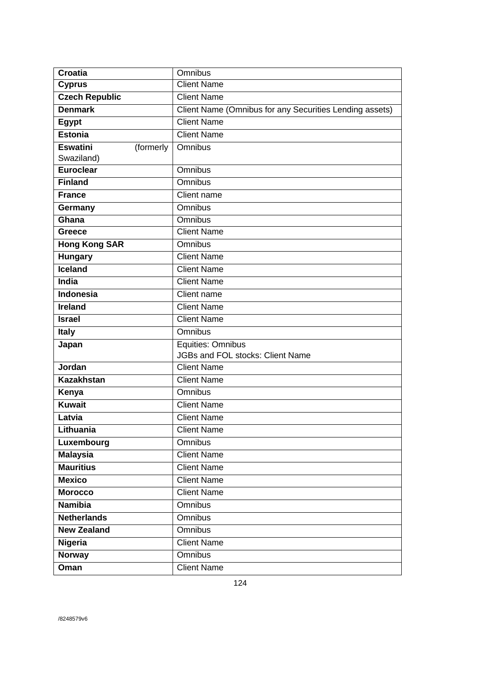| <b>Croatia</b>               | Omnibus                                                 |
|------------------------------|---------------------------------------------------------|
| <b>Cyprus</b>                | Client Name                                             |
| <b>Czech Republic</b>        | <b>Client Name</b>                                      |
| <b>Denmark</b>               | Client Name (Omnibus for any Securities Lending assets) |
| <b>Egypt</b>                 | <b>Client Name</b>                                      |
| <b>Estonia</b>               | <b>Client Name</b>                                      |
| <b>Eswatini</b><br>(formerly | Omnibus                                                 |
| Swaziland)                   |                                                         |
| <b>Euroclear</b>             | Omnibus                                                 |
| <b>Finland</b>               | Omnibus                                                 |
| <b>France</b>                | Client name                                             |
| Germany                      | <b>Omnibus</b>                                          |
| Ghana                        | <b>Omnibus</b>                                          |
| <b>Greece</b>                | <b>Client Name</b>                                      |
| <b>Hong Kong SAR</b>         | Omnibus                                                 |
| <b>Hungary</b>               | <b>Client Name</b>                                      |
| <b>Iceland</b>               | <b>Client Name</b>                                      |
| India                        | <b>Client Name</b>                                      |
| <b>Indonesia</b>             | Client name                                             |
| <b>Ireland</b>               | <b>Client Name</b>                                      |
| <b>Israel</b>                | <b>Client Name</b>                                      |
| <b>Italy</b>                 | <b>Omnibus</b>                                          |
| Japan                        | Equities: Omnibus                                       |
|                              | <b>JGBs and FOL stocks: Client Name</b>                 |
| Jordan                       | <b>Client Name</b>                                      |
| <b>Kazakhstan</b>            | <b>Client Name</b>                                      |
| Kenya                        | Omnibus                                                 |
| <b>Kuwait</b>                | <b>Client Name</b>                                      |
| Latvia                       | <b>Client Name</b>                                      |
| Lithuania                    | <b>Client Name</b>                                      |
| Luxembourg                   | Omnibus                                                 |
| <b>Malaysia</b>              | <b>Client Name</b>                                      |
| <b>Mauritius</b>             | <b>Client Name</b>                                      |
| <b>Mexico</b>                | <b>Client Name</b>                                      |
| <b>Morocco</b>               | <b>Client Name</b>                                      |
| <b>Namibia</b>               | Omnibus                                                 |
| <b>Netherlands</b>           | Omnibus                                                 |
| <b>New Zealand</b>           | Omnibus                                                 |
| <b>Nigeria</b>               | <b>Client Name</b>                                      |
| <b>Norway</b>                | Omnibus                                                 |
| Oman                         | <b>Client Name</b>                                      |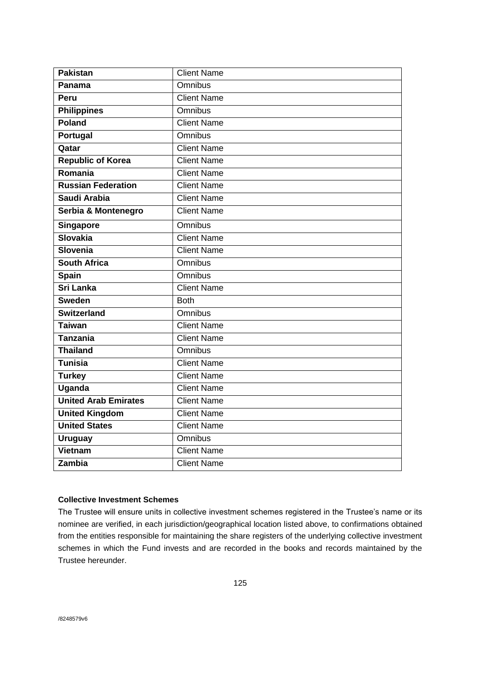| <b>Pakistan</b>             | <b>Client Name</b> |
|-----------------------------|--------------------|
| Panama                      | <b>Omnibus</b>     |
| Peru                        | <b>Client Name</b> |
| <b>Philippines</b>          | <b>Omnibus</b>     |
| Poland                      | <b>Client Name</b> |
| Portugal                    | <b>Omnibus</b>     |
| Qatar                       | <b>Client Name</b> |
| <b>Republic of Korea</b>    | <b>Client Name</b> |
| Romania                     | <b>Client Name</b> |
| <b>Russian Federation</b>   | <b>Client Name</b> |
| Saudi Arabia                | <b>Client Name</b> |
| Serbia & Montenegro         | <b>Client Name</b> |
| <b>Singapore</b>            | <b>Omnibus</b>     |
| Slovakia                    | <b>Client Name</b> |
| <b>Slovenia</b>             | <b>Client Name</b> |
| <b>South Africa</b>         | <b>Omnibus</b>     |
| <b>Spain</b>                | <b>Omnibus</b>     |
| <b>Sri Lanka</b>            | <b>Client Name</b> |
| <b>Sweden</b>               | <b>Both</b>        |
| <b>Switzerland</b>          | <b>Omnibus</b>     |
| <b>Taiwan</b>               | <b>Client Name</b> |
| <b>Tanzania</b>             | <b>Client Name</b> |
| <b>Thailand</b>             | <b>Omnibus</b>     |
| <b>Tunisia</b>              | <b>Client Name</b> |
| <b>Turkey</b>               | <b>Client Name</b> |
| <b>Uganda</b>               | <b>Client Name</b> |
| <b>United Arab Emirates</b> | <b>Client Name</b> |
| <b>United Kingdom</b>       | <b>Client Name</b> |
| <b>United States</b>        | <b>Client Name</b> |
| <b>Uruguay</b>              | <b>Omnibus</b>     |
| Vietnam                     | <b>Client Name</b> |
| Zambia                      | <b>Client Name</b> |

## **Collective Investment Schemes**

The Trustee will ensure units in collective investment schemes registered in the Trustee's name or its nominee are verified, in each jurisdiction/geographical location listed above, to confirmations obtained from the entities responsible for maintaining the share registers of the underlying collective investment schemes in which the Fund invests and are recorded in the books and records maintained by the Trustee hereunder.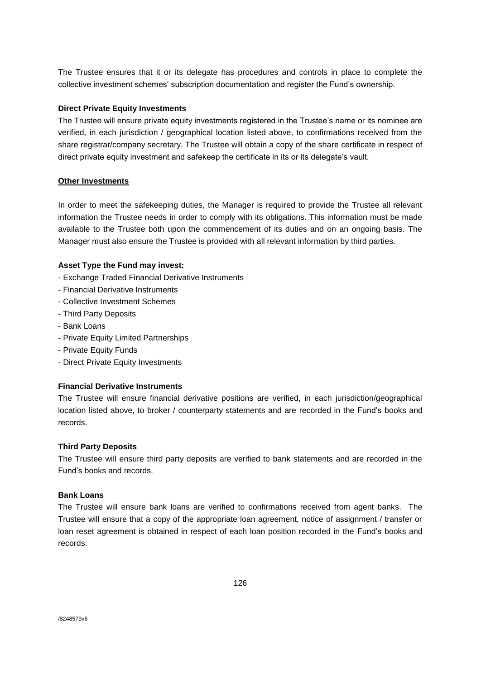The Trustee ensures that it or its delegate has procedures and controls in place to complete the collective investment schemes' subscription documentation and register the Fund's ownership.

#### **Direct Private Equity Investments**

The Trustee will ensure private equity investments registered in the Trustee's name or its nominee are verified, in each jurisdiction / geographical location listed above, to confirmations received from the share registrar/company secretary. The Trustee will obtain a copy of the share certificate in respect of direct private equity investment and safekeep the certificate in its or its delegate's vault.

#### **Other Investments**

In order to meet the safekeeping duties, the Manager is required to provide the Trustee all relevant information the Trustee needs in order to comply with its obligations. This information must be made available to the Trustee both upon the commencement of its duties and on an ongoing basis. The Manager must also ensure the Trustee is provided with all relevant information by third parties.

#### **Asset Type the Fund may invest:**

- Exchange Traded Financial Derivative Instruments
- Financial Derivative Instruments
- Collective Investment Schemes
- Third Party Deposits
- Bank Loans
- Private Equity Limited Partnerships
- Private Equity Funds
- Direct Private Equity Investments

#### **Financial Derivative Instruments**

The Trustee will ensure financial derivative positions are verified, in each jurisdiction/geographical location listed above, to broker / counterparty statements and are recorded in the Fund's books and records.

#### **Third Party Deposits**

The Trustee will ensure third party deposits are verified to bank statements and are recorded in the Fund's books and records.

#### **Bank Loans**

The Trustee will ensure bank loans are verified to confirmations received from agent banks. The Trustee will ensure that a copy of the appropriate loan agreement, notice of assignment / transfer or loan reset agreement is obtained in respect of each loan position recorded in the Fund's books and records.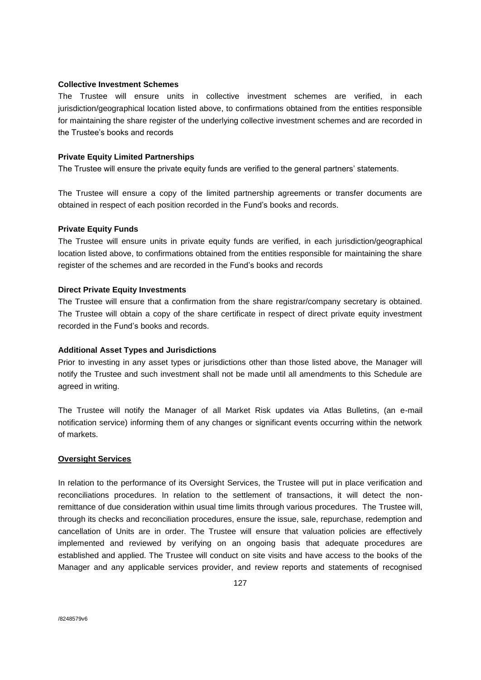#### **Collective Investment Schemes**

The Trustee will ensure units in collective investment schemes are verified, in each jurisdiction/geographical location listed above, to confirmations obtained from the entities responsible for maintaining the share register of the underlying collective investment schemes and are recorded in the Trustee's books and records

#### **Private Equity Limited Partnerships**

The Trustee will ensure the private equity funds are verified to the general partners' statements.

The Trustee will ensure a copy of the limited partnership agreements or transfer documents are obtained in respect of each position recorded in the Fund's books and records.

#### **Private Equity Funds**

The Trustee will ensure units in private equity funds are verified, in each jurisdiction/geographical location listed above, to confirmations obtained from the entities responsible for maintaining the share register of the schemes and are recorded in the Fund's books and records

#### **Direct Private Equity Investments**

The Trustee will ensure that a confirmation from the share registrar/company secretary is obtained. The Trustee will obtain a copy of the share certificate in respect of direct private equity investment recorded in the Fund's books and records.

### **Additional Asset Types and Jurisdictions**

Prior to investing in any asset types or jurisdictions other than those listed above, the Manager will notify the Trustee and such investment shall not be made until all amendments to this Schedule are agreed in writing.

The Trustee will notify the Manager of all Market Risk updates via Atlas Bulletins, (an e-mail notification service) informing them of any changes or significant events occurring within the network of markets.

#### **Oversight Services**

In relation to the performance of its Oversight Services, the Trustee will put in place verification and reconciliations procedures. In relation to the settlement of transactions, it will detect the nonremittance of due consideration within usual time limits through various procedures. The Trustee will, through its checks and reconciliation procedures, ensure the issue, sale, repurchase, redemption and cancellation of Units are in order. The Trustee will ensure that valuation policies are effectively implemented and reviewed by verifying on an ongoing basis that adequate procedures are established and applied. The Trustee will conduct on site visits and have access to the books of the Manager and any applicable services provider, and review reports and statements of recognised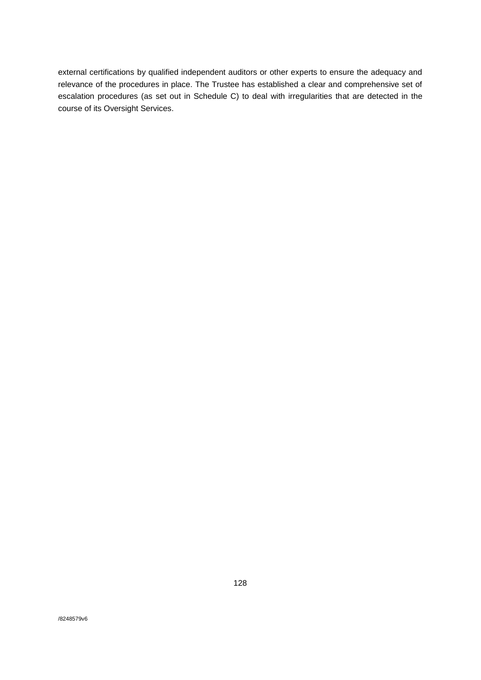external certifications by qualified independent auditors or other experts to ensure the adequacy and relevance of the procedures in place. The Trustee has established a clear and comprehensive set of escalation procedures (as set out in Schedule C) to deal with irregularities that are detected in the course of its Oversight Services.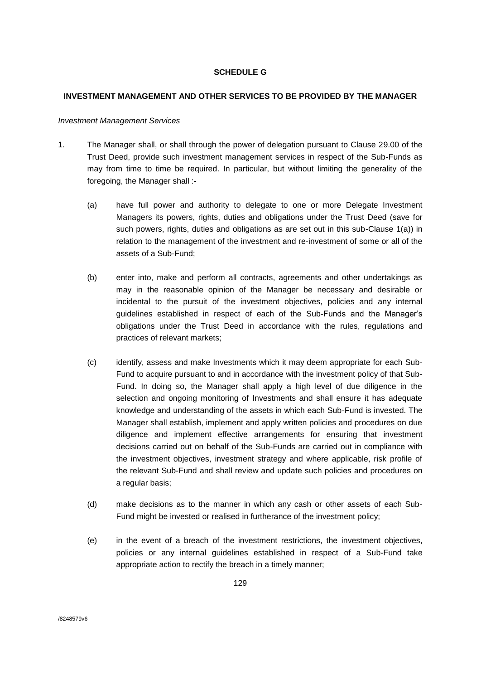## **SCHEDULE G**

### **INVESTMENT MANAGEMENT AND OTHER SERVICES TO BE PROVIDED BY THE MANAGER**

#### *Investment Management Services*

- 1. The Manager shall, or shall through the power of delegation pursuant to Clause 29.00 of the Trust Deed, provide such investment management services in respect of the Sub-Funds as may from time to time be required. In particular, but without limiting the generality of the foregoing, the Manager shall :-
	- (a) have full power and authority to delegate to one or more Delegate Investment Managers its powers, rights, duties and obligations under the Trust Deed (save for such powers, rights, duties and obligations as are set out in this sub-Clause 1(a)) in relation to the management of the investment and re-investment of some or all of the assets of a Sub-Fund;
	- (b) enter into, make and perform all contracts, agreements and other undertakings as may in the reasonable opinion of the Manager be necessary and desirable or incidental to the pursuit of the investment objectives, policies and any internal guidelines established in respect of each of the Sub-Funds and the Manager's obligations under the Trust Deed in accordance with the rules, regulations and practices of relevant markets;
	- (c) identify, assess and make Investments which it may deem appropriate for each Sub-Fund to acquire pursuant to and in accordance with the investment policy of that Sub-Fund. In doing so, the Manager shall apply a high level of due diligence in the selection and ongoing monitoring of Investments and shall ensure it has adequate knowledge and understanding of the assets in which each Sub-Fund is invested. The Manager shall establish, implement and apply written policies and procedures on due diligence and implement effective arrangements for ensuring that investment decisions carried out on behalf of the Sub-Funds are carried out in compliance with the investment objectives, investment strategy and where applicable, risk profile of the relevant Sub-Fund and shall review and update such policies and procedures on a regular basis;
	- (d) make decisions as to the manner in which any cash or other assets of each Sub-Fund might be invested or realised in furtherance of the investment policy;
	- (e) in the event of a breach of the investment restrictions, the investment objectives, policies or any internal guidelines established in respect of a Sub-Fund take appropriate action to rectify the breach in a timely manner;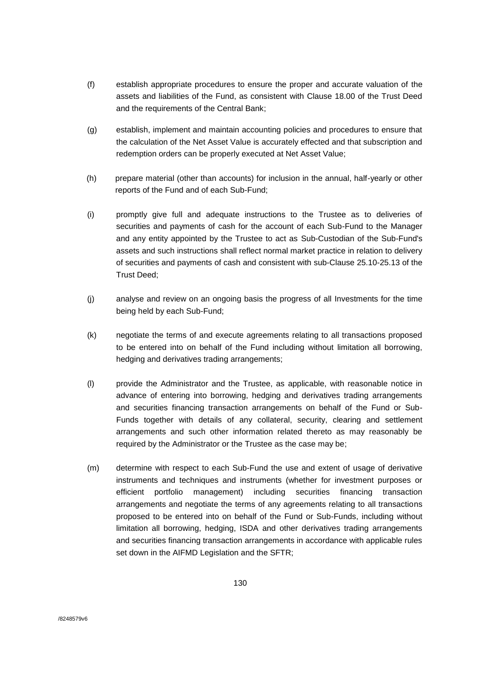- (f) establish appropriate procedures to ensure the proper and accurate valuation of the assets and liabilities of the Fund, as consistent with Clause 18.00 of the Trust Deed and the requirements of the Central Bank;
- (g) establish, implement and maintain accounting policies and procedures to ensure that the calculation of the Net Asset Value is accurately effected and that subscription and redemption orders can be properly executed at Net Asset Value;
- (h) prepare material (other than accounts) for inclusion in the annual, half-yearly or other reports of the Fund and of each Sub-Fund;
- (i) promptly give full and adequate instructions to the Trustee as to deliveries of securities and payments of cash for the account of each Sub-Fund to the Manager and any entity appointed by the Trustee to act as Sub-Custodian of the Sub-Fund's assets and such instructions shall reflect normal market practice in relation to delivery of securities and payments of cash and consistent with sub-Clause 25.10-25.13 of the Trust Deed;
- (j) analyse and review on an ongoing basis the progress of all Investments for the time being held by each Sub-Fund;
- (k) negotiate the terms of and execute agreements relating to all transactions proposed to be entered into on behalf of the Fund including without limitation all borrowing, hedging and derivatives trading arrangements;
- (l) provide the Administrator and the Trustee, as applicable, with reasonable notice in advance of entering into borrowing, hedging and derivatives trading arrangements and securities financing transaction arrangements on behalf of the Fund or Sub-Funds together with details of any collateral, security, clearing and settlement arrangements and such other information related thereto as may reasonably be required by the Administrator or the Trustee as the case may be;
- (m) determine with respect to each Sub-Fund the use and extent of usage of derivative instruments and techniques and instruments (whether for investment purposes or efficient portfolio management) including securities financing transaction arrangements and negotiate the terms of any agreements relating to all transactions proposed to be entered into on behalf of the Fund or Sub-Funds, including without limitation all borrowing, hedging, ISDA and other derivatives trading arrangements and securities financing transaction arrangements in accordance with applicable rules set down in the AIFMD Legislation and the SFTR;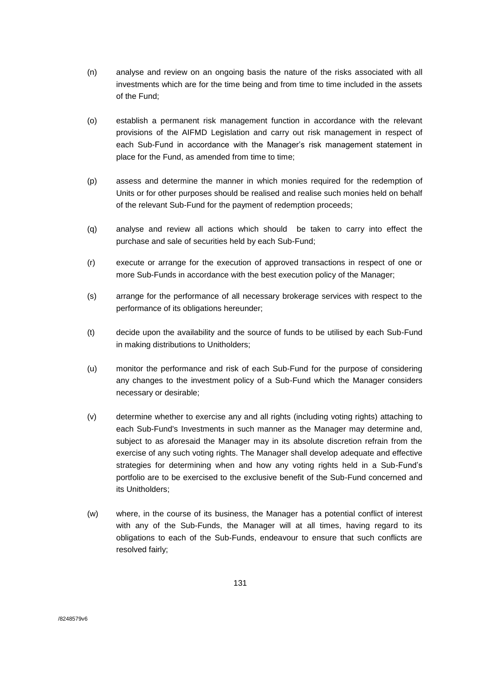- (n) analyse and review on an ongoing basis the nature of the risks associated with all investments which are for the time being and from time to time included in the assets of the Fund;
- (o) establish a permanent risk management function in accordance with the relevant provisions of the AIFMD Legislation and carry out risk management in respect of each Sub-Fund in accordance with the Manager's risk management statement in place for the Fund, as amended from time to time;
- (p) assess and determine the manner in which monies required for the redemption of Units or for other purposes should be realised and realise such monies held on behalf of the relevant Sub-Fund for the payment of redemption proceeds;
- (q) analyse and review all actions which should be taken to carry into effect the purchase and sale of securities held by each Sub-Fund;
- (r) execute or arrange for the execution of approved transactions in respect of one or more Sub-Funds in accordance with the best execution policy of the Manager;
- (s) arrange for the performance of all necessary brokerage services with respect to the performance of its obligations hereunder;
- (t) decide upon the availability and the source of funds to be utilised by each Sub-Fund in making distributions to Unitholders;
- (u) monitor the performance and risk of each Sub-Fund for the purpose of considering any changes to the investment policy of a Sub-Fund which the Manager considers necessary or desirable;
- (v) determine whether to exercise any and all rights (including voting rights) attaching to each Sub-Fund's Investments in such manner as the Manager may determine and, subject to as aforesaid the Manager may in its absolute discretion refrain from the exercise of any such voting rights. The Manager shall develop adequate and effective strategies for determining when and how any voting rights held in a Sub-Fund's portfolio are to be exercised to the exclusive benefit of the Sub-Fund concerned and its Unitholders;
- (w) where, in the course of its business, the Manager has a potential conflict of interest with any of the Sub-Funds, the Manager will at all times, having regard to its obligations to each of the Sub-Funds, endeavour to ensure that such conflicts are resolved fairly;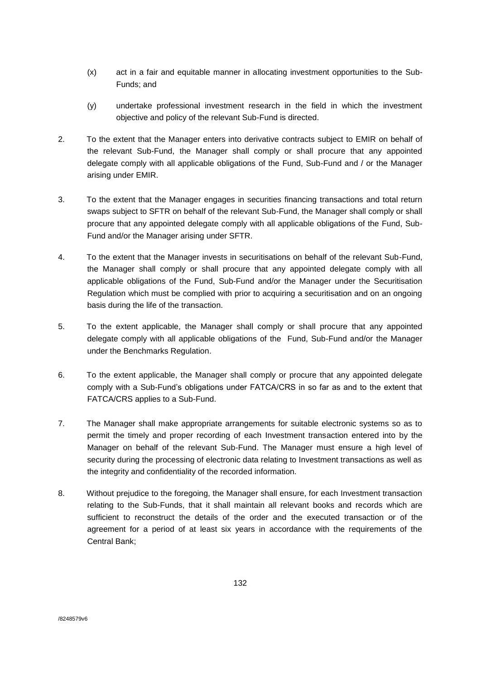- (x) act in a fair and equitable manner in allocating investment opportunities to the Sub-Funds; and
- (y) undertake professional investment research in the field in which the investment objective and policy of the relevant Sub-Fund is directed.
- 2. To the extent that the Manager enters into derivative contracts subject to EMIR on behalf of the relevant Sub-Fund, the Manager shall comply or shall procure that any appointed delegate comply with all applicable obligations of the Fund, Sub-Fund and / or the Manager arising under EMIR.
- 3. To the extent that the Manager engages in securities financing transactions and total return swaps subject to SFTR on behalf of the relevant Sub-Fund, the Manager shall comply or shall procure that any appointed delegate comply with all applicable obligations of the Fund, Sub-Fund and/or the Manager arising under SFTR.
- 4. To the extent that the Manager invests in securitisations on behalf of the relevant Sub-Fund, the Manager shall comply or shall procure that any appointed delegate comply with all applicable obligations of the Fund, Sub-Fund and/or the Manager under the Securitisation Regulation which must be complied with prior to acquiring a securitisation and on an ongoing basis during the life of the transaction.
- 5. To the extent applicable, the Manager shall comply or shall procure that any appointed delegate comply with all applicable obligations of the Fund, Sub-Fund and/or the Manager under the Benchmarks Regulation.
- 6. To the extent applicable, the Manager shall comply or procure that any appointed delegate comply with a Sub-Fund's obligations under FATCA/CRS in so far as and to the extent that FATCA/CRS applies to a Sub-Fund.
- 7. The Manager shall make appropriate arrangements for suitable electronic systems so as to permit the timely and proper recording of each Investment transaction entered into by the Manager on behalf of the relevant Sub-Fund. The Manager must ensure a high level of security during the processing of electronic data relating to Investment transactions as well as the integrity and confidentiality of the recorded information.
- 8. Without prejudice to the foregoing, the Manager shall ensure, for each Investment transaction relating to the Sub-Funds, that it shall maintain all relevant books and records which are sufficient to reconstruct the details of the order and the executed transaction or of the agreement for a period of at least six years in accordance with the requirements of the Central Bank;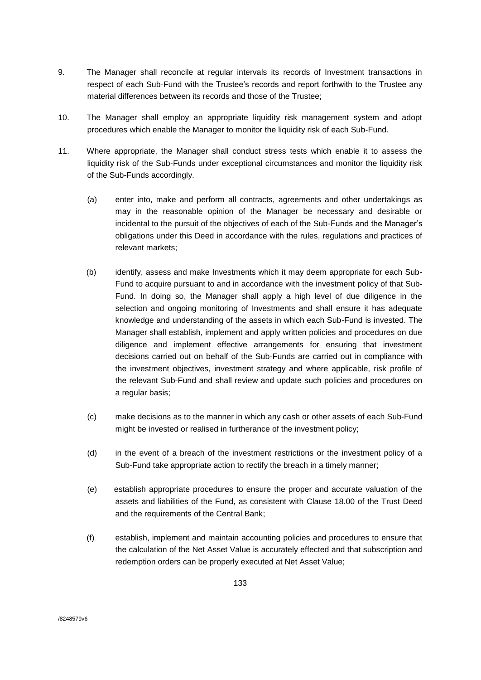- 9. The Manager shall reconcile at regular intervals its records of Investment transactions in respect of each Sub-Fund with the Trustee's records and report forthwith to the Trustee any material differences between its records and those of the Trustee;
- 10. The Manager shall employ an appropriate liquidity risk management system and adopt procedures which enable the Manager to monitor the liquidity risk of each Sub-Fund.
- 11. Where appropriate, the Manager shall conduct stress tests which enable it to assess the liquidity risk of the Sub-Funds under exceptional circumstances and monitor the liquidity risk of the Sub-Funds accordingly.
	- (a) enter into, make and perform all contracts, agreements and other undertakings as may in the reasonable opinion of the Manager be necessary and desirable or incidental to the pursuit of the objectives of each of the Sub-Funds and the Manager's obligations under this Deed in accordance with the rules, regulations and practices of relevant markets;
	- (b) identify, assess and make Investments which it may deem appropriate for each Sub-Fund to acquire pursuant to and in accordance with the investment policy of that Sub-Fund. In doing so, the Manager shall apply a high level of due diligence in the selection and ongoing monitoring of Investments and shall ensure it has adequate knowledge and understanding of the assets in which each Sub-Fund is invested. The Manager shall establish, implement and apply written policies and procedures on due diligence and implement effective arrangements for ensuring that investment decisions carried out on behalf of the Sub-Funds are carried out in compliance with the investment objectives, investment strategy and where applicable, risk profile of the relevant Sub-Fund and shall review and update such policies and procedures on a regular basis;
	- (c) make decisions as to the manner in which any cash or other assets of each Sub-Fund might be invested or realised in furtherance of the investment policy;
	- (d) in the event of a breach of the investment restrictions or the investment policy of a Sub-Fund take appropriate action to rectify the breach in a timely manner;
	- (e) establish appropriate procedures to ensure the proper and accurate valuation of the assets and liabilities of the Fund, as consistent with Clause 18.00 of the Trust Deed and the requirements of the Central Bank;
	- (f) establish, implement and maintain accounting policies and procedures to ensure that the calculation of the Net Asset Value is accurately effected and that subscription and redemption orders can be properly executed at Net Asset Value;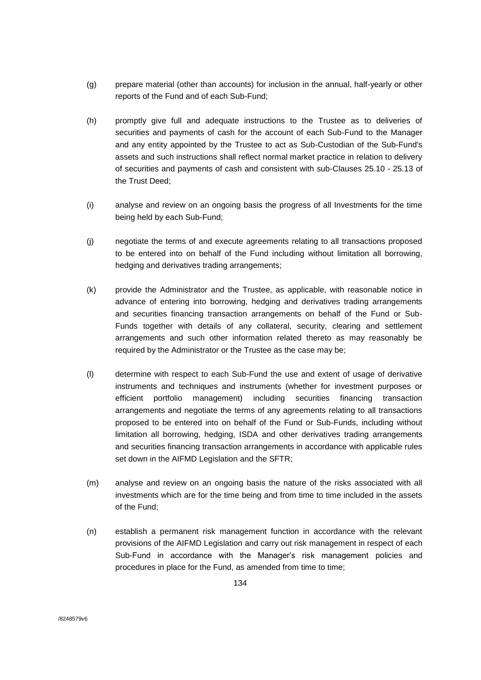- (g) prepare material (other than accounts) for inclusion in the annual, half-yearly or other reports of the Fund and of each Sub-Fund;
- (h) promptly give full and adequate instructions to the Trustee as to deliveries of securities and payments of cash for the account of each Sub-Fund to the Manager and any entity appointed by the Trustee to act as Sub-Custodian of the Sub-Fund's assets and such instructions shall reflect normal market practice in relation to delivery of securities and payments of cash and consistent with sub-Clauses 25.10 - 25.13 of the Trust Deed;
- (i) analyse and review on an ongoing basis the progress of all Investments for the time being held by each Sub-Fund;
- (j) negotiate the terms of and execute agreements relating to all transactions proposed to be entered into on behalf of the Fund including without limitation all borrowing, hedging and derivatives trading arrangements;
- (k) provide the Administrator and the Trustee, as applicable, with reasonable notice in advance of entering into borrowing, hedging and derivatives trading arrangements and securities financing transaction arrangements on behalf of the Fund or Sub-Funds together with details of any collateral, security, clearing and settlement arrangements and such other information related thereto as may reasonably be required by the Administrator or the Trustee as the case may be;
- (l) determine with respect to each Sub-Fund the use and extent of usage of derivative instruments and techniques and instruments (whether for investment purposes or efficient portfolio management) including securities financing transaction arrangements and negotiate the terms of any agreements relating to all transactions proposed to be entered into on behalf of the Fund or Sub-Funds, including without limitation all borrowing, hedging, ISDA and other derivatives trading arrangements and securities financing transaction arrangements in accordance with applicable rules set down in the AIFMD Legislation and the SFTR;
- (m) analyse and review on an ongoing basis the nature of the risks associated with all investments which are for the time being and from time to time included in the assets of the Fund;
- (n) establish a permanent risk management function in accordance with the relevant provisions of the AIFMD Legislation and carry out risk management in respect of each Sub-Fund in accordance with the Manager's risk management policies and procedures in place for the Fund, as amended from time to time;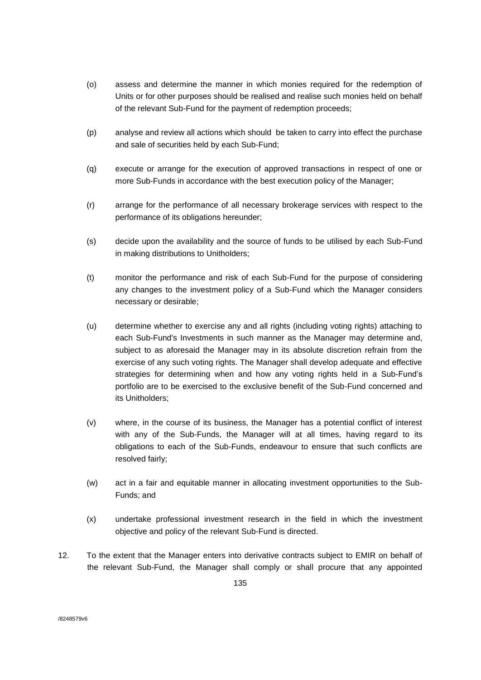- (o) assess and determine the manner in which monies required for the redemption of Units or for other purposes should be realised and realise such monies held on behalf of the relevant Sub-Fund for the payment of redemption proceeds;
- (p) analyse and review all actions which should be taken to carry into effect the purchase and sale of securities held by each Sub-Fund;
- (q) execute or arrange for the execution of approved transactions in respect of one or more Sub-Funds in accordance with the best execution policy of the Manager;
- (r) arrange for the performance of all necessary brokerage services with respect to the performance of its obligations hereunder;
- (s) decide upon the availability and the source of funds to be utilised by each Sub-Fund in making distributions to Unitholders;
- (t) monitor the performance and risk of each Sub-Fund for the purpose of considering any changes to the investment policy of a Sub-Fund which the Manager considers necessary or desirable;
- (u) determine whether to exercise any and all rights (including voting rights) attaching to each Sub-Fund's Investments in such manner as the Manager may determine and, subject to as aforesaid the Manager may in its absolute discretion refrain from the exercise of any such voting rights. The Manager shall develop adequate and effective strategies for determining when and how any voting rights held in a Sub-Fund's portfolio are to be exercised to the exclusive benefit of the Sub-Fund concerned and its Unitholders;
- (v) where, in the course of its business, the Manager has a potential conflict of interest with any of the Sub-Funds, the Manager will at all times, having regard to its obligations to each of the Sub-Funds, endeavour to ensure that such conflicts are resolved fairly;
- (w) act in a fair and equitable manner in allocating investment opportunities to the Sub-Funds; and
- (x) undertake professional investment research in the field in which the investment objective and policy of the relevant Sub-Fund is directed.
- 12. To the extent that the Manager enters into derivative contracts subject to EMIR on behalf of the relevant Sub-Fund, the Manager shall comply or shall procure that any appointed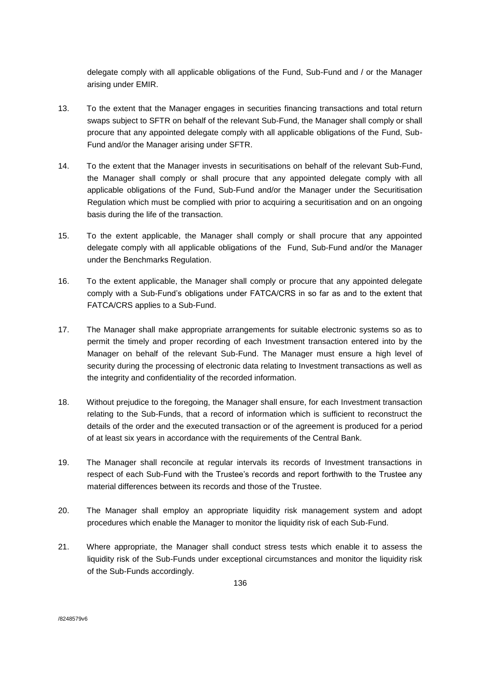delegate comply with all applicable obligations of the Fund, Sub-Fund and / or the Manager arising under EMIR.

- 13. To the extent that the Manager engages in securities financing transactions and total return swaps subject to SFTR on behalf of the relevant Sub-Fund, the Manager shall comply or shall procure that any appointed delegate comply with all applicable obligations of the Fund, Sub-Fund and/or the Manager arising under SFTR.
- 14. To the extent that the Manager invests in securitisations on behalf of the relevant Sub-Fund, the Manager shall comply or shall procure that any appointed delegate comply with all applicable obligations of the Fund, Sub-Fund and/or the Manager under the Securitisation Regulation which must be complied with prior to acquiring a securitisation and on an ongoing basis during the life of the transaction.
- 15. To the extent applicable, the Manager shall comply or shall procure that any appointed delegate comply with all applicable obligations of the Fund, Sub-Fund and/or the Manager under the Benchmarks Regulation.
- 16. To the extent applicable, the Manager shall comply or procure that any appointed delegate comply with a Sub-Fund's obligations under FATCA/CRS in so far as and to the extent that FATCA/CRS applies to a Sub-Fund.
- 17. The Manager shall make appropriate arrangements for suitable electronic systems so as to permit the timely and proper recording of each Investment transaction entered into by the Manager on behalf of the relevant Sub-Fund. The Manager must ensure a high level of security during the processing of electronic data relating to Investment transactions as well as the integrity and confidentiality of the recorded information.
- 18. Without prejudice to the foregoing, the Manager shall ensure, for each Investment transaction relating to the Sub-Funds, that a record of information which is sufficient to reconstruct the details of the order and the executed transaction or of the agreement is produced for a period of at least six years in accordance with the requirements of the Central Bank.
- 19. The Manager shall reconcile at regular intervals its records of Investment transactions in respect of each Sub-Fund with the Trustee's records and report forthwith to the Trustee any material differences between its records and those of the Trustee.
- 20. The Manager shall employ an appropriate liquidity risk management system and adopt procedures which enable the Manager to monitor the liquidity risk of each Sub-Fund.
- 21. Where appropriate, the Manager shall conduct stress tests which enable it to assess the liquidity risk of the Sub-Funds under exceptional circumstances and monitor the liquidity risk of the Sub-Funds accordingly.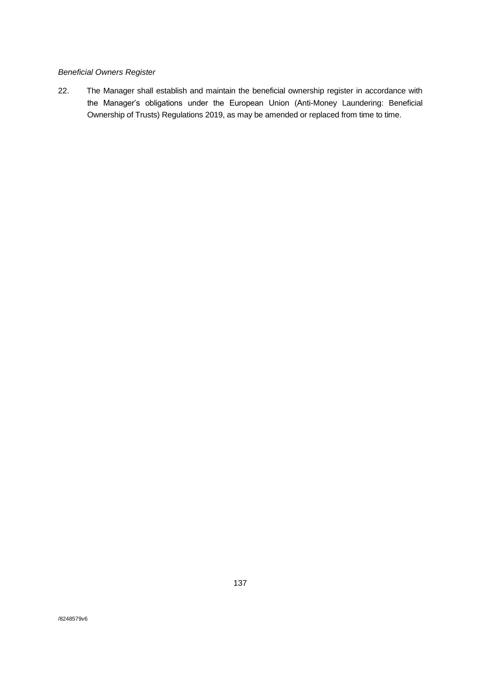## *Beneficial Owners Register*

22. The Manager shall establish and maintain the beneficial ownership register in accordance with the Manager's obligations under the European Union (Anti-Money Laundering: Beneficial Ownership of Trusts) Regulations 2019, as may be amended or replaced from time to time.